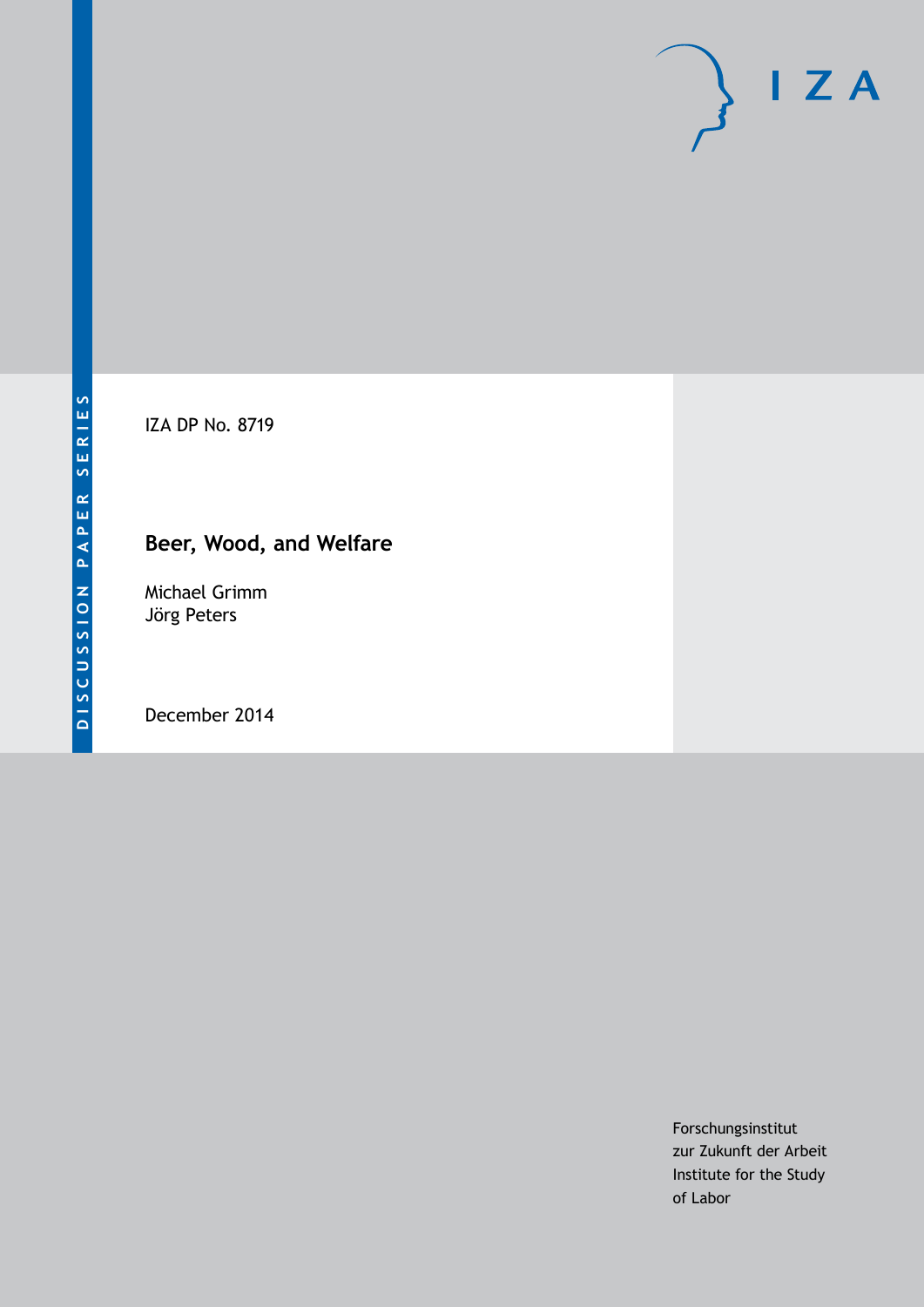

IZA DP No. 8719

## **Beer, Wood, and Welfare**

Michael Grimm Jörg Peters

December 2014

Forschungsinstitut zur Zukunft der Arbeit Institute for the Study of Labor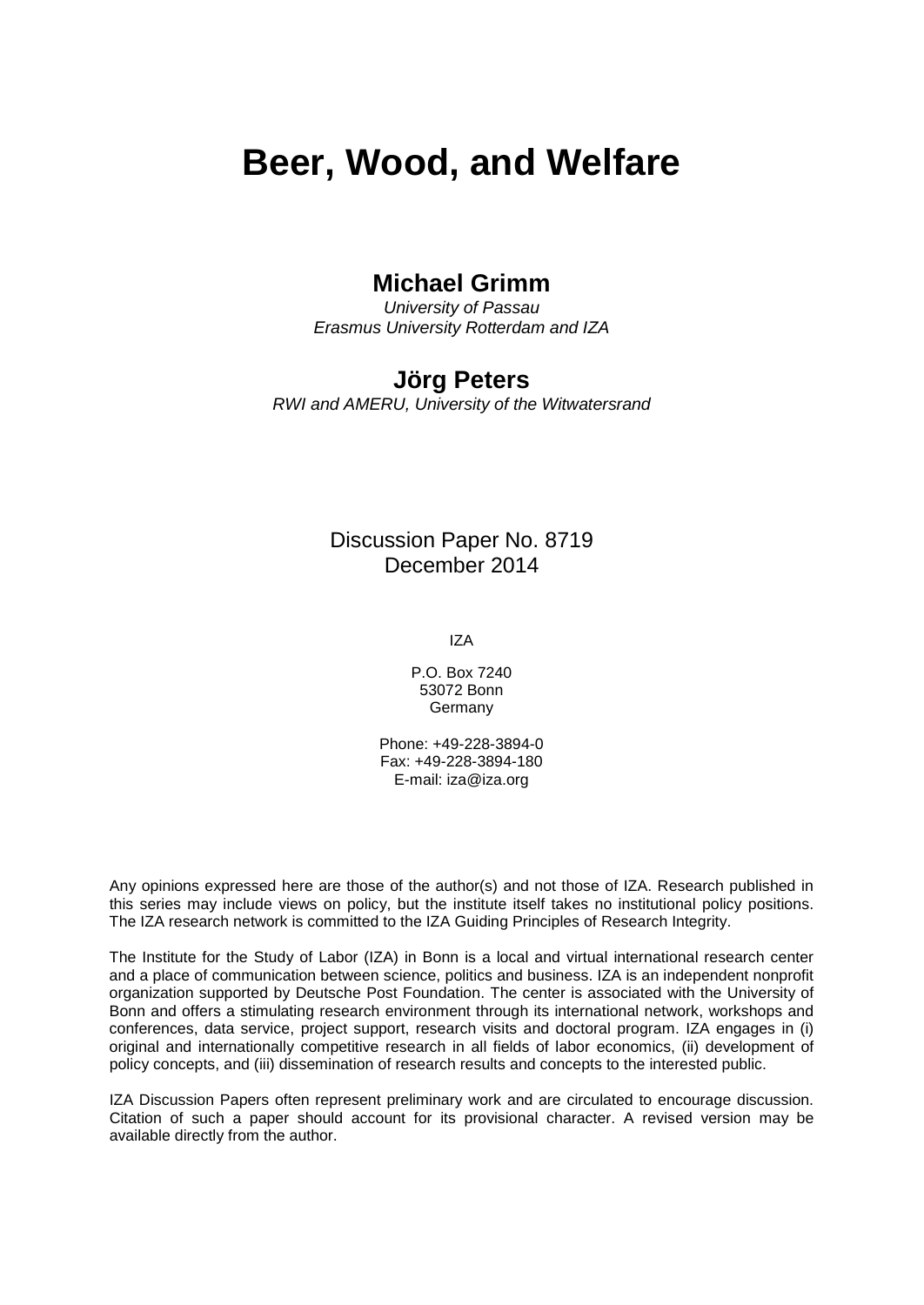# **Beer, Wood, and Welfare**

## **Michael Grimm**

*University of Passau Erasmus University Rotterdam and IZA*

## **Jörg Peters**

*RWI and AMERU, University of the Witwatersrand*

### Discussion Paper No. 8719 December 2014

IZA

P.O. Box 7240 53072 Bonn Germany

Phone: +49-228-3894-0 Fax: +49-228-3894-180 E-mail: [iza@iza.org](mailto:iza@iza.org)

Any opinions expressed here are those of the author(s) and not those of IZA. Research published in this series may include views on policy, but the institute itself takes no institutional policy positions. The IZA research network is committed to the IZA Guiding Principles of Research Integrity.

The Institute for the Study of Labor (IZA) in Bonn is a local and virtual international research center and a place of communication between science, politics and business. IZA is an independent nonprofit organization supported by Deutsche Post Foundation. The center is associated with the University of Bonn and offers a stimulating research environment through its international network, workshops and conferences, data service, project support, research visits and doctoral program. IZA engages in (i) original and internationally competitive research in all fields of labor economics, (ii) development of policy concepts, and (iii) dissemination of research results and concepts to the interested public.

<span id="page-1-0"></span>IZA Discussion Papers often represent preliminary work and are circulated to encourage discussion. Citation of such a paper should account for its provisional character. A revised version may be available directly from the author.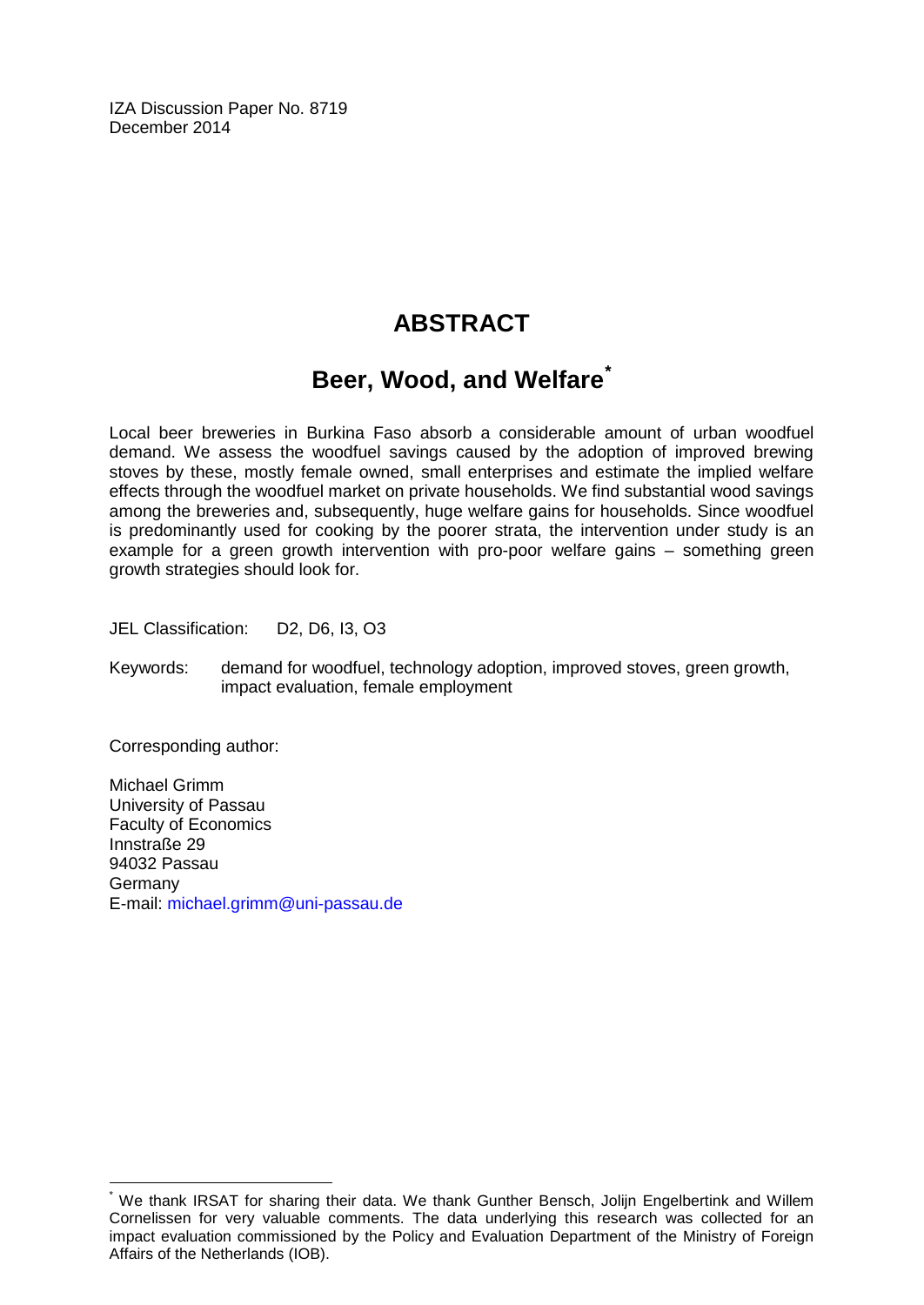IZA Discussion Paper No. 8719 December 2014

## **ABSTRACT**

## **Beer, Wood, and Welfare[\\*](#page-1-0)**

Local beer breweries in Burkina Faso absorb a considerable amount of urban woodfuel demand. We assess the woodfuel savings caused by the adoption of improved brewing stoves by these, mostly female owned, small enterprises and estimate the implied welfare effects through the woodfuel market on private households. We find substantial wood savings among the breweries and, subsequently, huge welfare gains for households. Since woodfuel is predominantly used for cooking by the poorer strata, the intervention under study is an example for a green growth intervention with pro-poor welfare gains – something green growth strategies should look for.

JEL Classification: D2, D6, I3, O3

Keywords: demand for woodfuel, technology adoption, improved stoves, green growth, impact evaluation, female employment

Corresponding author:

Michael Grimm University of Passau Faculty of Economics Innstraße 29 94032 Passau Germany E-mail: [michael.grimm@uni-passau.de](mailto:michael.grimm@uni-passau.de)

We thank IRSAT for sharing their data. We thank Gunther Bensch, Jolijn Engelbertink and Willem Cornelissen for very valuable comments. The data underlying this research was collected for an impact evaluation commissioned by the Policy and Evaluation Department of the Ministry of Foreign Affairs of the Netherlands (IOB).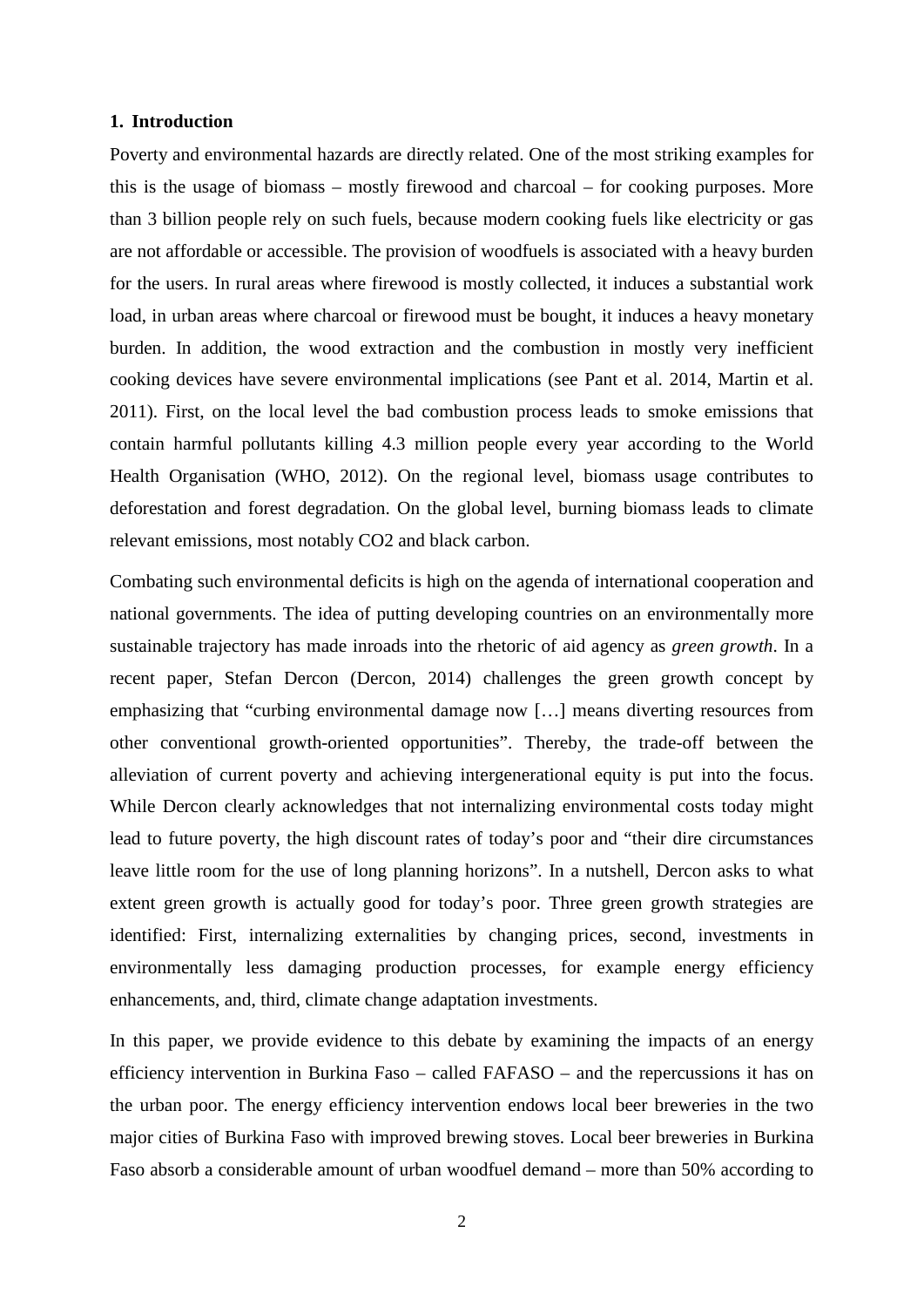#### **1. Introduction**

Poverty and environmental hazards are directly related. One of the most striking examples for this is the usage of biomass – mostly firewood and charcoal – for cooking purposes. More than 3 billion people rely on such fuels, because modern cooking fuels like electricity or gas are not affordable or accessible. The provision of woodfuels is associated with a heavy burden for the users. In rural areas where firewood is mostly collected, it induces a substantial work load, in urban areas where charcoal or firewood must be bought, it induces a heavy monetary burden. In addition, the wood extraction and the combustion in mostly very inefficient cooking devices have severe environmental implications (see Pant et al. 2014, Martin et al. 2011). First, on the local level the bad combustion process leads to smoke emissions that contain harmful pollutants killing 4.3 million people every year according to the World Health Organisation (WHO, 2012). On the regional level, biomass usage contributes to deforestation and forest degradation. On the global level, burning biomass leads to climate relevant emissions, most notably CO2 and black carbon.

Combating such environmental deficits is high on the agenda of international cooperation and national governments. The idea of putting developing countries on an environmentally more sustainable trajectory has made inroads into the rhetoric of aid agency as *green growth*. In a recent paper, Stefan Dercon (Dercon, 2014) challenges the green growth concept by emphasizing that "curbing environmental damage now […] means diverting resources from other conventional growth-oriented opportunities". Thereby, the trade-off between the alleviation of current poverty and achieving intergenerational equity is put into the focus. While Dercon clearly acknowledges that not internalizing environmental costs today might lead to future poverty, the high discount rates of today's poor and "their dire circumstances leave little room for the use of long planning horizons". In a nutshell, Dercon asks to what extent green growth is actually good for today's poor. Three green growth strategies are identified: First, internalizing externalities by changing prices, second, investments in environmentally less damaging production processes, for example energy efficiency enhancements, and, third, climate change adaptation investments.

In this paper, we provide evidence to this debate by examining the impacts of an energy efficiency intervention in Burkina Faso – called FAFASO – and the repercussions it has on the urban poor. The energy efficiency intervention endows local beer breweries in the two major cities of Burkina Faso with improved brewing stoves. Local beer breweries in Burkina Faso absorb a considerable amount of urban woodfuel demand – more than 50% according to

2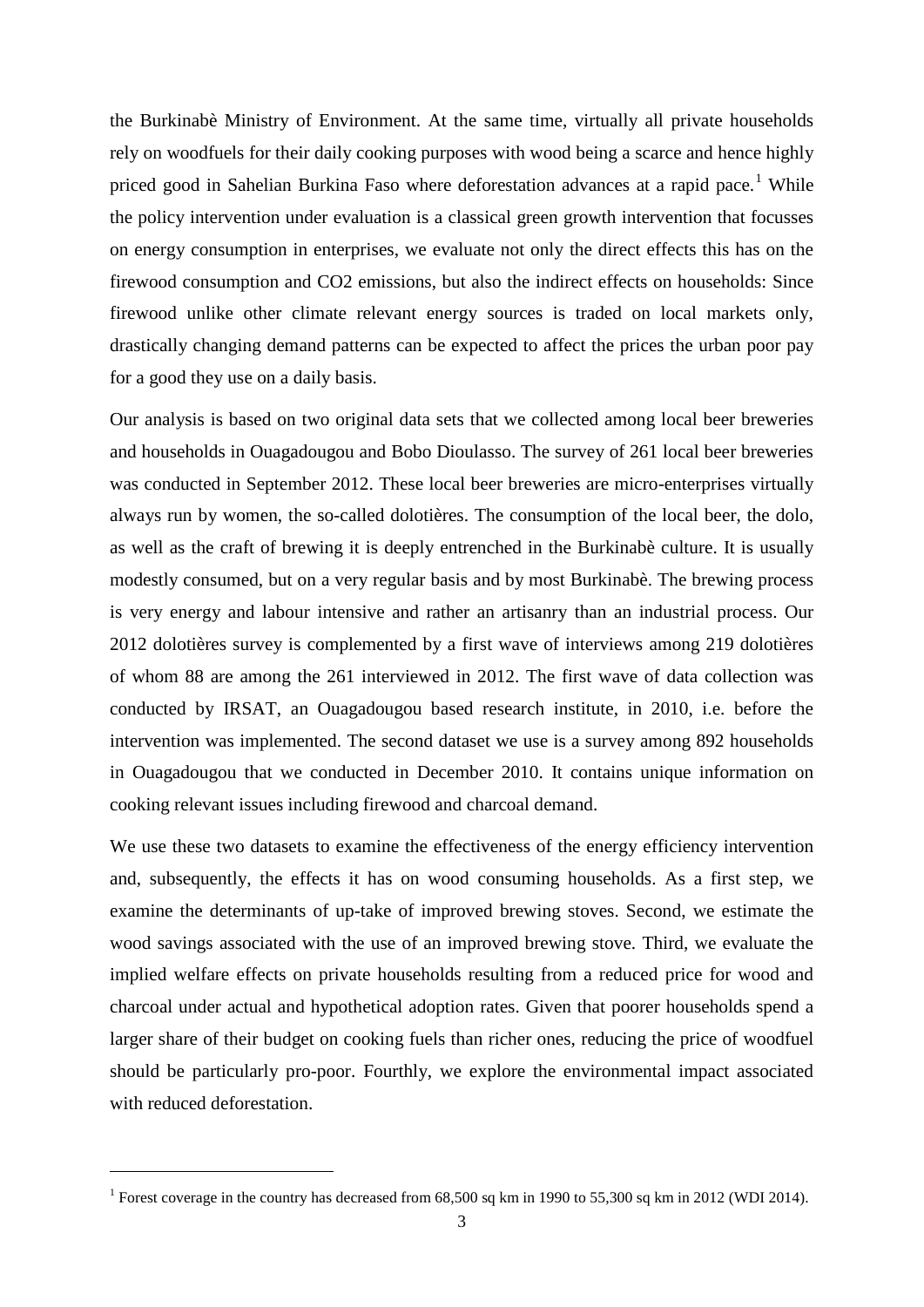the Burkinabè Ministry of Environment. At the same time, virtually all private households rely on woodfuels for their daily cooking purposes with wood being a scarce and hence highly priced good in Sahelian Burkina Faso where deforestation advances at a rapid pace.<sup>1</sup> While the policy intervention under evaluation is a classical green growth intervention that focusses on energy consumption in enterprises, we evaluate not only the direct effects this has on the firewood consumption and CO2 emissions, but also the indirect effects on households: Since firewood unlike other climate relevant energy sources is traded on local markets only, drastically changing demand patterns can be expected to affect the prices the urban poor pay for a good they use on a daily basis.

Our analysis is based on two original data sets that we collected among local beer breweries and households in Ouagadougou and Bobo Dioulasso. The survey of 261 local beer breweries was conducted in September 2012. These local beer breweries are micro-enterprises virtually always run by women, the so-called dolotières. The consumption of the local beer, the dolo, as well as the craft of brewing it is deeply entrenched in the Burkinabè culture. It is usually modestly consumed, but on a very regular basis and by most Burkinabè. The brewing process is very energy and labour intensive and rather an artisanry than an industrial process. Our 2012 dolotières survey is complemented by a first wave of interviews among 219 dolotières of whom 88 are among the 261 interviewed in 2012. The first wave of data collection was conducted by IRSAT, an Ouagadougou based research institute, in 2010, i.e. before the intervention was implemented. The second dataset we use is a survey among 892 households in Ouagadougou that we conducted in December 2010. It contains unique information on cooking relevant issues including firewood and charcoal demand.

We use these two datasets to examine the effectiveness of the energy efficiency intervention and, subsequently, the effects it has on wood consuming households. As a first step, we examine the determinants of up-take of improved brewing stoves. Second, we estimate the wood savings associated with the use of an improved brewing stove. Third, we evaluate the implied welfare effects on private households resulting from a reduced price for wood and charcoal under actual and hypothetical adoption rates. Given that poorer households spend a larger share of their budget on cooking fuels than richer ones, reducing the price of woodfuel should be particularly pro-poor. Fourthly, we explore the environmental impact associated with reduced deforestation.

 $\overline{a}$ 

<span id="page-4-0"></span><sup>&</sup>lt;sup>1</sup> Forest coverage in the country has decreased from 68,500 sq km in 1990 to 55,300 sq km in 2012 (WDI 2014).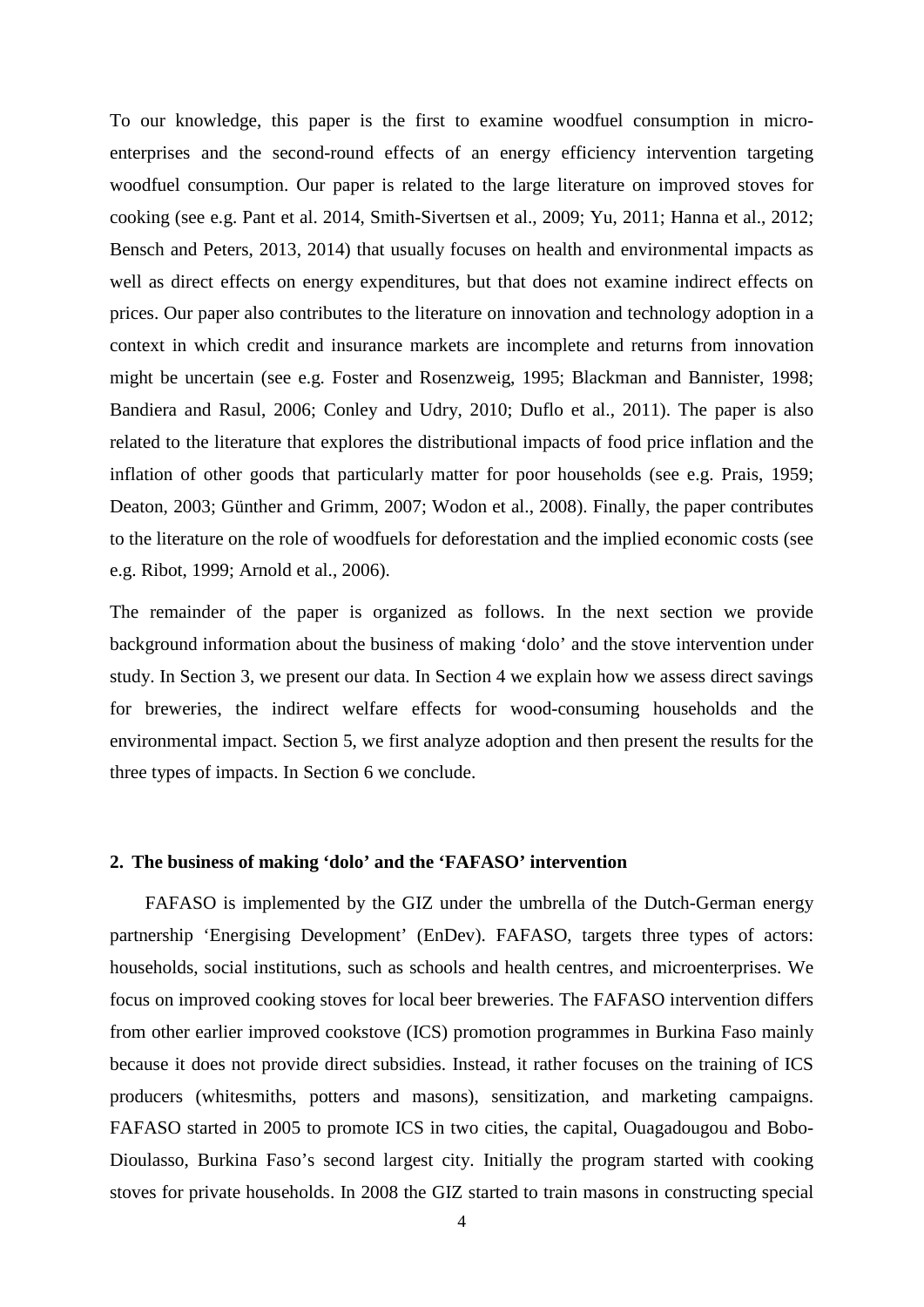To our knowledge, this paper is the first to examine woodfuel consumption in microenterprises and the second-round effects of an energy efficiency intervention targeting woodfuel consumption. Our paper is related to the large literature on improved stoves for cooking (see e.g. Pant et al. 2014, Smith-Sivertsen et al., 2009; Yu, 2011; Hanna et al., 2012; Bensch and Peters, 2013, 2014) that usually focuses on health and environmental impacts as well as direct effects on energy expenditures, but that does not examine indirect effects on prices. Our paper also contributes to the literature on innovation and technology adoption in a context in which credit and insurance markets are incomplete and returns from innovation might be uncertain (see e.g. Foster and Rosenzweig, 1995; Blackman and Bannister, 1998; Bandiera and Rasul, 2006; Conley and Udry, 2010; Duflo et al., 2011). The paper is also related to the literature that explores the distributional impacts of food price inflation and the inflation of other goods that particularly matter for poor households (see e.g. Prais, 1959; Deaton, 2003; Günther and Grimm, 2007; Wodon et al., 2008). Finally, the paper contributes to the literature on the role of woodfuels for deforestation and the implied economic costs (see e.g. Ribot, 1999; Arnold et al., 2006).

The remainder of the paper is organized as follows. In the next section we provide background information about the business of making 'dolo' and the stove intervention under study. In Section 3, we present our data. In Section 4 we explain how we assess direct savings for breweries, the indirect welfare effects for wood-consuming households and the environmental impact. Section 5, we first analyze adoption and then present the results for the three types of impacts. In Section 6 we conclude.

#### **2. The business of making 'dolo' and the 'FAFASO' intervention**

FAFASO is implemented by the GIZ under the umbrella of the Dutch-German energy partnership 'Energising Development' (EnDev). FAFASO, targets three types of actors: households, social institutions, such as schools and health centres, and microenterprises. We focus on improved cooking stoves for local beer breweries. The FAFASO intervention differs from other earlier improved cookstove (ICS) promotion programmes in Burkina Faso mainly because it does not provide direct subsidies. Instead, it rather focuses on the training of ICS producers (whitesmiths, potters and masons), sensitization, and marketing campaigns. FAFASO started in 2005 to promote ICS in two cities, the capital, Ouagadougou and Bobo-Dioulasso, Burkina Faso's second largest city. Initially the program started with cooking stoves for private households. In 2008 the GIZ started to train masons in constructing special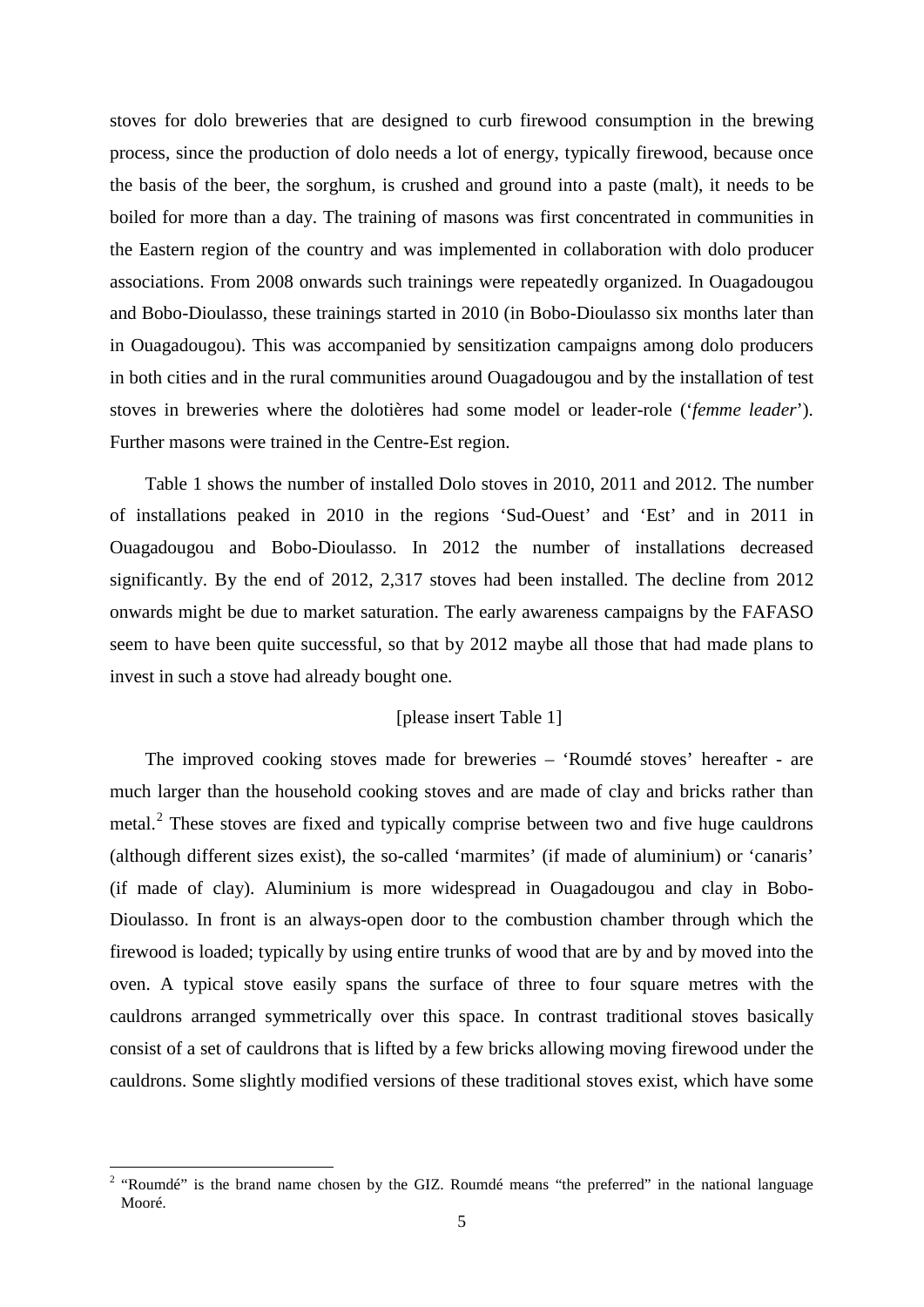stoves for dolo breweries that are designed to curb firewood consumption in the brewing process, since the production of dolo needs a lot of energy, typically firewood, because once the basis of the beer, the sorghum, is crushed and ground into a paste (malt), it needs to be boiled for more than a day. The training of masons was first concentrated in communities in the Eastern region of the country and was implemented in collaboration with dolo producer associations. From 2008 onwards such trainings were repeatedly organized. In Ouagadougou and Bobo-Dioulasso, these trainings started in 2010 (in Bobo-Dioulasso six months later than in Ouagadougou). This was accompanied by sensitization campaigns among dolo producers in both cities and in the rural communities around Ouagadougou and by the installation of test stoves in breweries where the dolotières had some model or leader-role ('*femme leader*'). Further masons were trained in the Centre-Est region.

Table 1 shows the number of installed Dolo stoves in 2010, 2011 and 2012. The number of installations peaked in 2010 in the regions 'Sud-Ouest' and 'Est' and in 2011 in Ouagadougou and Bobo-Dioulasso. In 2012 the number of installations decreased significantly. By the end of 2012, 2,317 stoves had been installed. The decline from 2012 onwards might be due to market saturation. The early awareness campaigns by the FAFASO seem to have been quite successful, so that by 2012 maybe all those that had made plans to invest in such a stove had already bought one.

#### [please insert Table 1]

The improved cooking stoves made for breweries – 'Roumdé stoves' hereafter - are much larger than the household cooking stoves and are made of clay and bricks rather than metal.<sup>[2](#page-4-0)</sup> These stoves are fixed and typically comprise between two and five huge cauldrons (although different sizes exist), the so-called 'marmites' (if made of aluminium) or 'canaris' (if made of clay). Aluminium is more widespread in Ouagadougou and clay in Bobo-Dioulasso. In front is an always-open door to the combustion chamber through which the firewood is loaded; typically by using entire trunks of wood that are by and by moved into the oven. A typical stove easily spans the surface of three to four square metres with the cauldrons arranged symmetrically over this space. In contrast traditional stoves basically consist of a set of cauldrons that is lifted by a few bricks allowing moving firewood under the cauldrons. Some slightly modified versions of these traditional stoves exist, which have some

<span id="page-6-0"></span><sup>&</sup>lt;sup>2</sup> "Roumdé" is the brand name chosen by the GIZ. Roumdé means "the preferred" in the national language Mooré.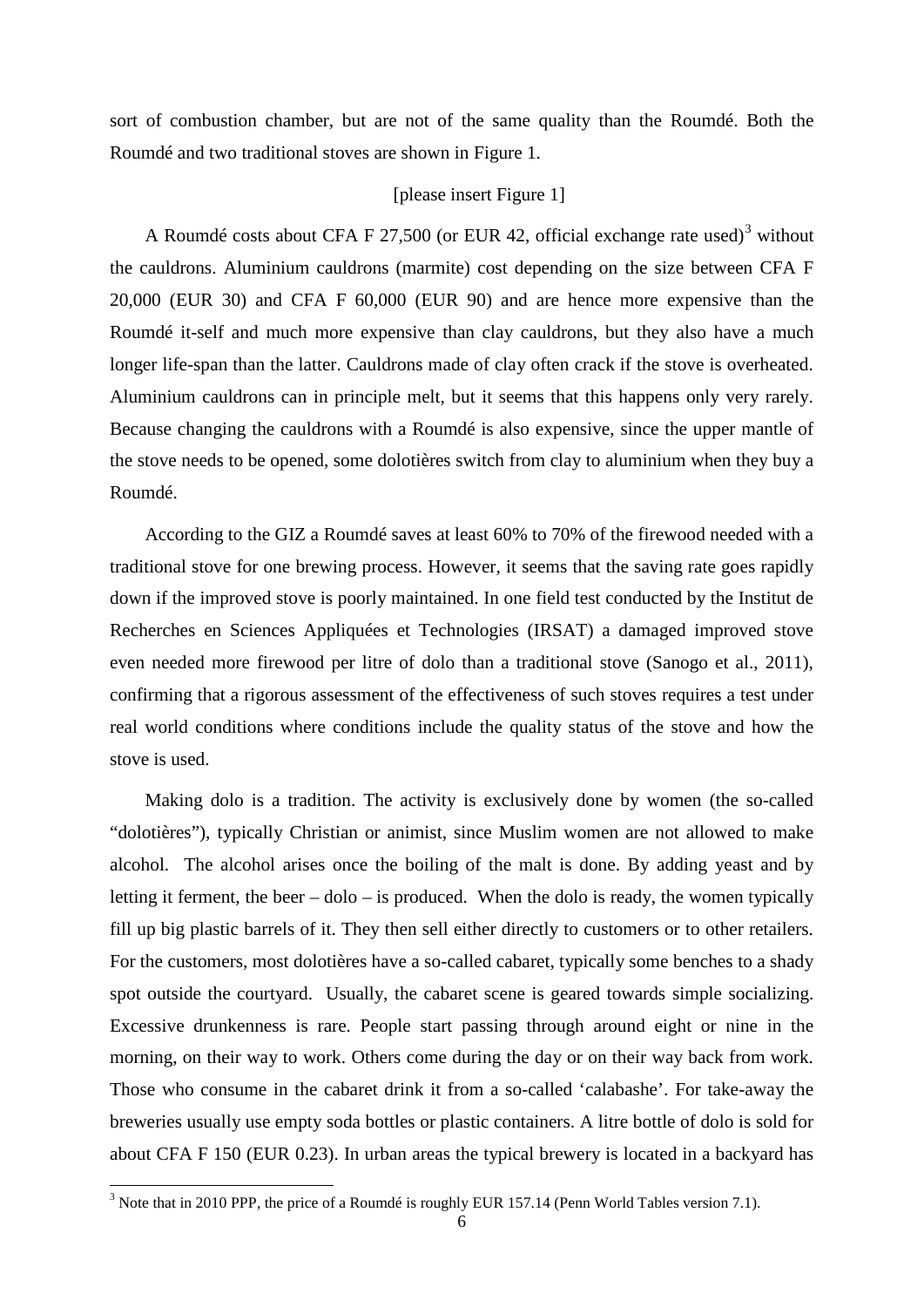sort of combustion chamber, but are not of the same quality than the Roumdé. Both the Roumdé and two traditional stoves are shown in Figure 1.

#### [please insert Figure 1]

A Roumdé costs about CFA F 27,500 (or EUR 42, official exchange rate used)<sup>[3](#page-6-0)</sup> without the cauldrons. Aluminium cauldrons (marmite) cost depending on the size between CFA F 20,000 (EUR 30) and CFA F 60,000 (EUR 90) and are hence more expensive than the Roumdé it-self and much more expensive than clay cauldrons, but they also have a much longer life-span than the latter. Cauldrons made of clay often crack if the stove is overheated. Aluminium cauldrons can in principle melt, but it seems that this happens only very rarely. Because changing the cauldrons with a Roumdé is also expensive, since the upper mantle of the stove needs to be opened, some dolotières switch from clay to aluminium when they buy a Roumdé.

According to the GIZ a Roumdé saves at least 60% to 70% of the firewood needed with a traditional stove for one brewing process. However, it seems that the saving rate goes rapidly down if the improved stove is poorly maintained. In one field test conducted by the Institut de Recherches en Sciences Appliquées et Technologies (IRSAT) a damaged improved stove even needed more firewood per litre of dolo than a traditional stove (Sanogo et al., 2011), confirming that a rigorous assessment of the effectiveness of such stoves requires a test under real world conditions where conditions include the quality status of the stove and how the stove is used.

Making dolo is a tradition. The activity is exclusively done by women (the so-called "dolotières"), typically Christian or animist, since Muslim women are not allowed to make alcohol. The alcohol arises once the boiling of the malt is done. By adding yeast and by letting it ferment, the beer – dolo – is produced. When the dolo is ready, the women typically fill up big plastic barrels of it. They then sell either directly to customers or to other retailers. For the customers, most dolotières have a so-called cabaret, typically some benches to a shady spot outside the courtyard. Usually, the cabaret scene is geared towards simple socializing. Excessive drunkenness is rare. People start passing through around eight or nine in the morning, on their way to work. Others come during the day or on their way back from work. Those who consume in the cabaret drink it from a so-called 'calabashe'. For take-away the breweries usually use empty soda bottles or plastic containers. A litre bottle of dolo is sold for about CFA F 150 (EUR 0.23). In urban areas the typical brewery is located in a backyard has

<span id="page-7-0"></span><sup>&</sup>lt;sup>3</sup> Note that in 2010 PPP, the price of a Roumdé is roughly EUR 157.14 (Penn World Tables version 7.1).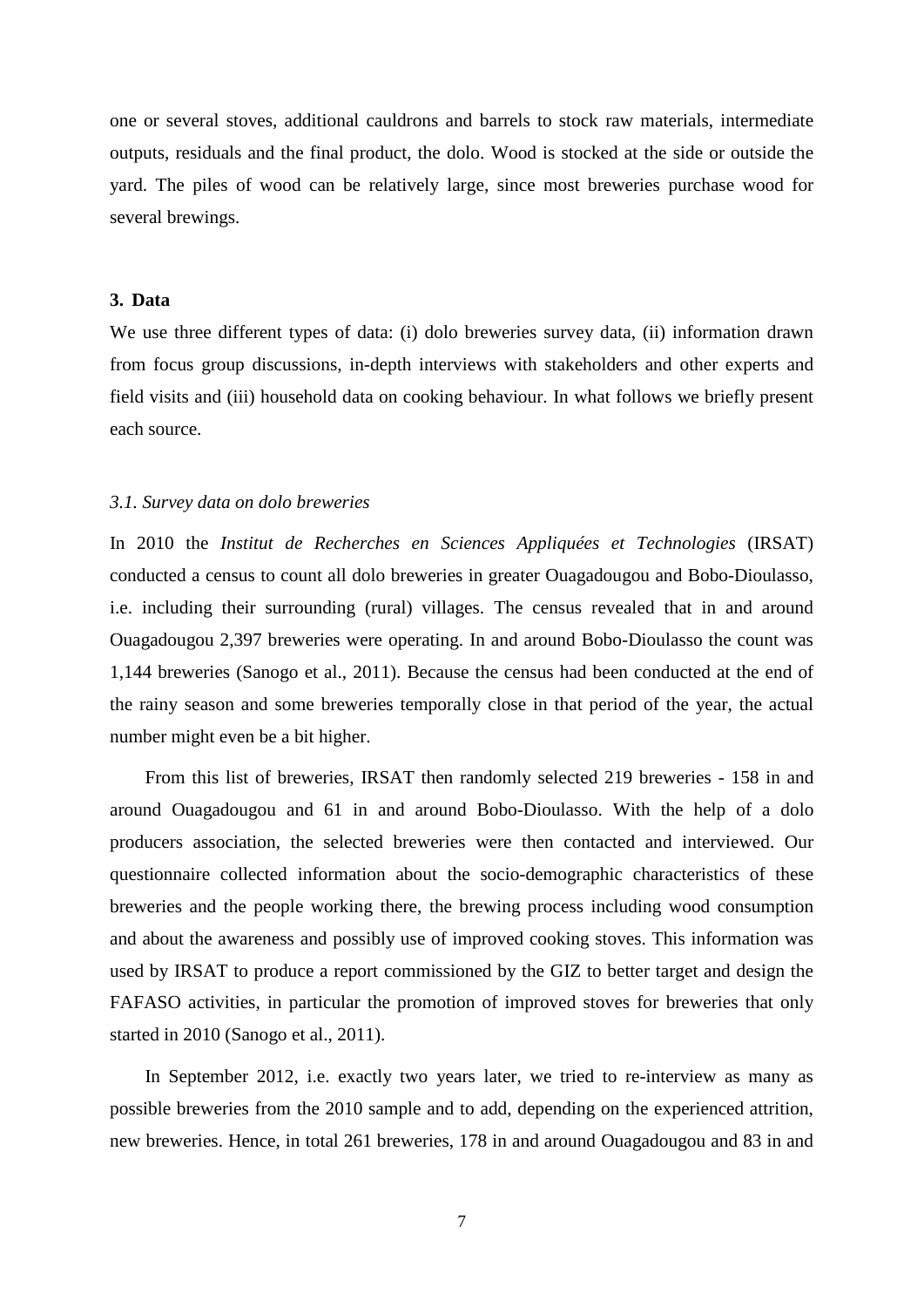one or several stoves, additional cauldrons and barrels to stock raw materials, intermediate outputs, residuals and the final product, the dolo. Wood is stocked at the side or outside the yard. The piles of wood can be relatively large, since most breweries purchase wood for several brewings.

#### **3. Data**

We use three different types of data: (i) dolo breweries survey data, (ii) information drawn from focus group discussions, in-depth interviews with stakeholders and other experts and field visits and (iii) household data on cooking behaviour. In what follows we briefly present each source.

#### *3.1. Survey data on dolo breweries*

In 2010 the *Institut de Recherches en Sciences Appliquées et Technologies* (IRSAT) conducted a census to count all dolo breweries in greater Ouagadougou and Bobo-Dioulasso, i.e. including their surrounding (rural) villages. The census revealed that in and around Ouagadougou 2,397 breweries were operating. In and around Bobo-Dioulasso the count was 1,144 breweries (Sanogo et al., 2011). Because the census had been conducted at the end of the rainy season and some breweries temporally close in that period of the year, the actual number might even be a bit higher.

From this list of breweries, IRSAT then randomly selected 219 breweries - 158 in and around Ouagadougou and 61 in and around Bobo-Dioulasso. With the help of a dolo producers association, the selected breweries were then contacted and interviewed. Our questionnaire collected information about the socio-demographic characteristics of these breweries and the people working there, the brewing process including wood consumption and about the awareness and possibly use of improved cooking stoves. This information was used by IRSAT to produce a report commissioned by the GIZ to better target and design the FAFASO activities, in particular the promotion of improved stoves for breweries that only started in 2010 (Sanogo et al., 2011).

In September 2012, i.e. exactly two years later, we tried to re-interview as many as possible breweries from the 2010 sample and to add, depending on the experienced attrition, new breweries. Hence, in total 261 breweries, 178 in and around Ouagadougou and 83 in and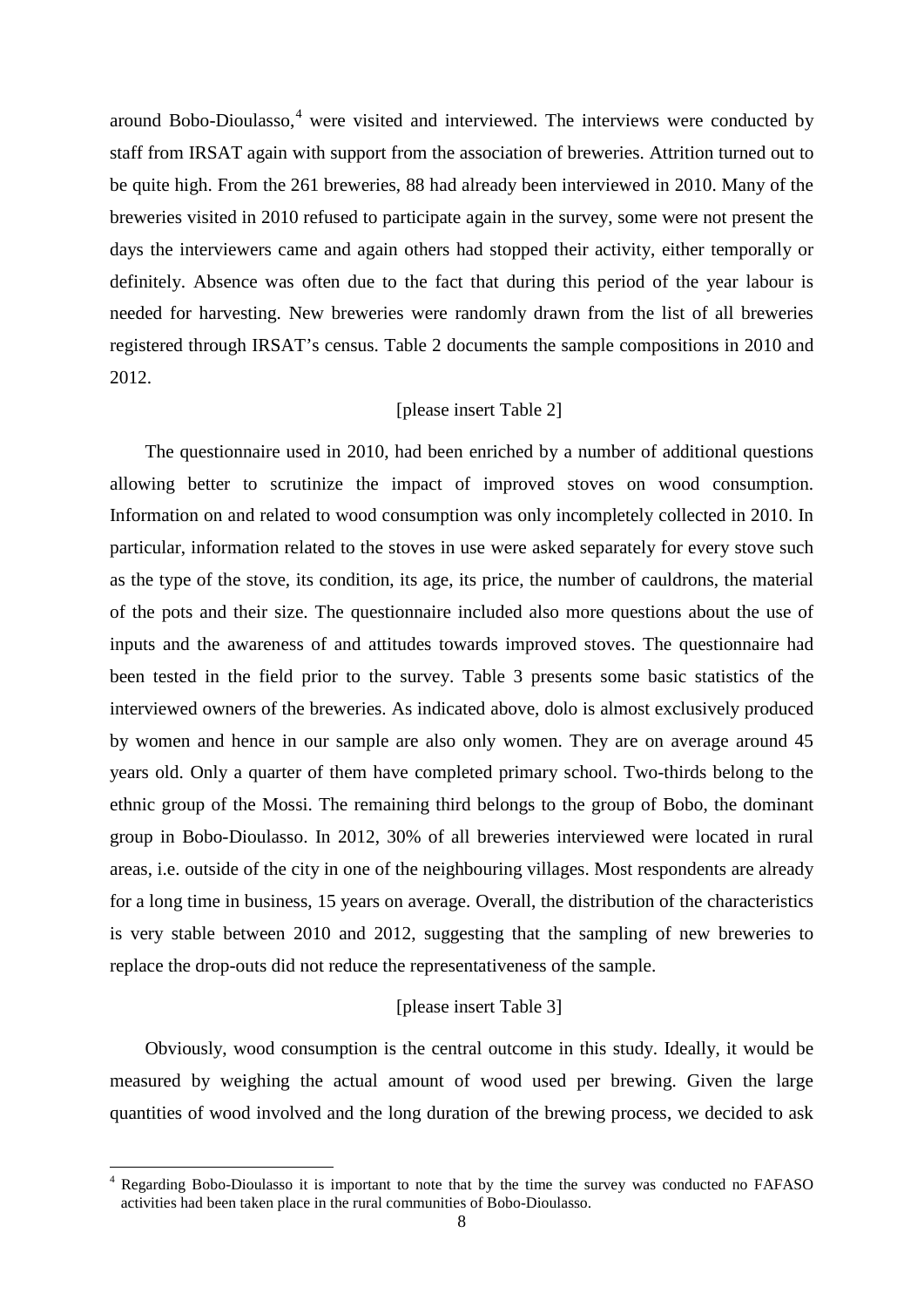around Bobo-Dioulasso, $4$  were visited and interviewed. The interviews were conducted by staff from IRSAT again with support from the association of breweries. Attrition turned out to be quite high. From the 261 breweries, 88 had already been interviewed in 2010. Many of the breweries visited in 2010 refused to participate again in the survey, some were not present the days the interviewers came and again others had stopped their activity, either temporally or definitely. Absence was often due to the fact that during this period of the year labour is needed for harvesting. New breweries were randomly drawn from the list of all breweries registered through IRSAT's census. Table 2 documents the sample compositions in 2010 and 2012.

#### [please insert Table 2]

The questionnaire used in 2010, had been enriched by a number of additional questions allowing better to scrutinize the impact of improved stoves on wood consumption. Information on and related to wood consumption was only incompletely collected in 2010. In particular, information related to the stoves in use were asked separately for every stove such as the type of the stove, its condition, its age, its price, the number of cauldrons, the material of the pots and their size. The questionnaire included also more questions about the use of inputs and the awareness of and attitudes towards improved stoves. The questionnaire had been tested in the field prior to the survey. Table 3 presents some basic statistics of the interviewed owners of the breweries. As indicated above, dolo is almost exclusively produced by women and hence in our sample are also only women. They are on average around 45 years old. Only a quarter of them have completed primary school. Two-thirds belong to the ethnic group of the Mossi. The remaining third belongs to the group of Bobo, the dominant group in Bobo-Dioulasso. In 2012, 30% of all breweries interviewed were located in rural areas, i.e. outside of the city in one of the neighbouring villages. Most respondents are already for a long time in business, 15 years on average. Overall, the distribution of the characteristics is very stable between 2010 and 2012, suggesting that the sampling of new breweries to replace the drop-outs did not reduce the representativeness of the sample.

#### [please insert Table 3]

<span id="page-9-0"></span>Obviously, wood consumption is the central outcome in this study. Ideally, it would be measured by weighing the actual amount of wood used per brewing. Given the large quantities of wood involved and the long duration of the brewing process, we decided to ask

<sup>4</sup> Regarding Bobo-Dioulasso it is important to note that by the time the survey was conducted no FAFASO activities had been taken place in the rural communities of Bobo-Dioulasso.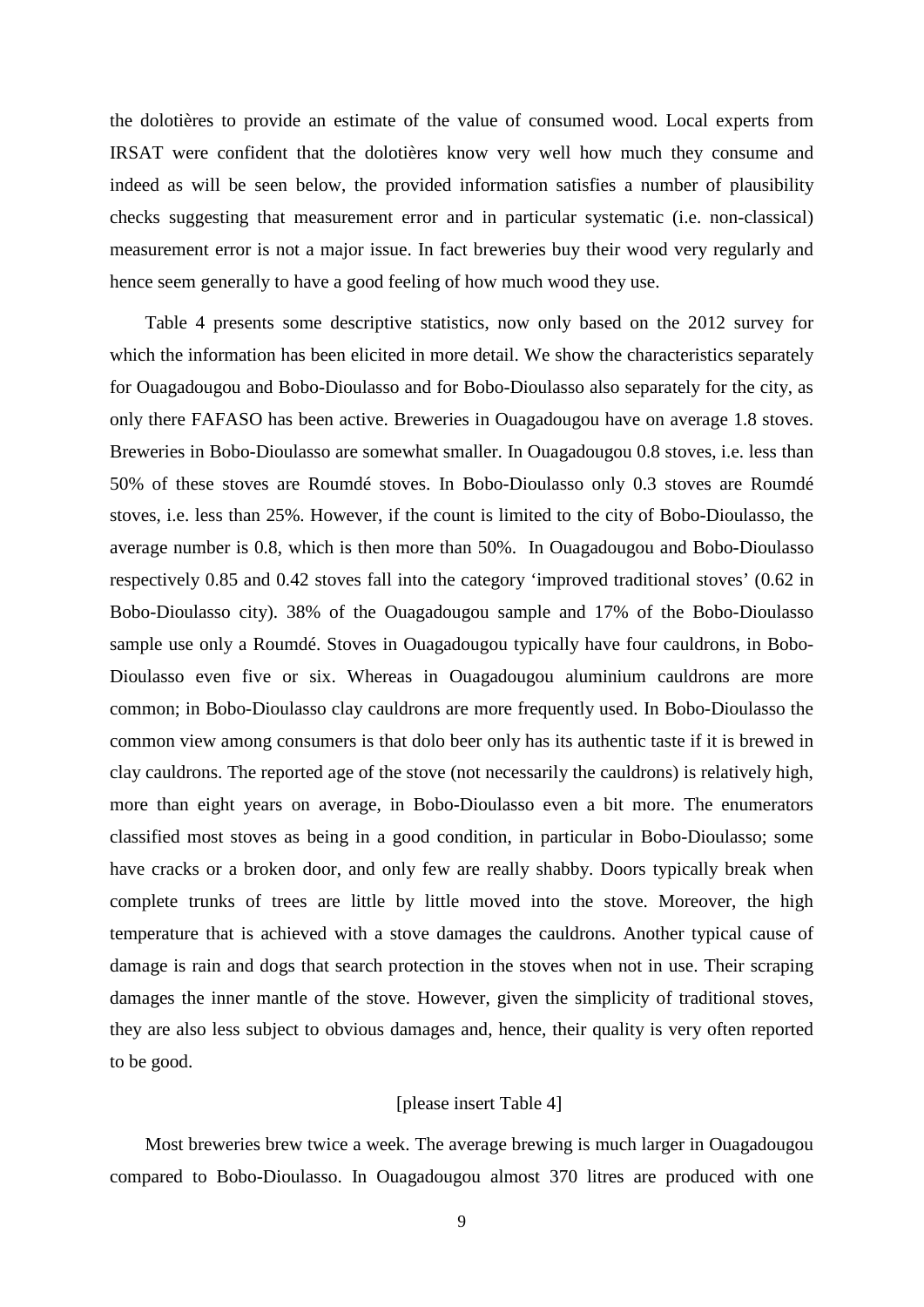the dolotières to provide an estimate of the value of consumed wood. Local experts from IRSAT were confident that the dolotières know very well how much they consume and indeed as will be seen below, the provided information satisfies a number of plausibility checks suggesting that measurement error and in particular systematic (i.e. non-classical) measurement error is not a major issue. In fact breweries buy their wood very regularly and hence seem generally to have a good feeling of how much wood they use.

Table 4 presents some descriptive statistics, now only based on the 2012 survey for which the information has been elicited in more detail. We show the characteristics separately for Ouagadougou and Bobo-Dioulasso and for Bobo-Dioulasso also separately for the city, as only there FAFASO has been active. Breweries in Ouagadougou have on average 1.8 stoves. Breweries in Bobo-Dioulasso are somewhat smaller. In Ouagadougou 0.8 stoves, i.e. less than 50% of these stoves are Roumdé stoves. In Bobo-Dioulasso only 0.3 stoves are Roumdé stoves, i.e. less than 25%. However, if the count is limited to the city of Bobo-Dioulasso, the average number is 0.8, which is then more than 50%. In Ouagadougou and Bobo-Dioulasso respectively 0.85 and 0.42 stoves fall into the category 'improved traditional stoves' (0.62 in Bobo-Dioulasso city). 38% of the Ouagadougou sample and 17% of the Bobo-Dioulasso sample use only a Roumdé. Stoves in Ouagadougou typically have four cauldrons, in Bobo-Dioulasso even five or six. Whereas in Ouagadougou aluminium cauldrons are more common; in Bobo-Dioulasso clay cauldrons are more frequently used. In Bobo-Dioulasso the common view among consumers is that dolo beer only has its authentic taste if it is brewed in clay cauldrons. The reported age of the stove (not necessarily the cauldrons) is relatively high, more than eight years on average, in Bobo-Dioulasso even a bit more. The enumerators classified most stoves as being in a good condition, in particular in Bobo-Dioulasso; some have cracks or a broken door, and only few are really shabby. Doors typically break when complete trunks of trees are little by little moved into the stove. Moreover, the high temperature that is achieved with a stove damages the cauldrons. Another typical cause of damage is rain and dogs that search protection in the stoves when not in use. Their scraping damages the inner mantle of the stove. However, given the simplicity of traditional stoves, they are also less subject to obvious damages and, hence, their quality is very often reported to be good.

#### [please insert Table 4]

Most breweries brew twice a week. The average brewing is much larger in Ouagadougou compared to Bobo-Dioulasso. In Ouagadougou almost 370 litres are produced with one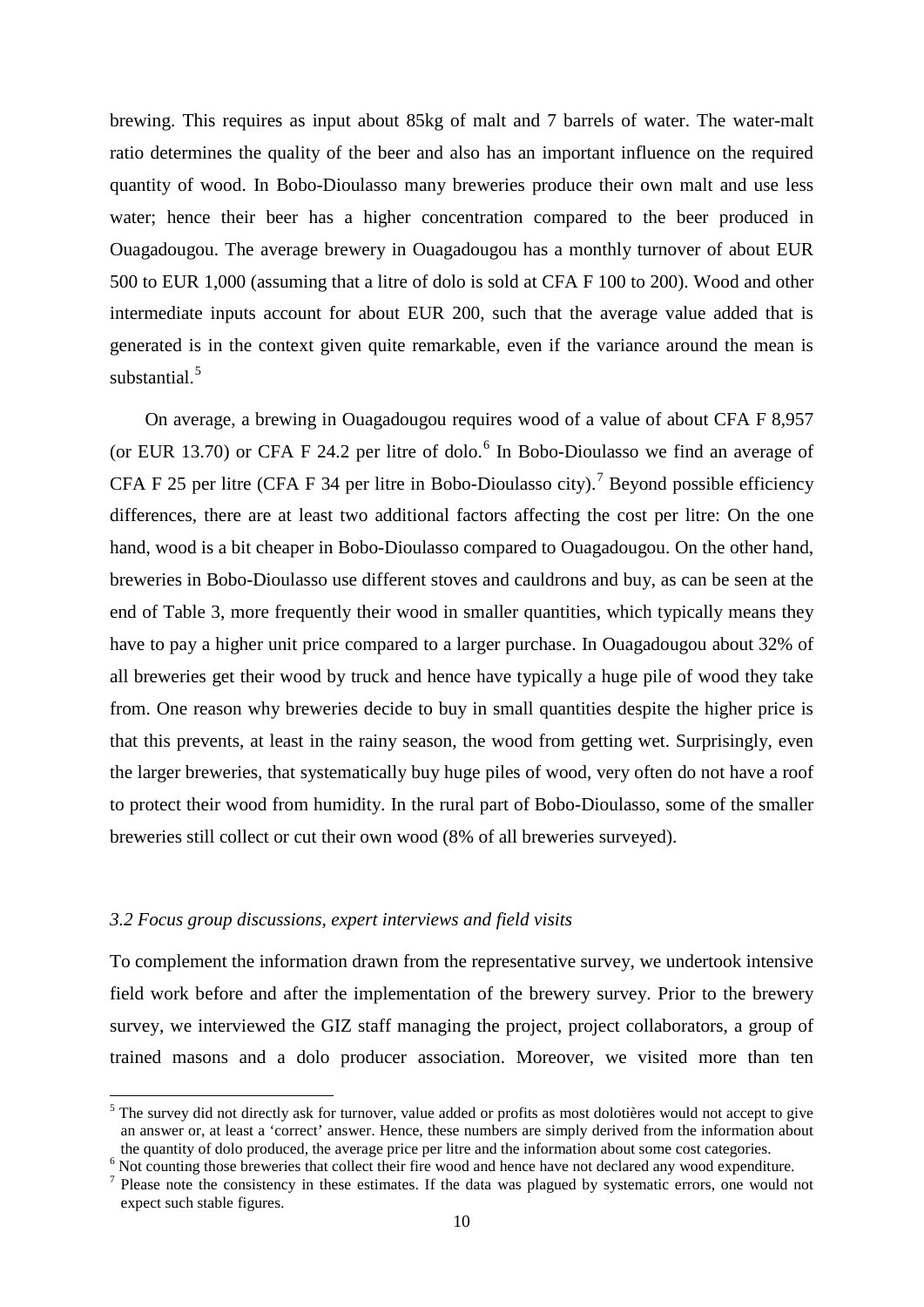brewing. This requires as input about 85kg of malt and 7 barrels of water. The water-malt ratio determines the quality of the beer and also has an important influence on the required quantity of wood. In Bobo-Dioulasso many breweries produce their own malt and use less water; hence their beer has a higher concentration compared to the beer produced in Ouagadougou. The average brewery in Ouagadougou has a monthly turnover of about EUR 500 to EUR 1,000 (assuming that a litre of dolo is sold at CFA F 100 to 200). Wood and other intermediate inputs account for about EUR 200, such that the average value added that is generated is in the context given quite remarkable, even if the variance around the mean is substantial.<sup>[5](#page-9-0)</sup>

On average, a brewing in Ouagadougou requires wood of a value of about CFA F 8,957 (or EUR 13.70) or CFA F 24.2 per litre of dolo.<sup>[6](#page-11-0)</sup> In Bobo-Dioulasso we find an average of CFA F 25 per litre (CFA F 34 per litre in Bobo-Dioulasso city).<sup>[7](#page-11-1)</sup> Beyond possible efficiency differences, there are at least two additional factors affecting the cost per litre: On the one hand, wood is a bit cheaper in Bobo-Dioulasso compared to Ouagadougou. On the other hand, breweries in Bobo-Dioulasso use different stoves and cauldrons and buy, as can be seen at the end of Table 3, more frequently their wood in smaller quantities, which typically means they have to pay a higher unit price compared to a larger purchase. In Ouagadougou about 32% of all breweries get their wood by truck and hence have typically a huge pile of wood they take from. One reason why breweries decide to buy in small quantities despite the higher price is that this prevents, at least in the rainy season, the wood from getting wet. Surprisingly, even the larger breweries, that systematically buy huge piles of wood, very often do not have a roof to protect their wood from humidity. In the rural part of Bobo-Dioulasso, some of the smaller breweries still collect or cut their own wood (8% of all breweries surveyed).

#### *3.2 Focus group discussions, expert interviews and field visits*

To complement the information drawn from the representative survey, we undertook intensive field work before and after the implementation of the brewery survey. Prior to the brewery survey, we interviewed the GIZ staff managing the project, project collaborators, a group of trained masons and a dolo producer association. Moreover, we visited more than ten

 $<sup>5</sup>$  The survey did not directly ask for turnover, value added or profits as most dolotières would not accept to give</sup> an answer or, at least a 'correct' answer. Hence, these numbers are simply derived from the information about the quantity of dolo produced, the average price per litre and the information about some cost categories.

<span id="page-11-2"></span><span id="page-11-1"></span><span id="page-11-0"></span><sup>&</sup>lt;sup>6</sup> Not counting those breweries that collect their fire wood and hence have not declared any wood expenditure.<br><sup>7</sup> Please note the consistency in these estimates. If the data was plagued by systematic errors, one would no expect such stable figures.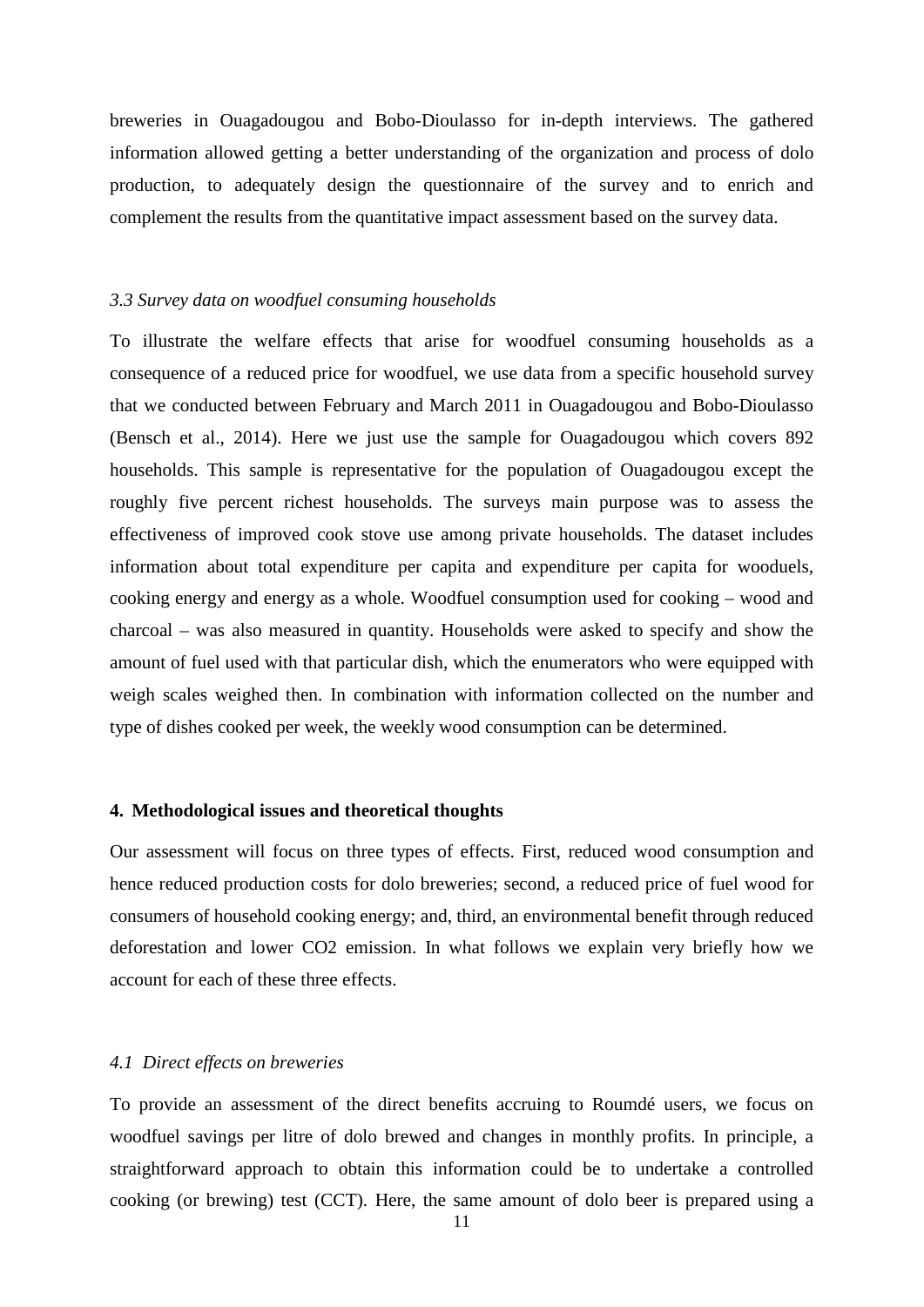breweries in Ouagadougou and Bobo-Dioulasso for in-depth interviews. The gathered information allowed getting a better understanding of the organization and process of dolo production, to adequately design the questionnaire of the survey and to enrich and complement the results from the quantitative impact assessment based on the survey data.

#### *3.3 Survey data on woodfuel consuming households*

To illustrate the welfare effects that arise for woodfuel consuming households as a consequence of a reduced price for woodfuel, we use data from a specific household survey that we conducted between February and March 2011 in Ouagadougou and Bobo-Dioulasso (Bensch et al., 2014). Here we just use the sample for Ouagadougou which covers 892 households. This sample is representative for the population of Ouagadougou except the roughly five percent richest households. The surveys main purpose was to assess the effectiveness of improved cook stove use among private households. The dataset includes information about total expenditure per capita and expenditure per capita for wooduels, cooking energy and energy as a whole. Woodfuel consumption used for cooking – wood and charcoal – was also measured in quantity. Households were asked to specify and show the amount of fuel used with that particular dish, which the enumerators who were equipped with weigh scales weighed then. In combination with information collected on the number and type of dishes cooked per week, the weekly wood consumption can be determined.

#### **4. Methodological issues and theoretical thoughts**

Our assessment will focus on three types of effects. First, reduced wood consumption and hence reduced production costs for dolo breweries; second, a reduced price of fuel wood for consumers of household cooking energy; and, third, an environmental benefit through reduced deforestation and lower CO2 emission. In what follows we explain very briefly how we account for each of these three effects.

#### *4.1 Direct effects on breweries*

To provide an assessment of the direct benefits accruing to Roumdé users, we focus on woodfuel savings per litre of dolo brewed and changes in monthly profits. In principle, a straightforward approach to obtain this information could be to undertake a controlled cooking (or brewing) test (CCT). Here, the same amount of dolo beer is prepared using a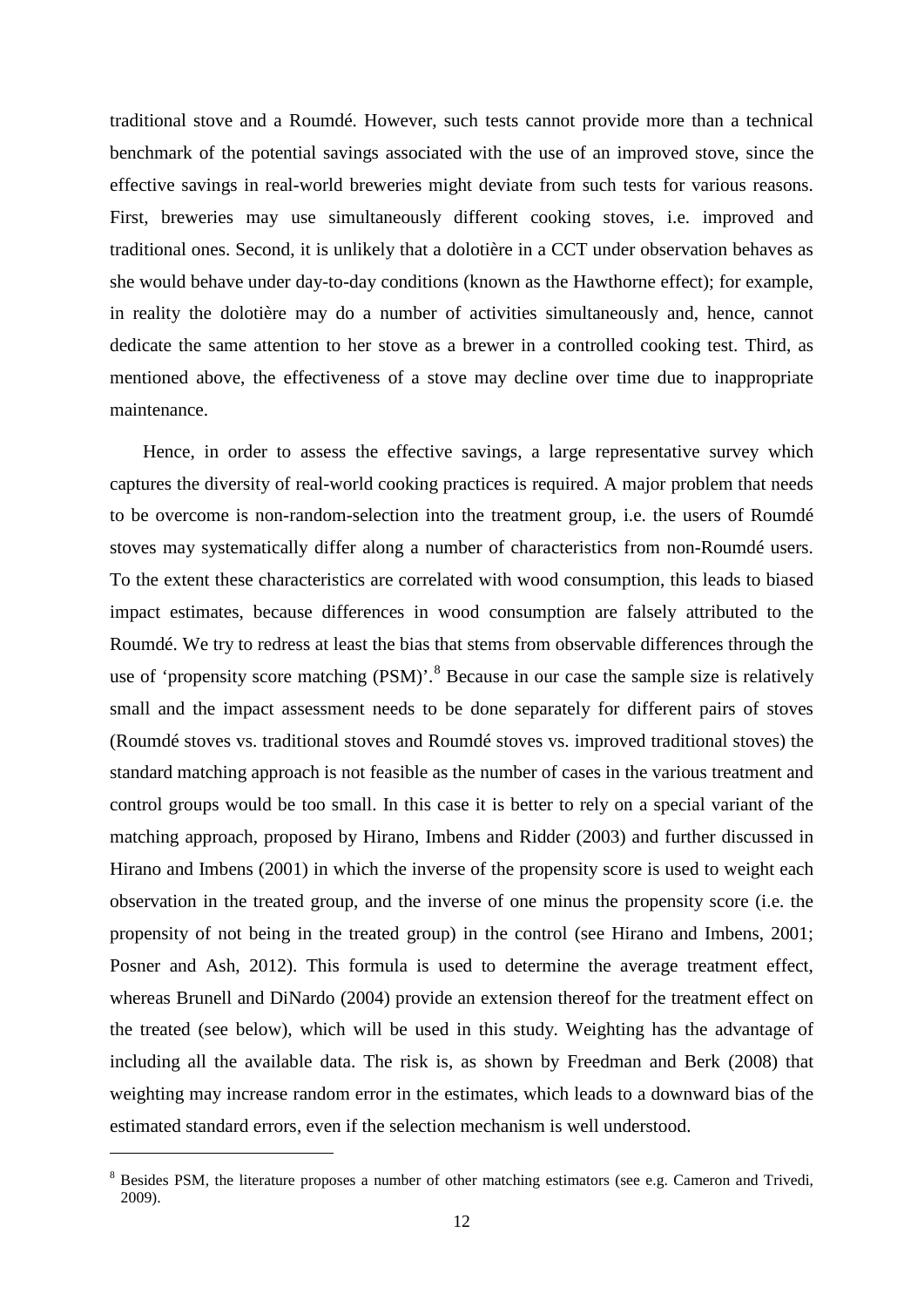traditional stove and a Roumdé. However, such tests cannot provide more than a technical benchmark of the potential savings associated with the use of an improved stove, since the effective savings in real-world breweries might deviate from such tests for various reasons. First, breweries may use simultaneously different cooking stoves, i.e. improved and traditional ones. Second, it is unlikely that a dolotière in a CCT under observation behaves as she would behave under day-to-day conditions (known as the Hawthorne effect); for example, in reality the dolotière may do a number of activities simultaneously and, hence, cannot dedicate the same attention to her stove as a brewer in a controlled cooking test. Third, as mentioned above, the effectiveness of a stove may decline over time due to inappropriate maintenance.

Hence, in order to assess the effective savings, a large representative survey which captures the diversity of real-world cooking practices is required. A major problem that needs to be overcome is non-random-selection into the treatment group, i.e. the users of Roumdé stoves may systematically differ along a number of characteristics from non-Roumdé users. To the extent these characteristics are correlated with wood consumption, this leads to biased impact estimates, because differences in wood consumption are falsely attributed to the Roumdé. We try to redress at least the bias that stems from observable differences through the use of 'propensity score matching (PSM)'.<sup>[8](#page-11-2)</sup> Because in our case the sample size is relatively small and the impact assessment needs to be done separately for different pairs of stoves (Roumdé stoves vs. traditional stoves and Roumdé stoves vs. improved traditional stoves) the standard matching approach is not feasible as the number of cases in the various treatment and control groups would be too small. In this case it is better to rely on a special variant of the matching approach, proposed by Hirano, Imbens and Ridder (2003) and further discussed in Hirano and Imbens (2001) in which the inverse of the propensity score is used to weight each observation in the treated group, and the inverse of one minus the propensity score (i.e. the propensity of not being in the treated group) in the control (see Hirano and Imbens, 2001; Posner and Ash, 2012). This formula is used to determine the average treatment effect, whereas Brunell and DiNardo (2004) provide an extension thereof for the treatment effect on the treated (see below), which will be used in this study. Weighting has the advantage of including all the available data. The risk is, as shown by Freedman and Berk (2008) that weighting may increase random error in the estimates, which leads to a downward bias of the estimated standard errors, even if the selection mechanism is well understood.

 $\overline{a}$ 

<span id="page-13-0"></span><sup>&</sup>lt;sup>8</sup> Besides PSM, the literature proposes a number of other matching estimators (see e.g. Cameron and Trivedi, 2009).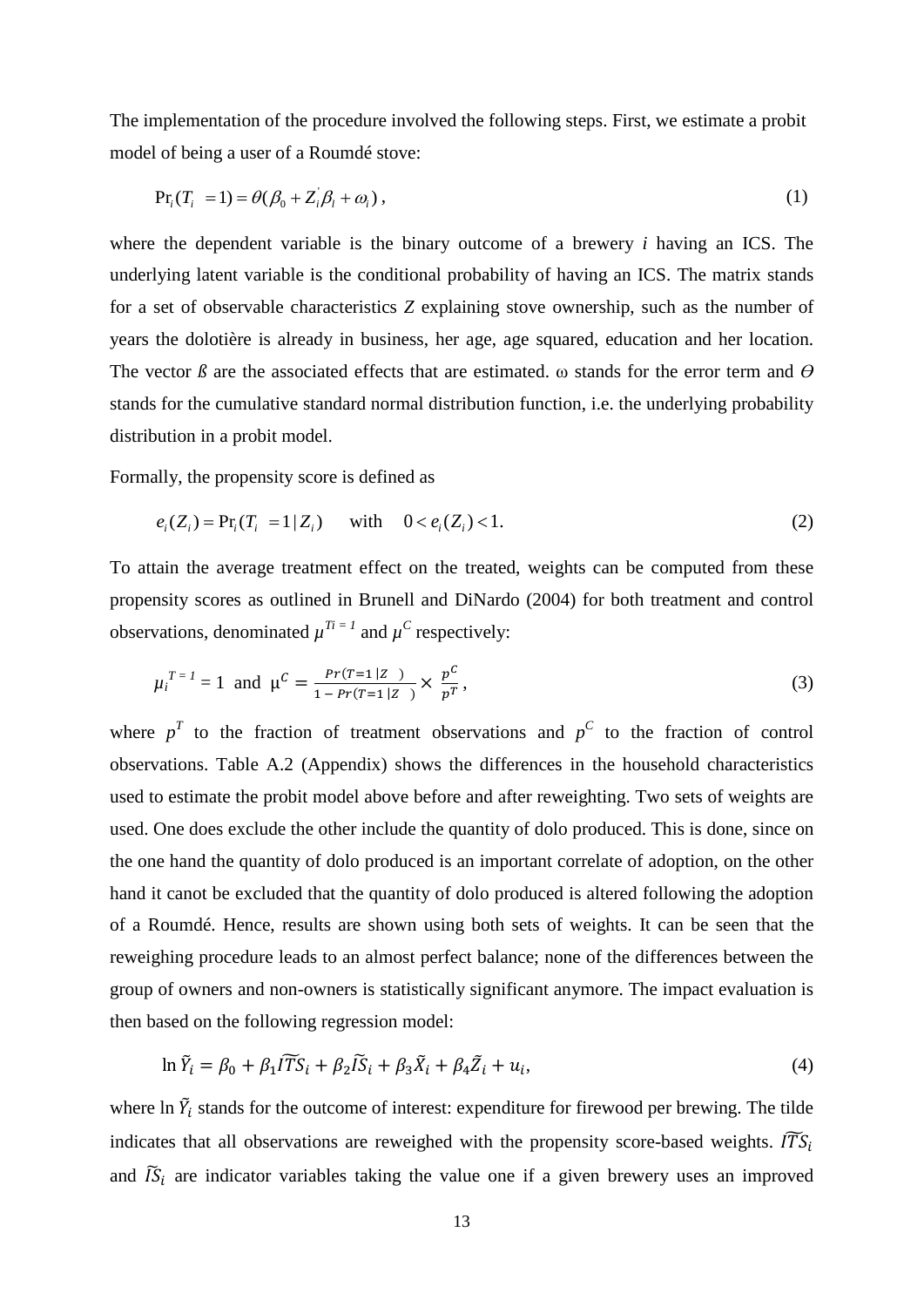The implementation of the procedure involved the following steps. First, we estimate a probit model of being a user of a Roumdé stove:

$$
\Pr_i(T_i = 1) = \theta(\beta_0 + Z_i'\beta_1 + \omega_i),\tag{1}
$$

where the dependent variable is the binary outcome of a brewery *i* having an ICS. The underlying latent variable is the conditional probability of having an ICS. The matrix stands for a set of observable characteristics *Z* explaining stove ownership, such as the number of years the dolotière is already in business, her age, age squared, education and her location. The vector *ß* are the associated effects that are estimated. ω stands for the error term and *ϴ* stands for the cumulative standard normal distribution function, i.e. the underlying probability distribution in a probit model.

Formally, the propensity score is defined as

$$
e_i(Z_i) = \Pr_i(T_i = 1 | Z_i) \quad \text{with} \quad 0 < e_i(Z_i) < 1. \tag{2}
$$

To attain the average treatment effect on the treated, weights can be computed from these propensity scores as outlined in Brunell and DiNardo (2004) for both treatment and control observations, denominated  $\mu^{T_i} = I$  and  $\mu^C$  respectively:

$$
\mu_i^{T=1} = 1 \text{ and } \mu^C = \frac{Pr(T=1|Z|)}{1 - Pr(T=1|Z|)} \times \frac{p^C}{p^T},
$$
\n(3)

where  $p^T$  to the fraction of treatment observations and  $p^C$  to the fraction of control observations. Table A.2 (Appendix) shows the differences in the household characteristics used to estimate the probit model above before and after reweighting. Two sets of weights are used. One does exclude the other include the quantity of dolo produced. This is done, since on the one hand the quantity of dolo produced is an important correlate of adoption, on the other hand it canot be excluded that the quantity of dolo produced is altered following the adoption of a Roumdé. Hence, results are shown using both sets of weights. It can be seen that the reweighing procedure leads to an almost perfect balance; none of the differences between the group of owners and non-owners is statistically significant anymore. The impact evaluation is then based on the following regression model:

$$
\ln \tilde{Y}_i = \beta_0 + \beta_1 \tilde{T} S_i + \beta_2 \tilde{I} S_i + \beta_3 \tilde{X}_i + \beta_4 \tilde{Z}_i + u_i,\tag{4}
$$

where ln  $\tilde{Y}_i$  stands for the outcome of interest: expenditure for firewood per brewing. The tilde indicates that all observations are reweighed with the propensity score-based weights.  $\widetilde{TS}_i$ and  $\tilde{IS}_i$  are indicator variables taking the value one if a given brewery uses an improved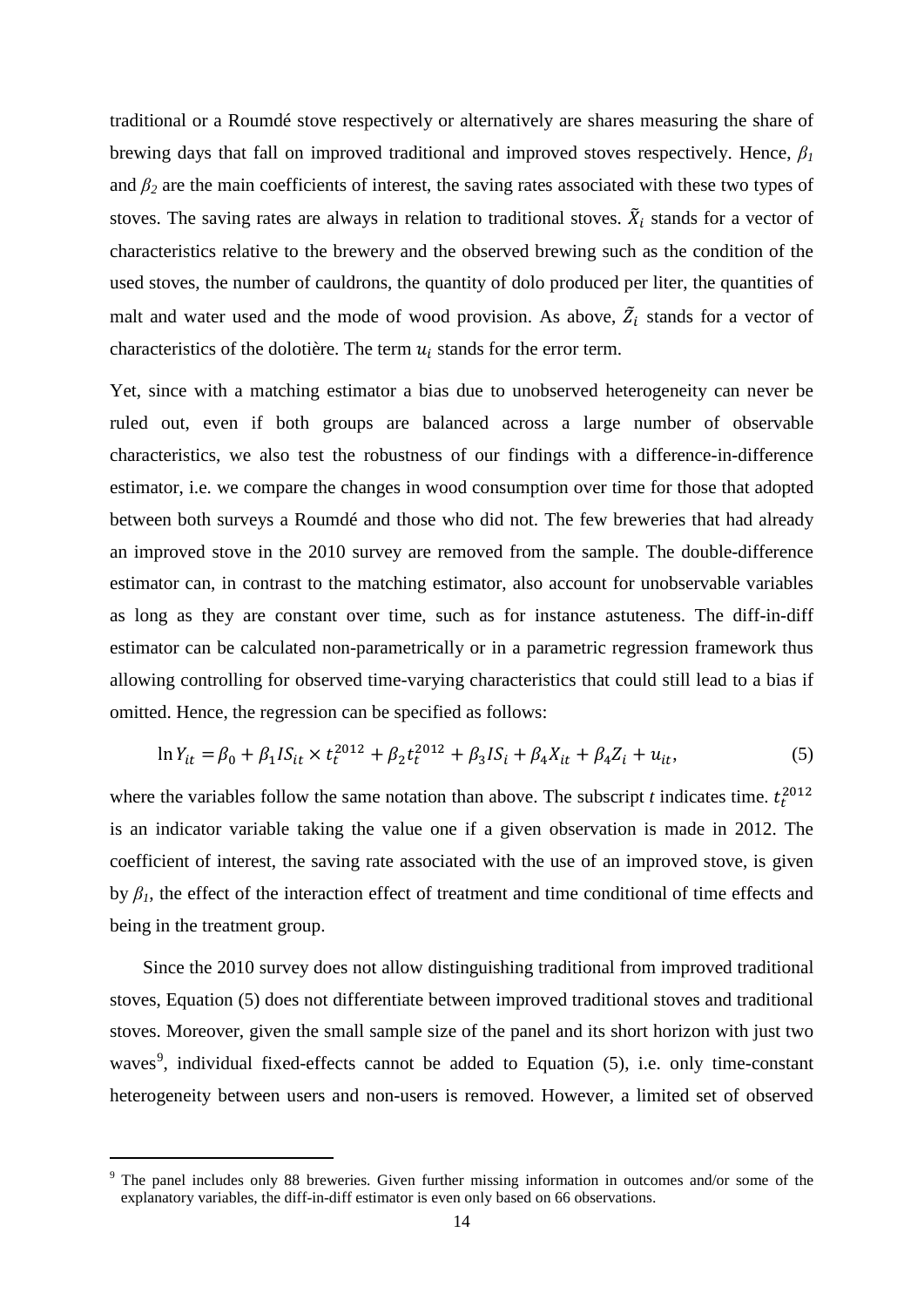traditional or a Roumdé stove respectively or alternatively are shares measuring the share of brewing days that fall on improved traditional and improved stoves respectively. Hence, *β<sup>1</sup>* and  $\beta_2$  are the main coefficients of interest, the saving rates associated with these two types of stoves. The saving rates are always in relation to traditional stoves.  $\tilde{X}_i$  stands for a vector of characteristics relative to the brewery and the observed brewing such as the condition of the used stoves, the number of cauldrons, the quantity of dolo produced per liter, the quantities of malt and water used and the mode of wood provision. As above,  $\overline{Z}_i$  stands for a vector of characteristics of the dolotière. The term  $u_i$  stands for the error term.

Yet, since with a matching estimator a bias due to unobserved heterogeneity can never be ruled out, even if both groups are balanced across a large number of observable characteristics, we also test the robustness of our findings with a difference-in-difference estimator, i.e. we compare the changes in wood consumption over time for those that adopted between both surveys a Roumdé and those who did not. The few breweries that had already an improved stove in the 2010 survey are removed from the sample. The double-difference estimator can, in contrast to the matching estimator, also account for unobservable variables as long as they are constant over time, such as for instance astuteness. The diff-in-diff estimator can be calculated non-parametrically or in a parametric regression framework thus allowing controlling for observed time-varying characteristics that could still lead to a bias if omitted. Hence, the regression can be specified as follows:

$$
\ln Y_{it} = \beta_0 + \beta_1 IS_{it} \times t_t^{2012} + \beta_2 t_t^{2012} + \beta_3 IS_i + \beta_4 X_{it} + \beta_4 Z_i + u_{it},\tag{5}
$$

where the variables follow the same notation than above. The subscript *t* indicates time.  $t_t^{2012}$ is an indicator variable taking the value one if a given observation is made in 2012. The coefficient of interest, the saving rate associated with the use of an improved stove, is given by  $\beta$ <sub>*l*</sub>, the effect of the interaction effect of treatment and time conditional of time effects and being in the treatment group.

Since the 2010 survey does not allow distinguishing traditional from improved traditional stoves, Equation (5) does not differentiate between improved traditional stoves and traditional stoves. Moreover, given the small sample size of the panel and its short horizon with just two waves<sup>[9](#page-13-0)</sup>, individual fixed-effects cannot be added to Equation (5), i.e. only time-constant heterogeneity between users and non-users is removed. However, a limited set of observed

<span id="page-15-0"></span> $\overline{a}$ 

The panel includes only 88 breweries. Given further missing information in outcomes and/or some of the explanatory variables, the diff-in-diff estimator is even only based on 66 observations.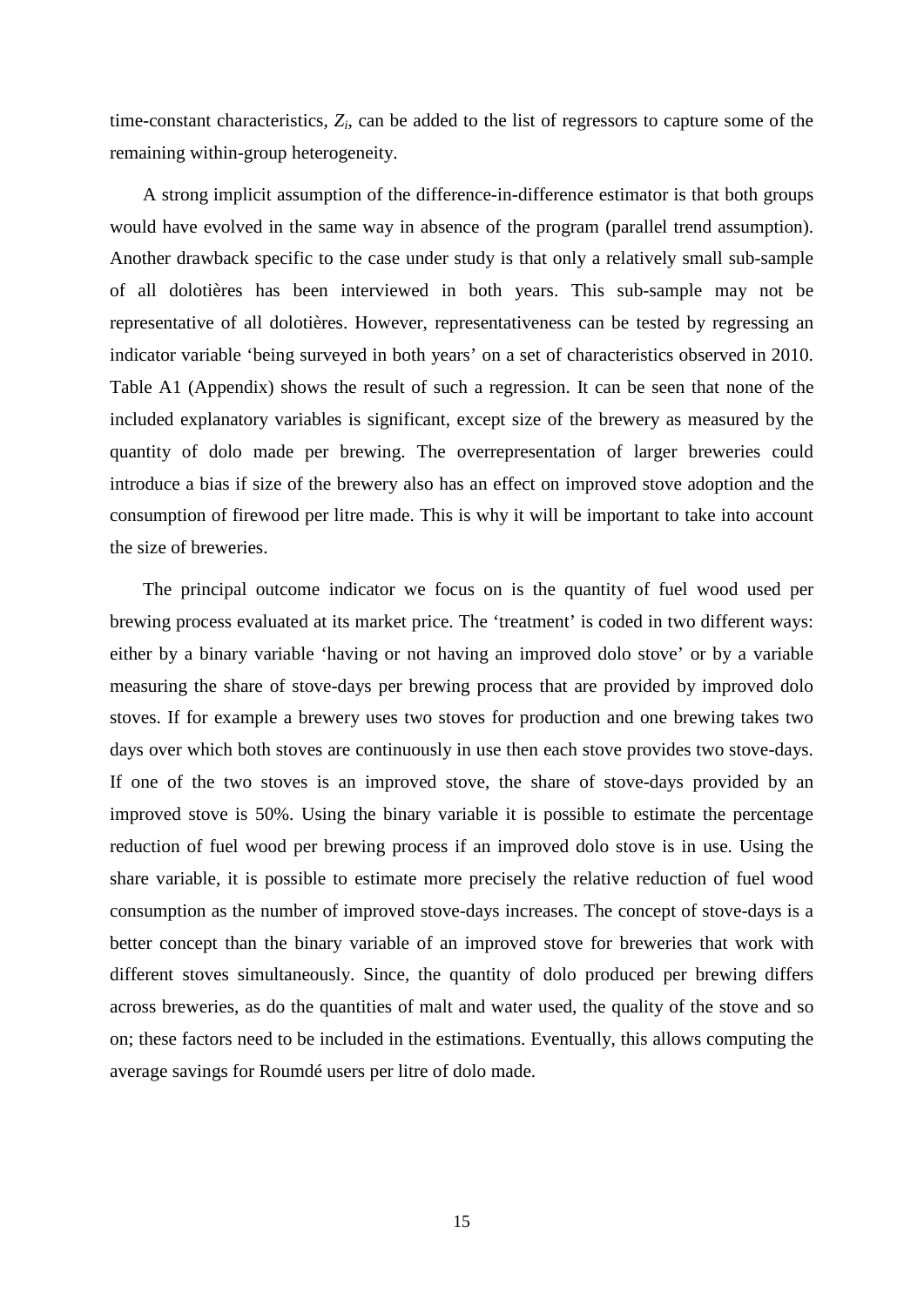time-constant characteristics, *Zi*, can be added to the list of regressors to capture some of the remaining within-group heterogeneity.

A strong implicit assumption of the difference-in-difference estimator is that both groups would have evolved in the same way in absence of the program (parallel trend assumption). Another drawback specific to the case under study is that only a relatively small sub-sample of all dolotières has been interviewed in both years. This sub-sample may not be representative of all dolotières. However, representativeness can be tested by regressing an indicator variable 'being surveyed in both years' on a set of characteristics observed in 2010. Table A1 (Appendix) shows the result of such a regression. It can be seen that none of the included explanatory variables is significant, except size of the brewery as measured by the quantity of dolo made per brewing. The overrepresentation of larger breweries could introduce a bias if size of the brewery also has an effect on improved stove adoption and the consumption of firewood per litre made. This is why it will be important to take into account the size of breweries.

The principal outcome indicator we focus on is the quantity of fuel wood used per brewing process evaluated at its market price. The 'treatment' is coded in two different ways: either by a binary variable 'having or not having an improved dolo stove' or by a variable measuring the share of stove-days per brewing process that are provided by improved dolo stoves. If for example a brewery uses two stoves for production and one brewing takes two days over which both stoves are continuously in use then each stove provides two stove-days. If one of the two stoves is an improved stove, the share of stove-days provided by an improved stove is 50%. Using the binary variable it is possible to estimate the percentage reduction of fuel wood per brewing process if an improved dolo stove is in use. Using the share variable, it is possible to estimate more precisely the relative reduction of fuel wood consumption as the number of improved stove-days increases. The concept of stove-days is a better concept than the binary variable of an improved stove for breweries that work with different stoves simultaneously. Since, the quantity of dolo produced per brewing differs across breweries, as do the quantities of malt and water used, the quality of the stove and so on; these factors need to be included in the estimations. Eventually, this allows computing the average savings for Roumdé users per litre of dolo made.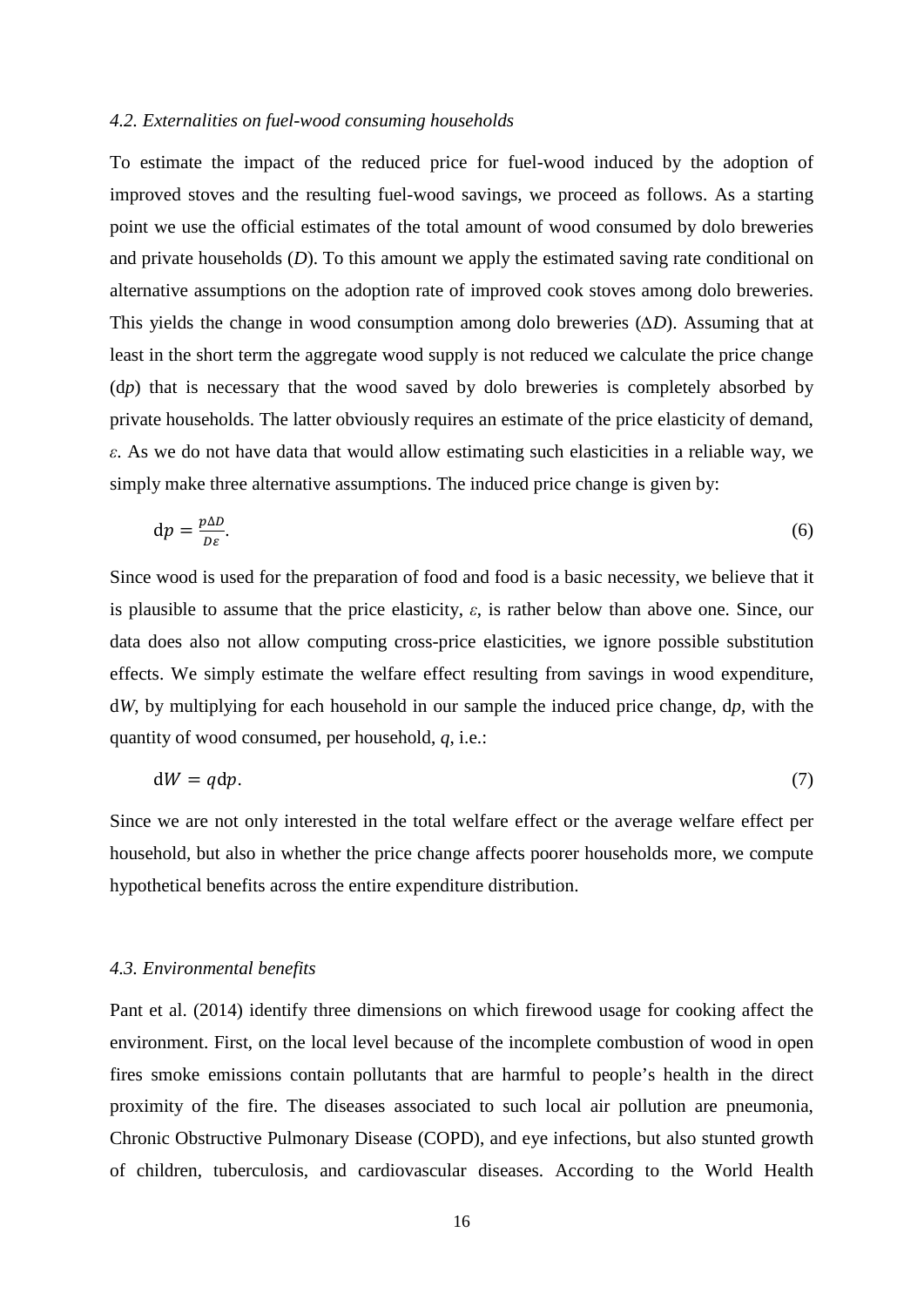#### *4.2. Externalities on fuel-wood consuming households*

To estimate the impact of the reduced price for fuel-wood induced by the adoption of improved stoves and the resulting fuel-wood savings, we proceed as follows. As a starting point we use the official estimates of the total amount of wood consumed by dolo breweries and private households (*D*). To this amount we apply the estimated saving rate conditional on alternative assumptions on the adoption rate of improved cook stoves among dolo breweries. This yields the change in wood consumption among dolo breweries (*∆D*). Assuming that at least in the short term the aggregate wood supply is not reduced we calculate the price change (d*p*) that is necessary that the wood saved by dolo breweries is completely absorbed by private households. The latter obviously requires an estimate of the price elasticity of demand, *ε*. As we do not have data that would allow estimating such elasticities in a reliable way, we simply make three alternative assumptions. The induced price change is given by:

$$
dp = \frac{p\Delta D}{D\varepsilon}.\tag{6}
$$

Since wood is used for the preparation of food and food is a basic necessity, we believe that it is plausible to assume that the price elasticity,  $\varepsilon$ , is rather below than above one. Since, our data does also not allow computing cross-price elasticities, we ignore possible substitution effects. We simply estimate the welfare effect resulting from savings in wood expenditure, d*W*, by multiplying for each household in our sample the induced price change, d*p*, with the quantity of wood consumed, per household, *q*, i.e.:

$$
dW = qdp. \t\t(7)
$$

Since we are not only interested in the total welfare effect or the average welfare effect per household, but also in whether the price change affects poorer households more, we compute hypothetical benefits across the entire expenditure distribution.

#### *4.3. Environmental benefits*

Pant et al. (2014) identify three dimensions on which firewood usage for cooking affect the environment. First, on the local level because of the incomplete combustion of wood in open fires smoke emissions contain pollutants that are harmful to people's health in the direct proximity of the fire. The diseases associated to such local air pollution are pneumonia, Chronic Obstructive Pulmonary Disease (COPD), and eye infections, but also stunted growth of children, tuberculosis, and cardiovascular diseases. According to the World Health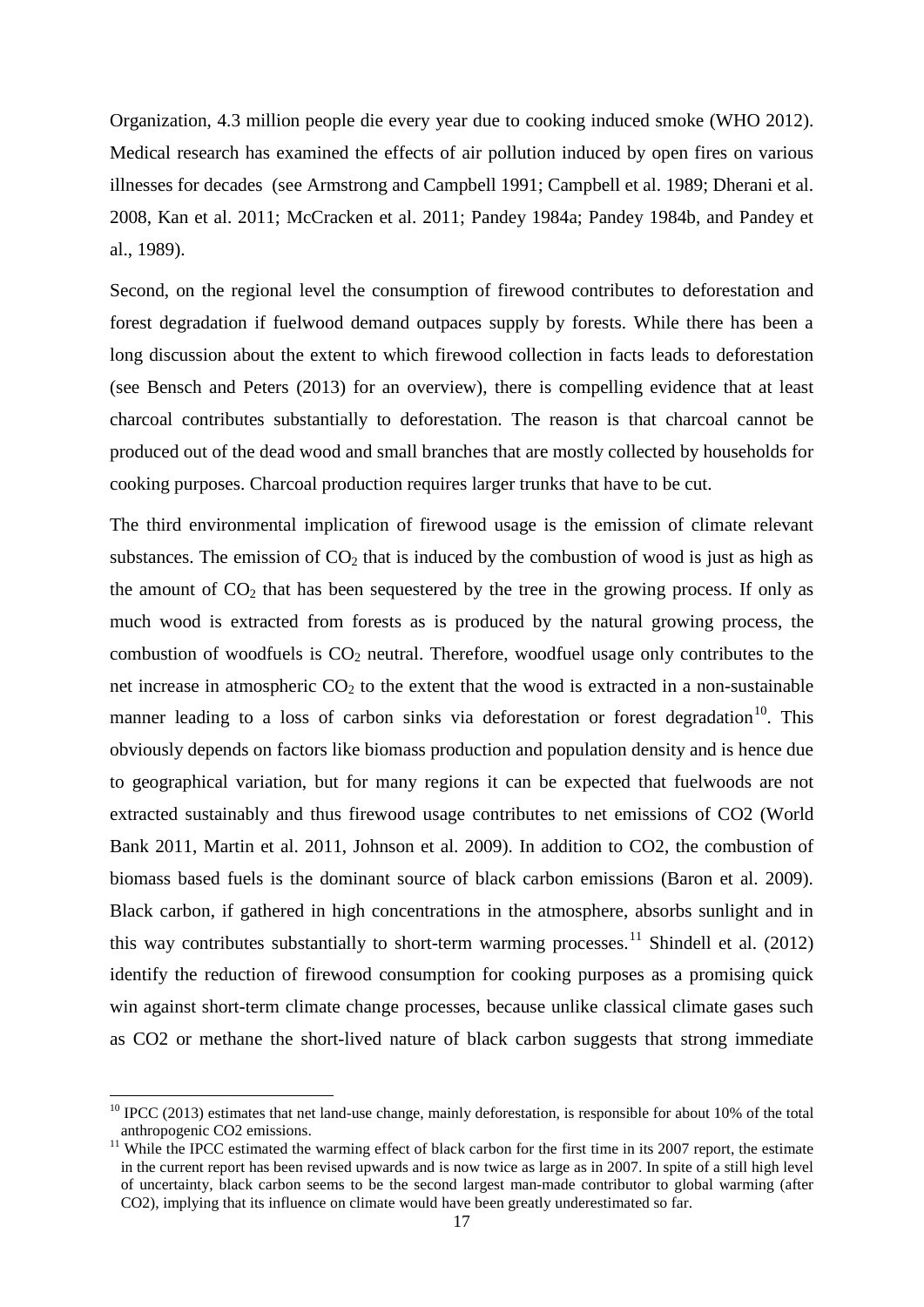Organization, 4.3 million people die every year due to cooking induced smoke (WHO 2012). Medical research has examined the effects of air pollution induced by open fires on various illnesses for decades (see Armstrong and Campbell 1991; Campbell et al. 1989; Dherani et al. 2008, Kan et al. 2011; McCracken et al. 2011; Pandey 1984a; Pandey 1984b, and Pandey et al., 1989).

Second, on the regional level the consumption of firewood contributes to deforestation and forest degradation if fuelwood demand outpaces supply by forests. While there has been a long discussion about the extent to which firewood collection in facts leads to deforestation (see Bensch and Peters (2013) for an overview), there is compelling evidence that at least charcoal contributes substantially to deforestation. The reason is that charcoal cannot be produced out of the dead wood and small branches that are mostly collected by households for cooking purposes. Charcoal production requires larger trunks that have to be cut.

The third environmental implication of firewood usage is the emission of climate relevant substances. The emission of  $CO<sub>2</sub>$  that is induced by the combustion of wood is just as high as the amount of  $CO<sub>2</sub>$  that has been sequestered by the tree in the growing process. If only as much wood is extracted from forests as is produced by the natural growing process, the combustion of woodfuels is  $CO<sub>2</sub>$  neutral. Therefore, woodfuel usage only contributes to the net increase in atmospheric  $CO<sub>2</sub>$  to the extent that the wood is extracted in a non-sustainable manner leading to a loss of carbon sinks via deforestation or forest degradation<sup>[10](#page-15-0)</sup>. This obviously depends on factors like biomass production and population density and is hence due to geographical variation, but for many regions it can be expected that fuelwoods are not extracted sustainably and thus firewood usage contributes to net emissions of CO2 (World Bank 2011, Martin et al. 2011, Johnson et al. 2009). In addition to CO2, the combustion of biomass based fuels is the dominant source of black carbon emissions (Baron et al. 2009). Black carbon, if gathered in high concentrations in the atmosphere, absorbs sunlight and in this way contributes substantially to short-term warming processes.<sup>[11](#page-18-0)</sup> Shindell et al. (2012) identify the reduction of firewood consumption for cooking purposes as a promising quick win against short-term climate change processes, because unlike classical climate gases such as CO2 or methane the short-lived nature of black carbon suggests that strong immediate

<sup>&</sup>lt;sup>10</sup> IPCC (2013) estimates that net land-use change, mainly deforestation, is responsible for about 10% of the total anthropogenic CO2 emissions.

<span id="page-18-1"></span><span id="page-18-0"></span><sup>&</sup>lt;sup>11</sup> While the IPCC estimated the warming effect of black carbon for the first time in its 2007 report, the estimate in the current report has been revised upwards and is now twice as large as in 2007. In spite of a still high level of uncertainty, black carbon seems to be the second largest man-made contributor to global warming (after CO2), implying that its influence on climate would have been greatly underestimated so far.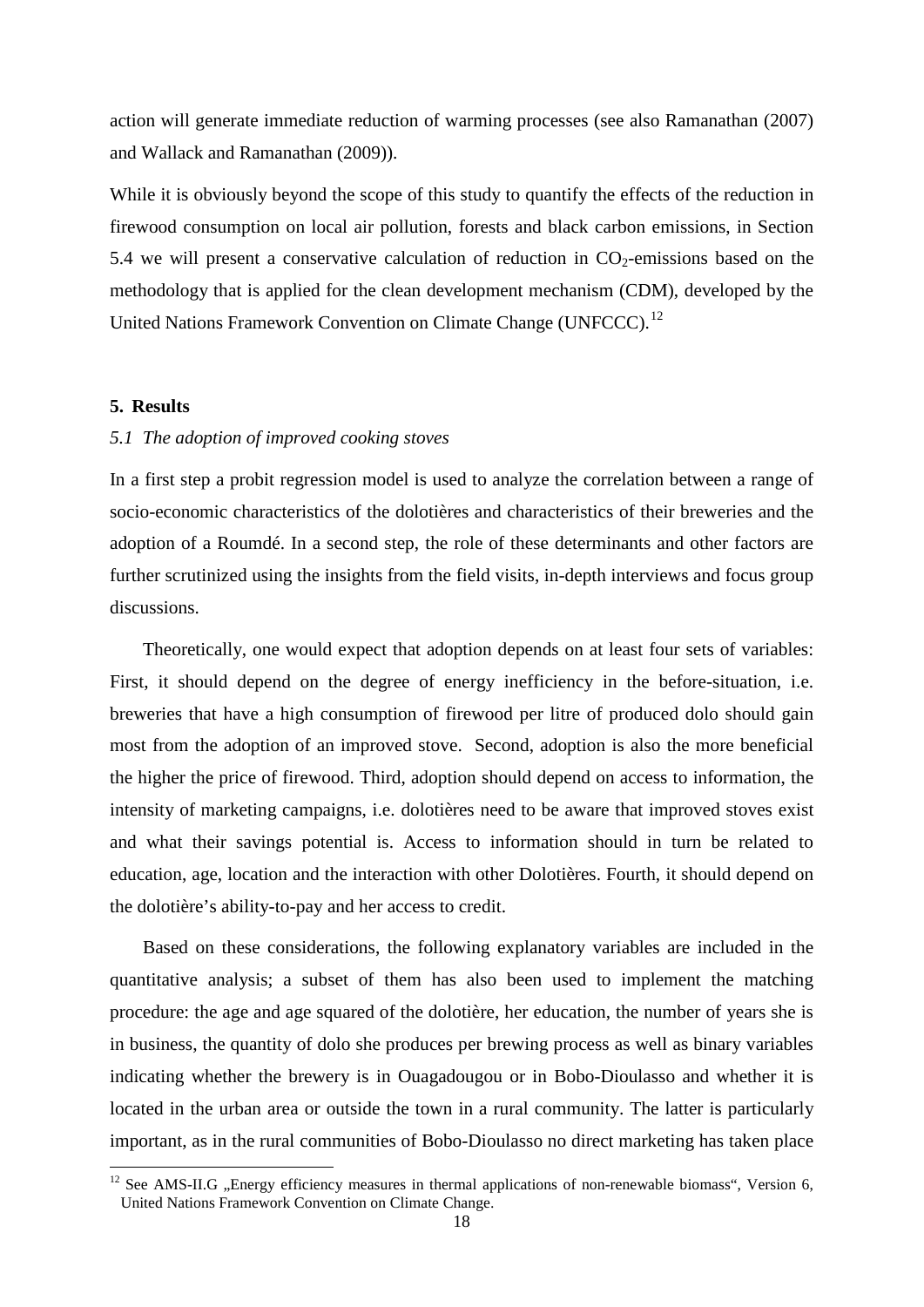action will generate immediate reduction of warming processes (see also Ramanathan (2007) and Wallack and Ramanathan (2009)).

While it is obviously beyond the scope of this study to quantify the effects of the reduction in firewood consumption on local air pollution, forests and black carbon emissions, in Section 5.4 we will present a conservative calculation of reduction in  $CO<sub>2</sub>$ -emissions based on the methodology that is applied for the clean development mechanism (CDM), developed by the United Nations Framework Convention on Climate Change (UNFCCC).<sup>[12](#page-18-1)</sup>

#### **5. Results**

#### *5.1 The adoption of improved cooking stoves*

In a first step a probit regression model is used to analyze the correlation between a range of socio-economic characteristics of the dolotières and characteristics of their breweries and the adoption of a Roumdé. In a second step, the role of these determinants and other factors are further scrutinized using the insights from the field visits, in-depth interviews and focus group discussions.

Theoretically, one would expect that adoption depends on at least four sets of variables: First, it should depend on the degree of energy inefficiency in the before-situation, i.e. breweries that have a high consumption of firewood per litre of produced dolo should gain most from the adoption of an improved stove. Second, adoption is also the more beneficial the higher the price of firewood. Third, adoption should depend on access to information, the intensity of marketing campaigns, i.e. dolotières need to be aware that improved stoves exist and what their savings potential is. Access to information should in turn be related to education, age, location and the interaction with other Dolotières. Fourth, it should depend on the dolotière's ability-to-pay and her access to credit.

Based on these considerations, the following explanatory variables are included in the quantitative analysis; a subset of them has also been used to implement the matching procedure: the age and age squared of the dolotière, her education, the number of years she is in business, the quantity of dolo she produces per brewing process as well as binary variables indicating whether the brewery is in Ouagadougou or in Bobo-Dioulasso and whether it is located in the urban area or outside the town in a rural community. The latter is particularly important, as in the rural communities of Bobo-Dioulasso no direct marketing has taken place

<span id="page-19-0"></span><sup>&</sup>lt;sup>12</sup> See AMS-II.G . Energy efficiency measures in thermal applications of non-renewable biomass", Version 6, United Nations Framework Convention on Climate Change.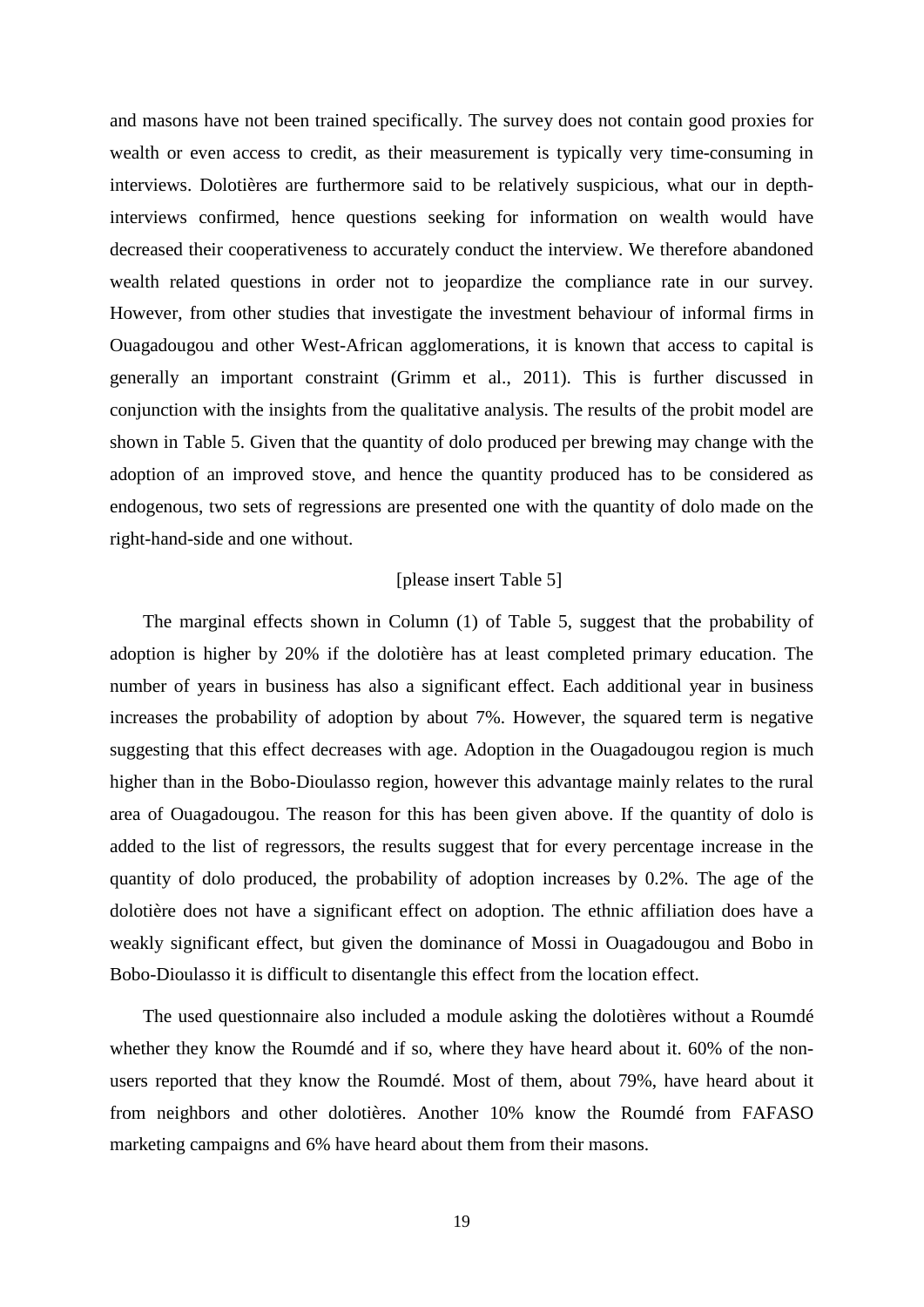and masons have not been trained specifically. The survey does not contain good proxies for wealth or even access to credit, as their measurement is typically very time-consuming in interviews. Dolotières are furthermore said to be relatively suspicious, what our in depthinterviews confirmed, hence questions seeking for information on wealth would have decreased their cooperativeness to accurately conduct the interview. We therefore abandoned wealth related questions in order not to jeopardize the compliance rate in our survey. However, from other studies that investigate the investment behaviour of informal firms in Ouagadougou and other West-African agglomerations, it is known that access to capital is generally an important constraint (Grimm et al., 2011). This is further discussed in conjunction with the insights from the qualitative analysis. The results of the probit model are shown in Table 5. Given that the quantity of dolo produced per brewing may change with the adoption of an improved stove, and hence the quantity produced has to be considered as endogenous, two sets of regressions are presented one with the quantity of dolo made on the right-hand-side and one without.

#### [please insert Table 5]

The marginal effects shown in Column (1) of Table 5, suggest that the probability of adoption is higher by 20% if the dolotière has at least completed primary education. The number of years in business has also a significant effect. Each additional year in business increases the probability of adoption by about 7%. However, the squared term is negative suggesting that this effect decreases with age. Adoption in the Ouagadougou region is much higher than in the Bobo-Dioulasso region, however this advantage mainly relates to the rural area of Ouagadougou. The reason for this has been given above. If the quantity of dolo is added to the list of regressors, the results suggest that for every percentage increase in the quantity of dolo produced, the probability of adoption increases by 0.2%. The age of the dolotière does not have a significant effect on adoption. The ethnic affiliation does have a weakly significant effect, but given the dominance of Mossi in Ouagadougou and Bobo in Bobo-Dioulasso it is difficult to disentangle this effect from the location effect.

The used questionnaire also included a module asking the dolotières without a Roumdé whether they know the Roumdé and if so, where they have heard about it. 60% of the nonusers reported that they know the Roumdé. Most of them, about 79%, have heard about it from neighbors and other dolotières. Another 10% know the Roumdé from FAFASO marketing campaigns and 6% have heard about them from their masons.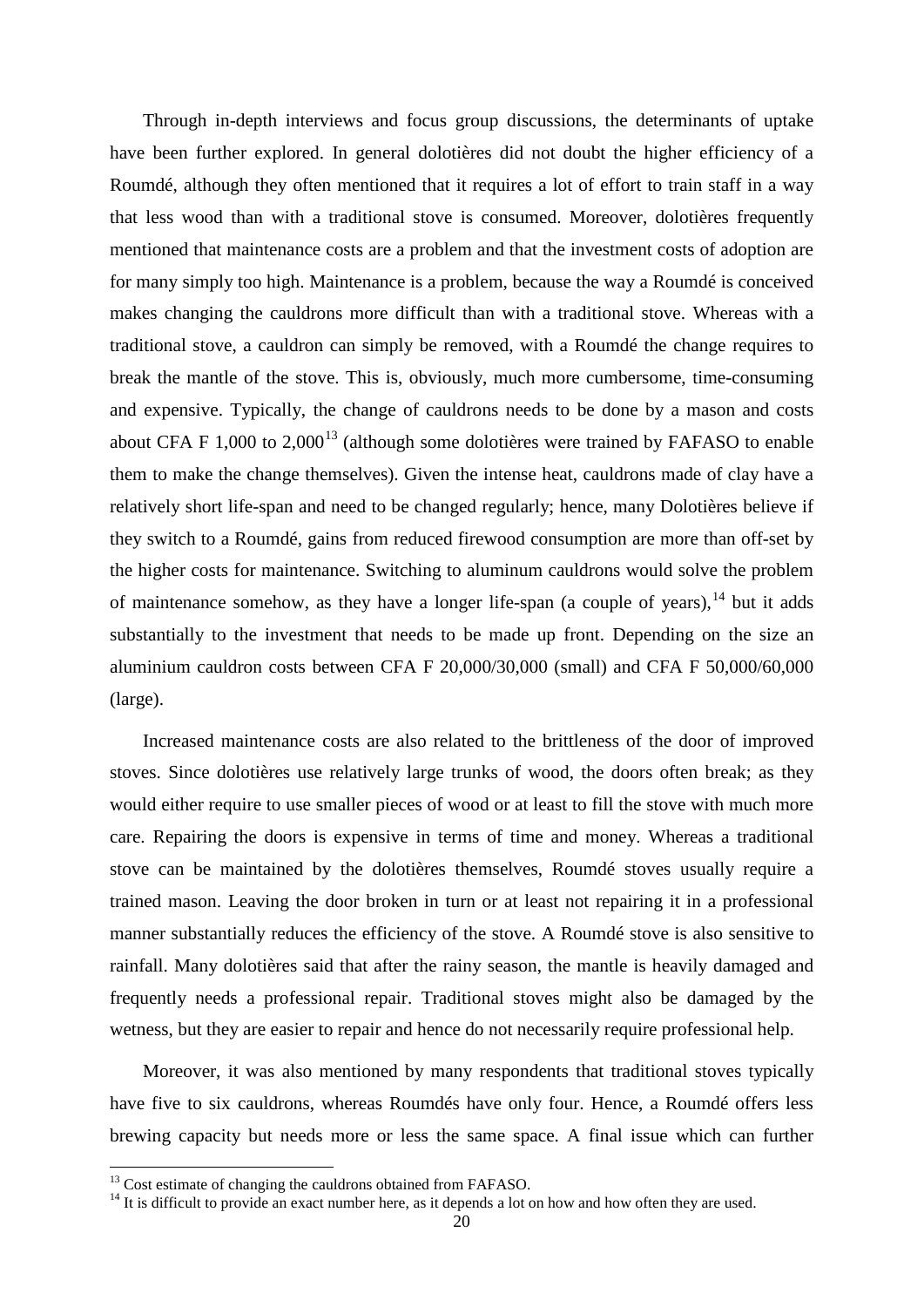Through in-depth interviews and focus group discussions, the determinants of uptake have been further explored. In general dolotières did not doubt the higher efficiency of a Roumdé, although they often mentioned that it requires a lot of effort to train staff in a way that less wood than with a traditional stove is consumed. Moreover, dolotières frequently mentioned that maintenance costs are a problem and that the investment costs of adoption are for many simply too high. Maintenance is a problem, because the way a Roumdé is conceived makes changing the cauldrons more difficult than with a traditional stove. Whereas with a traditional stove, a cauldron can simply be removed, with a Roumdé the change requires to break the mantle of the stove. This is, obviously, much more cumbersome, time-consuming and expensive. Typically, the change of cauldrons needs to be done by a mason and costs about CFA F  $1,000$  to  $2,000^{13}$  $2,000^{13}$  $2,000^{13}$  (although some dolotières were trained by FAFASO to enable them to make the change themselves). Given the intense heat, cauldrons made of clay have a relatively short life-span and need to be changed regularly; hence, many Dolotières believe if they switch to a Roumdé, gains from reduced firewood consumption are more than off-set by the higher costs for maintenance. Switching to aluminum cauldrons would solve the problem of maintenance somehow, as they have a longer life-span (a couple of years),  $^{14}$  $^{14}$  $^{14}$  but it adds substantially to the investment that needs to be made up front. Depending on the size an aluminium cauldron costs between CFA F 20,000/30,000 (small) and CFA F 50,000/60,000 (large).

Increased maintenance costs are also related to the brittleness of the door of improved stoves. Since dolotières use relatively large trunks of wood, the doors often break; as they would either require to use smaller pieces of wood or at least to fill the stove with much more care. Repairing the doors is expensive in terms of time and money. Whereas a traditional stove can be maintained by the dolotières themselves, Roumdé stoves usually require a trained mason. Leaving the door broken in turn or at least not repairing it in a professional manner substantially reduces the efficiency of the stove. A Roumdé stove is also sensitive to rainfall. Many dolotières said that after the rainy season, the mantle is heavily damaged and frequently needs a professional repair. Traditional stoves might also be damaged by the wetness, but they are easier to repair and hence do not necessarily require professional help.

<span id="page-21-1"></span>Moreover, it was also mentioned by many respondents that traditional stoves typically have five to six cauldrons, whereas Roumdés have only four. Hence, a Roumdé offers less brewing capacity but needs more or less the same space. A final issue which can further

<span id="page-21-0"></span>

<sup>&</sup>lt;sup>13</sup> Cost estimate of changing the cauldrons obtained from FAFASO.<br><sup>14</sup> It is difficult to provide an exact number here, as it depends a lot on how and how often they are used.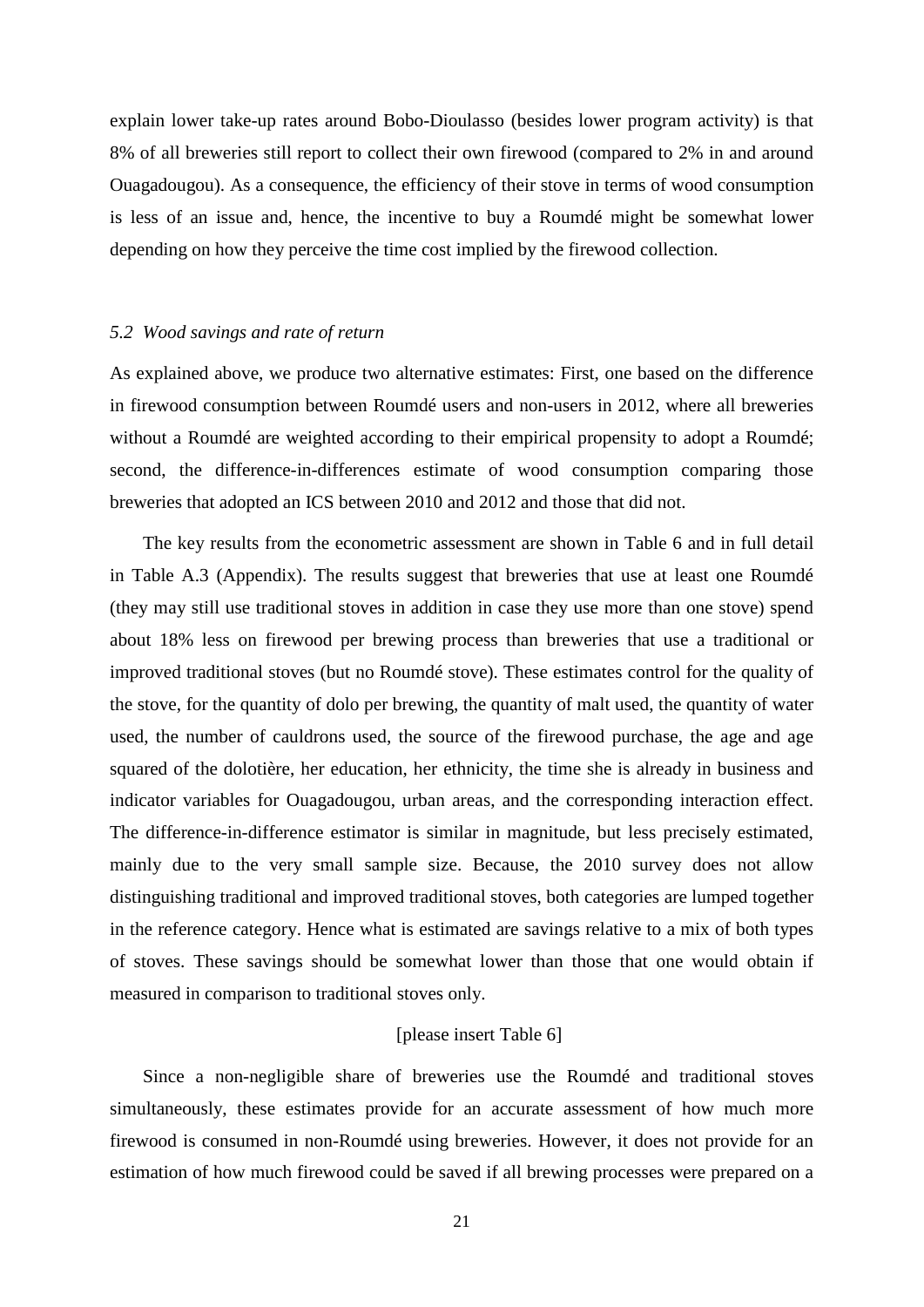explain lower take-up rates around Bobo-Dioulasso (besides lower program activity) is that 8% of all breweries still report to collect their own firewood (compared to 2% in and around Ouagadougou). As a consequence, the efficiency of their stove in terms of wood consumption is less of an issue and, hence, the incentive to buy a Roumdé might be somewhat lower depending on how they perceive the time cost implied by the firewood collection.

#### *5.2 Wood savings and rate of return*

As explained above, we produce two alternative estimates: First, one based on the difference in firewood consumption between Roumdé users and non-users in 2012, where all breweries without a Roumdé are weighted according to their empirical propensity to adopt a Roumdé; second, the difference-in-differences estimate of wood consumption comparing those breweries that adopted an ICS between 2010 and 2012 and those that did not.

The key results from the econometric assessment are shown in Table 6 and in full detail in Table A.3 (Appendix). The results suggest that breweries that use at least one Roumdé (they may still use traditional stoves in addition in case they use more than one stove) spend about 18% less on firewood per brewing process than breweries that use a traditional or improved traditional stoves (but no Roumdé stove). These estimates control for the quality of the stove, for the quantity of dolo per brewing, the quantity of malt used, the quantity of water used, the number of cauldrons used, the source of the firewood purchase, the age and age squared of the dolotière, her education, her ethnicity, the time she is already in business and indicator variables for Ouagadougou, urban areas, and the corresponding interaction effect. The difference-in-difference estimator is similar in magnitude, but less precisely estimated, mainly due to the very small sample size. Because, the 2010 survey does not allow distinguishing traditional and improved traditional stoves, both categories are lumped together in the reference category. Hence what is estimated are savings relative to a mix of both types of stoves. These savings should be somewhat lower than those that one would obtain if measured in comparison to traditional stoves only.

#### [please insert Table 6]

Since a non-negligible share of breweries use the Roumdé and traditional stoves simultaneously, these estimates provide for an accurate assessment of how much more firewood is consumed in non-Roumdé using breweries. However, it does not provide for an estimation of how much firewood could be saved if all brewing processes were prepared on a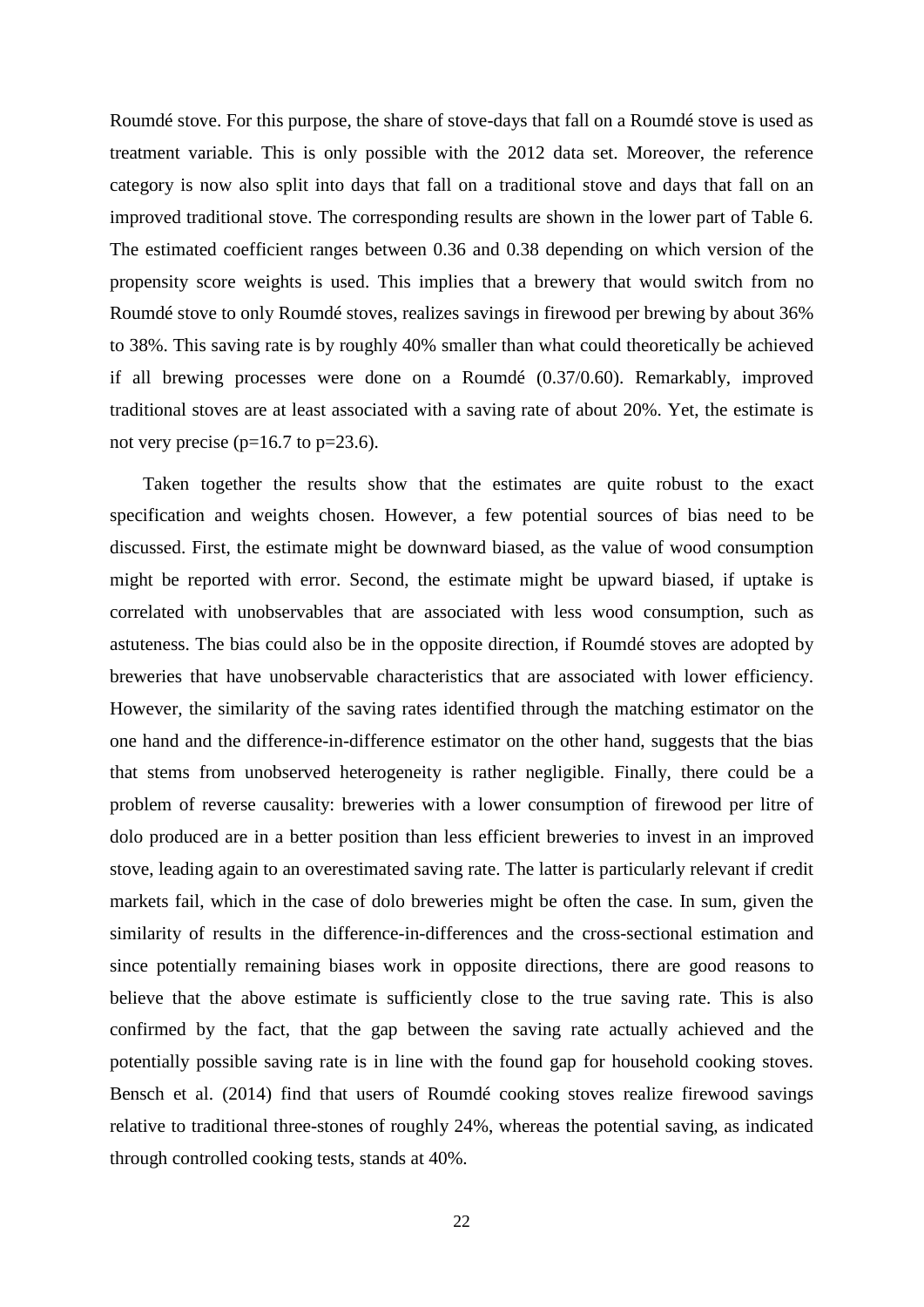Roumdé stove. For this purpose, the share of stove-days that fall on a Roumdé stove is used as treatment variable. This is only possible with the 2012 data set. Moreover, the reference category is now also split into days that fall on a traditional stove and days that fall on an improved traditional stove. The corresponding results are shown in the lower part of Table 6. The estimated coefficient ranges between 0.36 and 0.38 depending on which version of the propensity score weights is used. This implies that a brewery that would switch from no Roumdé stove to only Roumdé stoves, realizes savings in firewood per brewing by about 36% to 38%. This saving rate is by roughly 40% smaller than what could theoretically be achieved if all brewing processes were done on a Roumdé (0.37/0.60). Remarkably, improved traditional stoves are at least associated with a saving rate of about 20%. Yet, the estimate is not very precise ( $p=16.7$  to  $p=23.6$ ).

Taken together the results show that the estimates are quite robust to the exact specification and weights chosen. However, a few potential sources of bias need to be discussed. First, the estimate might be downward biased, as the value of wood consumption might be reported with error. Second, the estimate might be upward biased, if uptake is correlated with unobservables that are associated with less wood consumption, such as astuteness. The bias could also be in the opposite direction, if Roumdé stoves are adopted by breweries that have unobservable characteristics that are associated with lower efficiency. However, the similarity of the saving rates identified through the matching estimator on the one hand and the difference-in-difference estimator on the other hand, suggests that the bias that stems from unobserved heterogeneity is rather negligible. Finally, there could be a problem of reverse causality: breweries with a lower consumption of firewood per litre of dolo produced are in a better position than less efficient breweries to invest in an improved stove, leading again to an overestimated saving rate. The latter is particularly relevant if credit markets fail, which in the case of dolo breweries might be often the case. In sum, given the similarity of results in the difference-in-differences and the cross-sectional estimation and since potentially remaining biases work in opposite directions, there are good reasons to believe that the above estimate is sufficiently close to the true saving rate. This is also confirmed by the fact, that the gap between the saving rate actually achieved and the potentially possible saving rate is in line with the found gap for household cooking stoves. Bensch et al. (2014) find that users of Roumdé cooking stoves realize firewood savings relative to traditional three-stones of roughly 24%, whereas the potential saving, as indicated through controlled cooking tests, stands at 40%.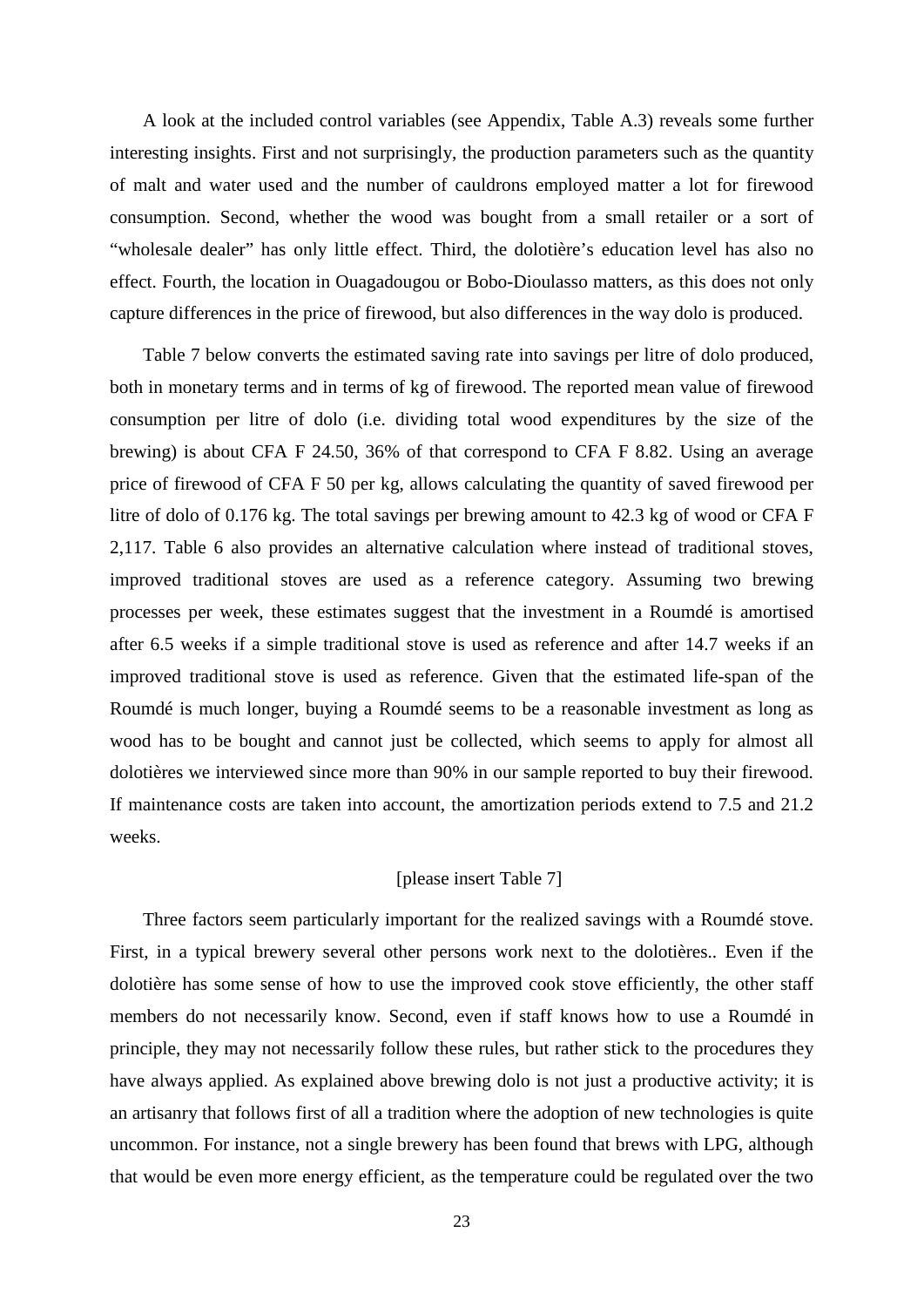A look at the included control variables (see Appendix, Table A.3) reveals some further interesting insights. First and not surprisingly, the production parameters such as the quantity of malt and water used and the number of cauldrons employed matter a lot for firewood consumption. Second, whether the wood was bought from a small retailer or a sort of "wholesale dealer" has only little effect. Third, the dolotière's education level has also no effect. Fourth, the location in Ouagadougou or Bobo-Dioulasso matters, as this does not only capture differences in the price of firewood, but also differences in the way dolo is produced.

Table 7 below converts the estimated saving rate into savings per litre of dolo produced, both in monetary terms and in terms of kg of firewood. The reported mean value of firewood consumption per litre of dolo (i.e. dividing total wood expenditures by the size of the brewing) is about CFA F 24.50, 36% of that correspond to CFA F 8.82. Using an average price of firewood of CFA F 50 per kg, allows calculating the quantity of saved firewood per litre of dolo of 0.176 kg. The total savings per brewing amount to 42.3 kg of wood or CFA F 2,117. Table 6 also provides an alternative calculation where instead of traditional stoves, improved traditional stoves are used as a reference category. Assuming two brewing processes per week, these estimates suggest that the investment in a Roumdé is amortised after 6.5 weeks if a simple traditional stove is used as reference and after 14.7 weeks if an improved traditional stove is used as reference. Given that the estimated life-span of the Roumdé is much longer, buying a Roumdé seems to be a reasonable investment as long as wood has to be bought and cannot just be collected, which seems to apply for almost all dolotières we interviewed since more than 90% in our sample reported to buy their firewood. If maintenance costs are taken into account, the amortization periods extend to 7.5 and 21.2 weeks.

#### [please insert Table 7]

Three factors seem particularly important for the realized savings with a Roumdé stove. First, in a typical brewery several other persons work next to the dolotières.. Even if the dolotière has some sense of how to use the improved cook stove efficiently, the other staff members do not necessarily know. Second, even if staff knows how to use a Roumdé in principle, they may not necessarily follow these rules, but rather stick to the procedures they have always applied. As explained above brewing dolo is not just a productive activity; it is an artisanry that follows first of all a tradition where the adoption of new technologies is quite uncommon. For instance, not a single brewery has been found that brews with LPG, although that would be even more energy efficient, as the temperature could be regulated over the two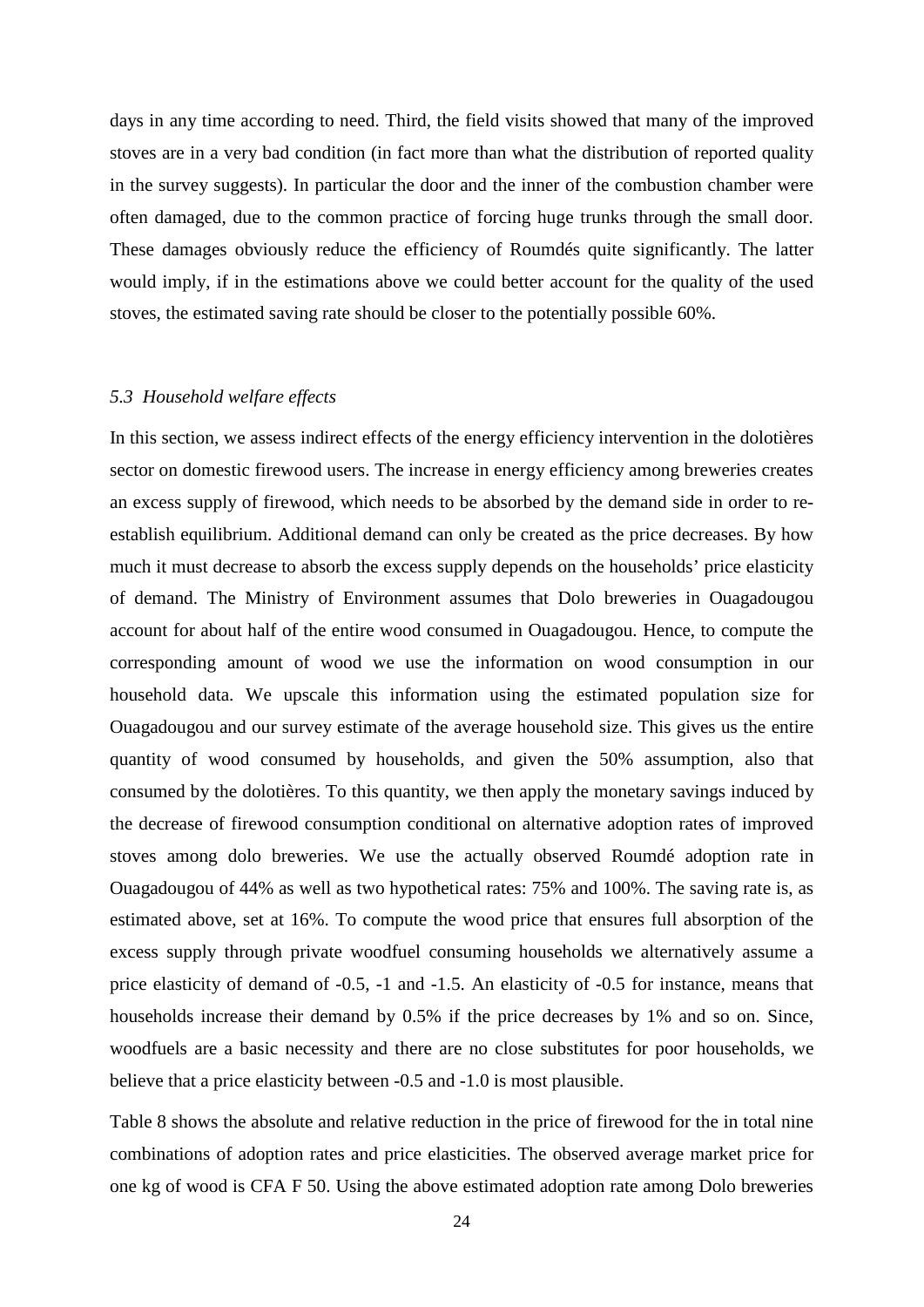days in any time according to need. Third, the field visits showed that many of the improved stoves are in a very bad condition (in fact more than what the distribution of reported quality in the survey suggests). In particular the door and the inner of the combustion chamber were often damaged, due to the common practice of forcing huge trunks through the small door. These damages obviously reduce the efficiency of Roumdés quite significantly. The latter would imply, if in the estimations above we could better account for the quality of the used stoves, the estimated saving rate should be closer to the potentially possible 60%.

#### *5.3 Household welfare effects*

In this section, we assess indirect effects of the energy efficiency intervention in the dolotières sector on domestic firewood users. The increase in energy efficiency among breweries creates an excess supply of firewood, which needs to be absorbed by the demand side in order to reestablish equilibrium. Additional demand can only be created as the price decreases. By how much it must decrease to absorb the excess supply depends on the households' price elasticity of demand. The Ministry of Environment assumes that Dolo breweries in Ouagadougou account for about half of the entire wood consumed in Ouagadougou. Hence, to compute the corresponding amount of wood we use the information on wood consumption in our household data. We upscale this information using the estimated population size for Ouagadougou and our survey estimate of the average household size. This gives us the entire quantity of wood consumed by households, and given the 50% assumption, also that consumed by the dolotières. To this quantity, we then apply the monetary savings induced by the decrease of firewood consumption conditional on alternative adoption rates of improved stoves among dolo breweries. We use the actually observed Roumdé adoption rate in Ouagadougou of 44% as well as two hypothetical rates: 75% and 100%. The saving rate is, as estimated above, set at 16%. To compute the wood price that ensures full absorption of the excess supply through private woodfuel consuming households we alternatively assume a price elasticity of demand of -0.5, -1 and -1.5. An elasticity of -0.5 for instance, means that households increase their demand by 0.5% if the price decreases by 1% and so on. Since, woodfuels are a basic necessity and there are no close substitutes for poor households, we believe that a price elasticity between -0.5 and -1.0 is most plausible.

Table 8 shows the absolute and relative reduction in the price of firewood for the in total nine combinations of adoption rates and price elasticities. The observed average market price for one kg of wood is CFA F 50. Using the above estimated adoption rate among Dolo breweries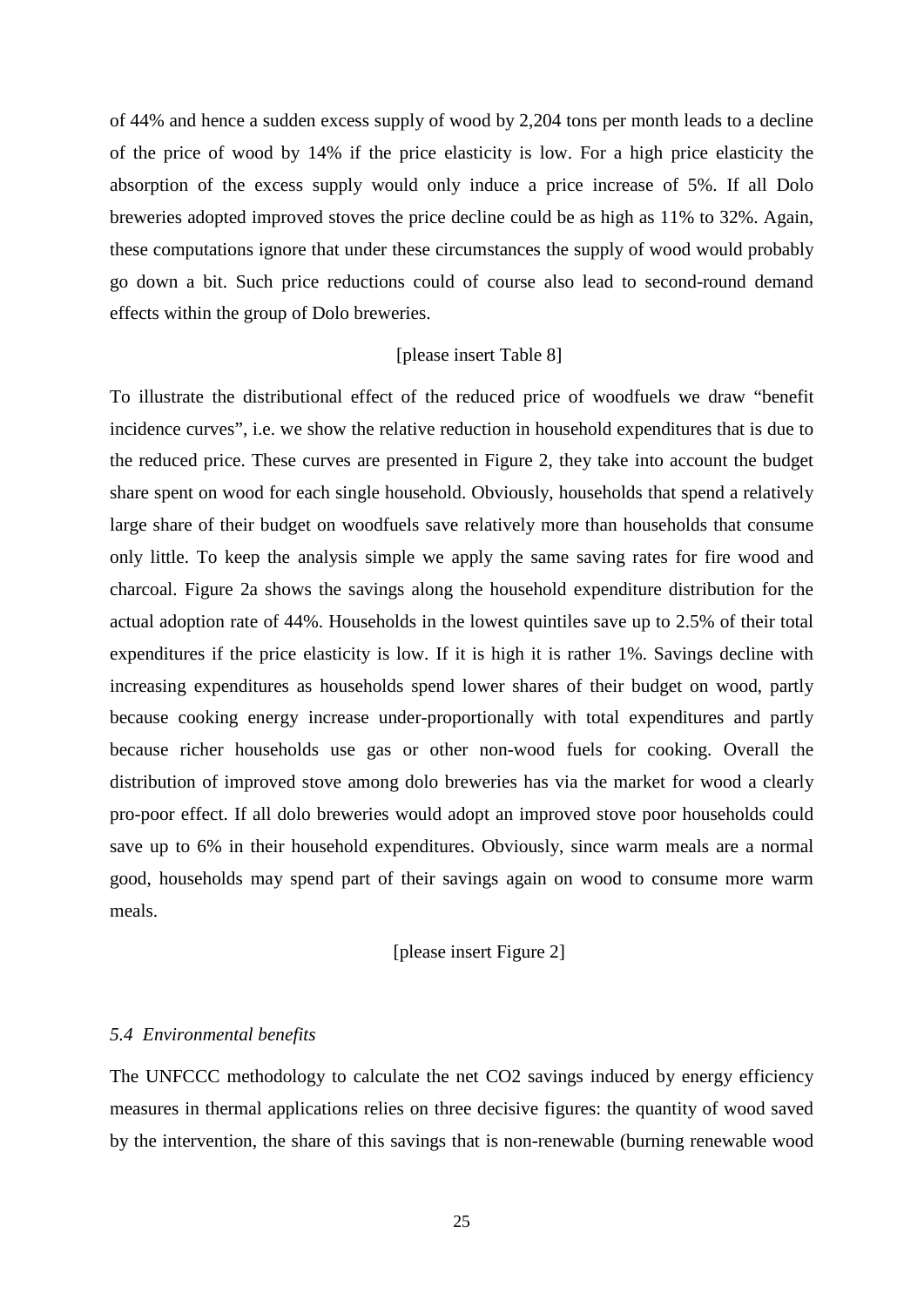of 44% and hence a sudden excess supply of wood by 2,204 tons per month leads to a decline of the price of wood by 14% if the price elasticity is low. For a high price elasticity the absorption of the excess supply would only induce a price increase of 5%. If all Dolo breweries adopted improved stoves the price decline could be as high as 11% to 32%. Again, these computations ignore that under these circumstances the supply of wood would probably go down a bit. Such price reductions could of course also lead to second-round demand effects within the group of Dolo breweries.

#### [please insert Table 8]

To illustrate the distributional effect of the reduced price of woodfuels we draw "benefit incidence curves", i.e. we show the relative reduction in household expenditures that is due to the reduced price. These curves are presented in Figure 2, they take into account the budget share spent on wood for each single household. Obviously, households that spend a relatively large share of their budget on woodfuels save relatively more than households that consume only little. To keep the analysis simple we apply the same saving rates for fire wood and charcoal. Figure 2a shows the savings along the household expenditure distribution for the actual adoption rate of 44%. Households in the lowest quintiles save up to 2.5% of their total expenditures if the price elasticity is low. If it is high it is rather 1%. Savings decline with increasing expenditures as households spend lower shares of their budget on wood, partly because cooking energy increase under-proportionally with total expenditures and partly because richer households use gas or other non-wood fuels for cooking. Overall the distribution of improved stove among dolo breweries has via the market for wood a clearly pro-poor effect. If all dolo breweries would adopt an improved stove poor households could save up to 6% in their household expenditures. Obviously, since warm meals are a normal good, households may spend part of their savings again on wood to consume more warm meals.

#### [please insert Figure 2]

#### *5.4 Environmental benefits*

The UNFCCC methodology to calculate the net CO2 savings induced by energy efficiency measures in thermal applications relies on three decisive figures: the quantity of wood saved by the intervention, the share of this savings that is non-renewable (burning renewable wood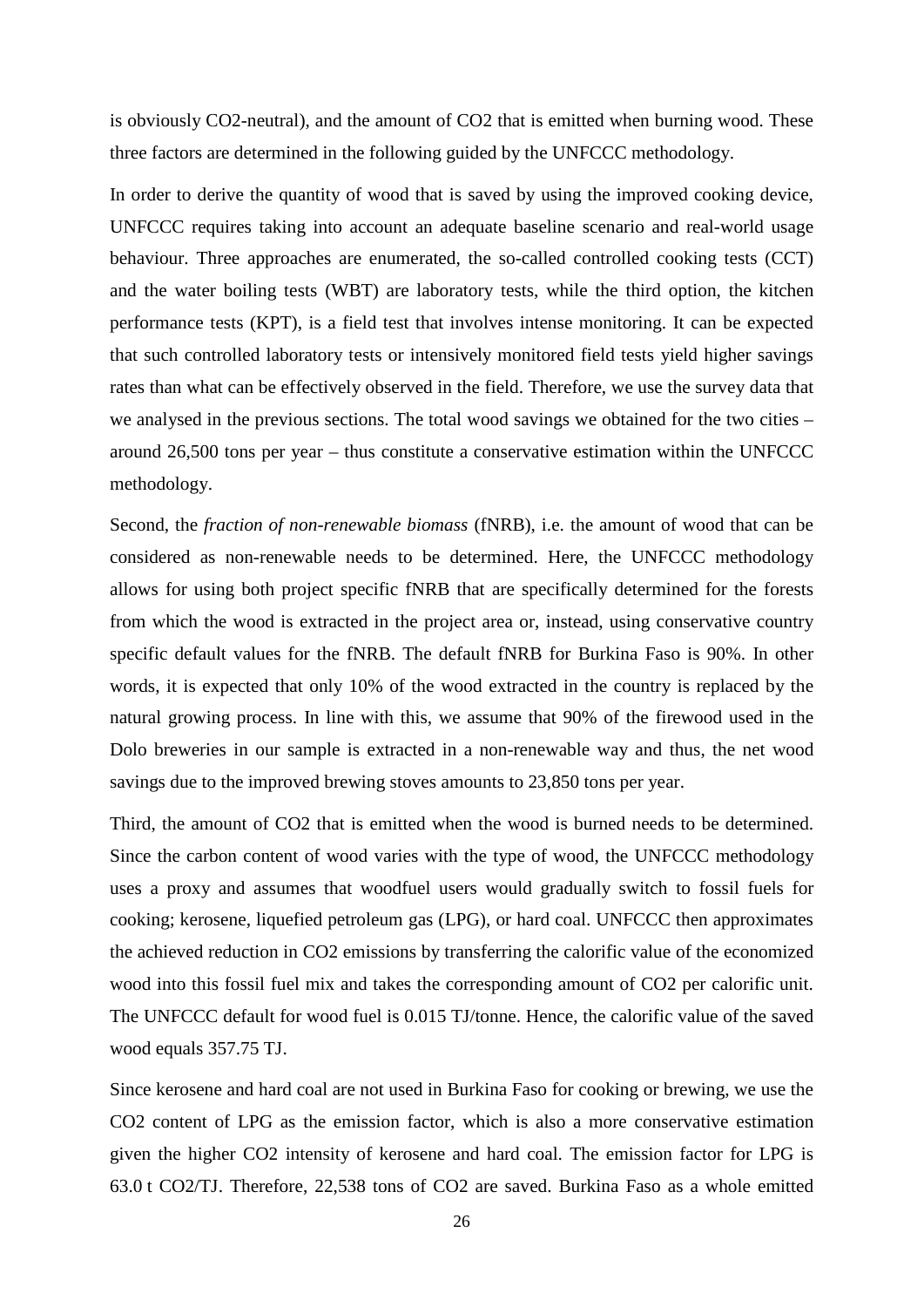is obviously CO2-neutral), and the amount of CO2 that is emitted when burning wood. These three factors are determined in the following guided by the UNFCCC methodology.

In order to derive the quantity of wood that is saved by using the improved cooking device, UNFCCC requires taking into account an adequate baseline scenario and real-world usage behaviour. Three approaches are enumerated, the so-called controlled cooking tests (CCT) and the water boiling tests (WBT) are laboratory tests, while the third option, the kitchen performance tests (KPT), is a field test that involves intense monitoring. It can be expected that such controlled laboratory tests or intensively monitored field tests yield higher savings rates than what can be effectively observed in the field. Therefore, we use the survey data that we analysed in the previous sections. The total wood savings we obtained for the two cities – around 26,500 tons per year – thus constitute a conservative estimation within the UNFCCC methodology.

Second, the *fraction of non-renewable biomass* (fNRB), i.e. the amount of wood that can be considered as non-renewable needs to be determined. Here, the UNFCCC methodology allows for using both project specific fNRB that are specifically determined for the forests from which the wood is extracted in the project area or, instead, using conservative country specific default values for the fNRB. The default fNRB for Burkina Faso is 90%. In other words, it is expected that only 10% of the wood extracted in the country is replaced by the natural growing process. In line with this, we assume that 90% of the firewood used in the Dolo breweries in our sample is extracted in a non-renewable way and thus, the net wood savings due to the improved brewing stoves amounts to 23,850 tons per year.

Third, the amount of CO2 that is emitted when the wood is burned needs to be determined. Since the carbon content of wood varies with the type of wood, the UNFCCC methodology uses a proxy and assumes that woodfuel users would gradually switch to fossil fuels for cooking; kerosene, liquefied petroleum gas (LPG), or hard coal. UNFCCC then approximates the achieved reduction in CO2 emissions by transferring the calorific value of the economized wood into this fossil fuel mix and takes the corresponding amount of CO2 per calorific unit. The UNFCCC default for wood fuel is 0.015 TJ/tonne. Hence, the calorific value of the saved wood equals 357.75 TJ.

Since kerosene and hard coal are not used in Burkina Faso for cooking or brewing, we use the CO2 content of LPG as the emission factor, which is also a more conservative estimation given the higher CO2 intensity of kerosene and hard coal. The emission factor for LPG is 63.0 t CO2/TJ. Therefore, 22,538 tons of CO2 are saved. Burkina Faso as a whole emitted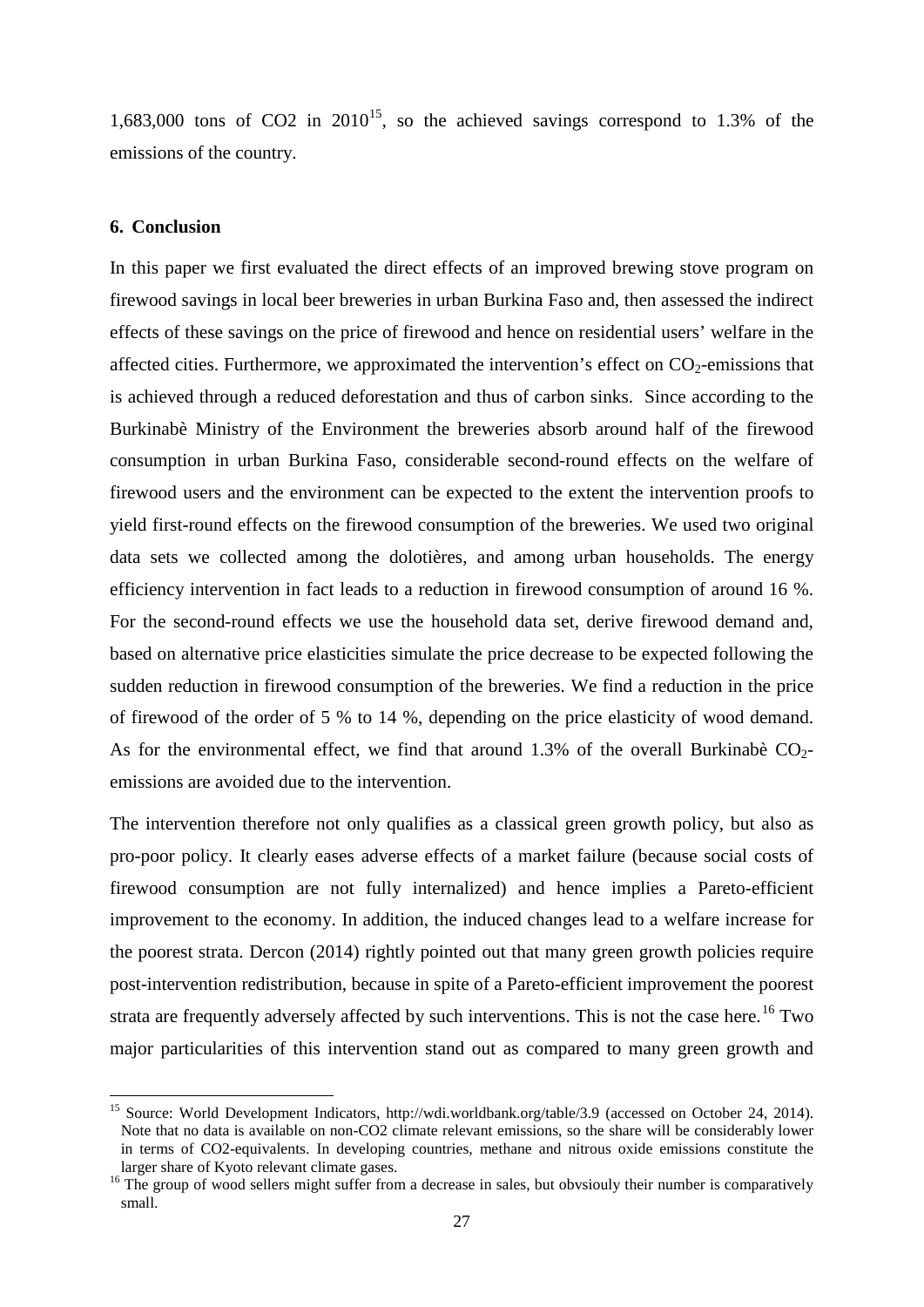1,683,000 tons of CO2 in  $2010^{15}$  $2010^{15}$  $2010^{15}$ , so the achieved savings correspond to 1.3% of the emissions of the country.

#### **6. Conclusion**

In this paper we first evaluated the direct effects of an improved brewing stove program on firewood savings in local beer breweries in urban Burkina Faso and, then assessed the indirect effects of these savings on the price of firewood and hence on residential users' welfare in the affected cities. Furthermore, we approximated the intervention's effect on  $CO<sub>2</sub>$ -emissions that is achieved through a reduced deforestation and thus of carbon sinks. Since according to the Burkinabè Ministry of the Environment the breweries absorb around half of the firewood consumption in urban Burkina Faso, considerable second-round effects on the welfare of firewood users and the environment can be expected to the extent the intervention proofs to yield first-round effects on the firewood consumption of the breweries. We used two original data sets we collected among the dolotières, and among urban households. The energy efficiency intervention in fact leads to a reduction in firewood consumption of around 16 %. For the second-round effects we use the household data set, derive firewood demand and, based on alternative price elasticities simulate the price decrease to be expected following the sudden reduction in firewood consumption of the breweries. We find a reduction in the price of firewood of the order of 5 % to 14 %, depending on the price elasticity of wood demand. As for the environmental effect, we find that around 1.3% of the overall Burkinabè  $CO_2$ emissions are avoided due to the intervention.

The intervention therefore not only qualifies as a classical green growth policy, but also as pro-poor policy. It clearly eases adverse effects of a market failure (because social costs of firewood consumption are not fully internalized) and hence implies a Pareto-efficient improvement to the economy. In addition, the induced changes lead to a welfare increase for the poorest strata. Dercon (2014) rightly pointed out that many green growth policies require post-intervention redistribution, because in spite of a Pareto-efficient improvement the poorest strata are frequently adversely affected by such interventions. This is not the case here.<sup>[16](#page-28-0)</sup> Two major particularities of this intervention stand out as compared to many green growth and

<sup>&</sup>lt;sup>15</sup> Source: World Development Indicators, http://wdi.worldbank.org/table/3.9 (accessed on October 24, 2014). Note that no data is available on non-CO2 climate relevant emissions, so the share will be considerably lower in terms of CO2-equivalents. In developing countries, methane and nitrous oxide emissions constitute the larger share of Kyoto relevant climate gases.<br><sup>16</sup> The group of wood sellers might suffer from a decrease in sales, but obvsiouly their number is comparatively

<span id="page-28-0"></span>small.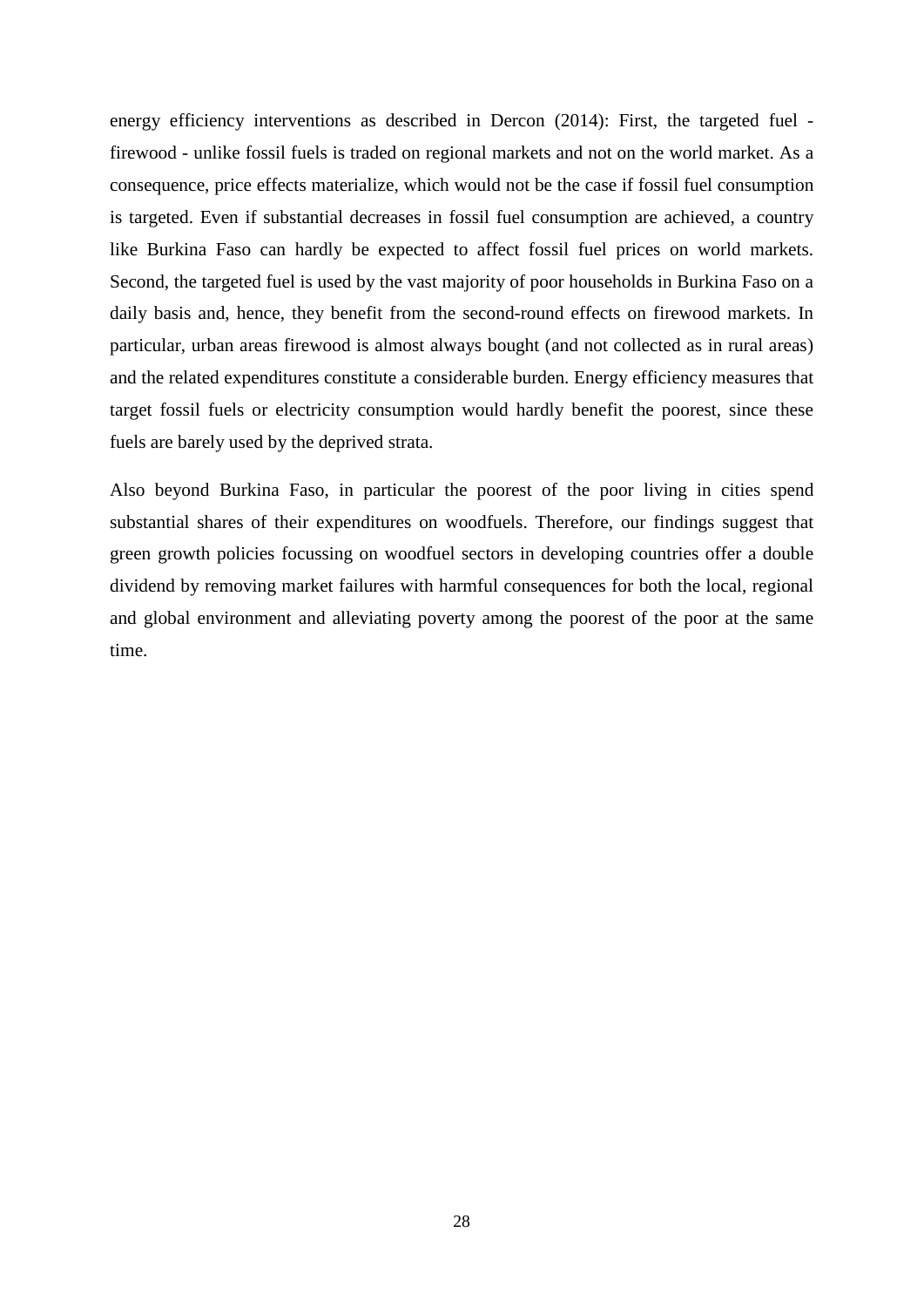energy efficiency interventions as described in Dercon (2014): First, the targeted fuel firewood - unlike fossil fuels is traded on regional markets and not on the world market. As a consequence, price effects materialize, which would not be the case if fossil fuel consumption is targeted. Even if substantial decreases in fossil fuel consumption are achieved, a country like Burkina Faso can hardly be expected to affect fossil fuel prices on world markets. Second, the targeted fuel is used by the vast majority of poor households in Burkina Faso on a daily basis and, hence, they benefit from the second-round effects on firewood markets. In particular, urban areas firewood is almost always bought (and not collected as in rural areas) and the related expenditures constitute a considerable burden. Energy efficiency measures that target fossil fuels or electricity consumption would hardly benefit the poorest, since these fuels are barely used by the deprived strata.

Also beyond Burkina Faso, in particular the poorest of the poor living in cities spend substantial shares of their expenditures on woodfuels. Therefore, our findings suggest that green growth policies focussing on woodfuel sectors in developing countries offer a double dividend by removing market failures with harmful consequences for both the local, regional and global environment and alleviating poverty among the poorest of the poor at the same time.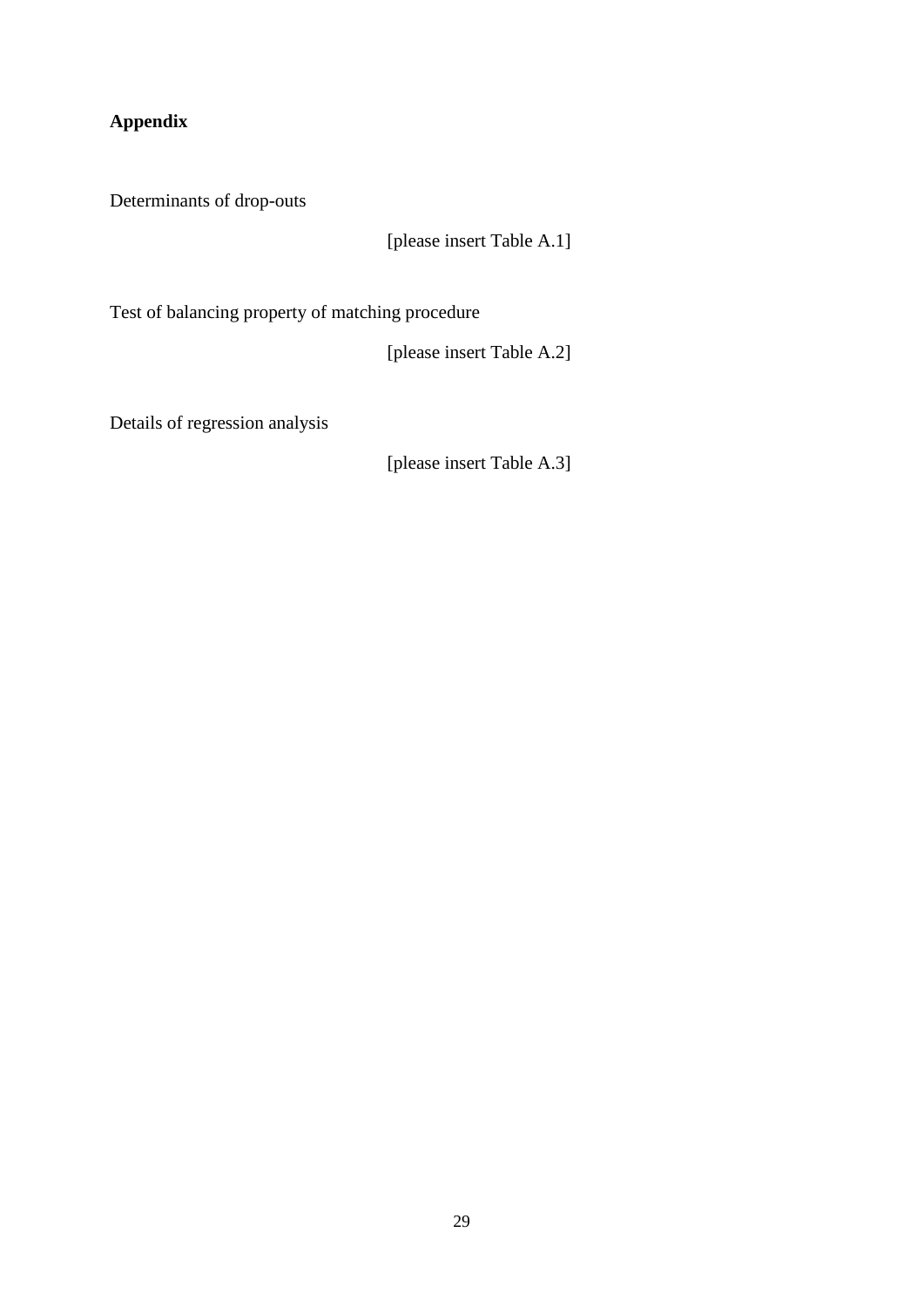## **Appendix**

Determinants of drop-outs

[please insert Table A.1]

Test of balancing property of matching procedure

[please insert Table A.2]

Details of regression analysis

[please insert Table A.3]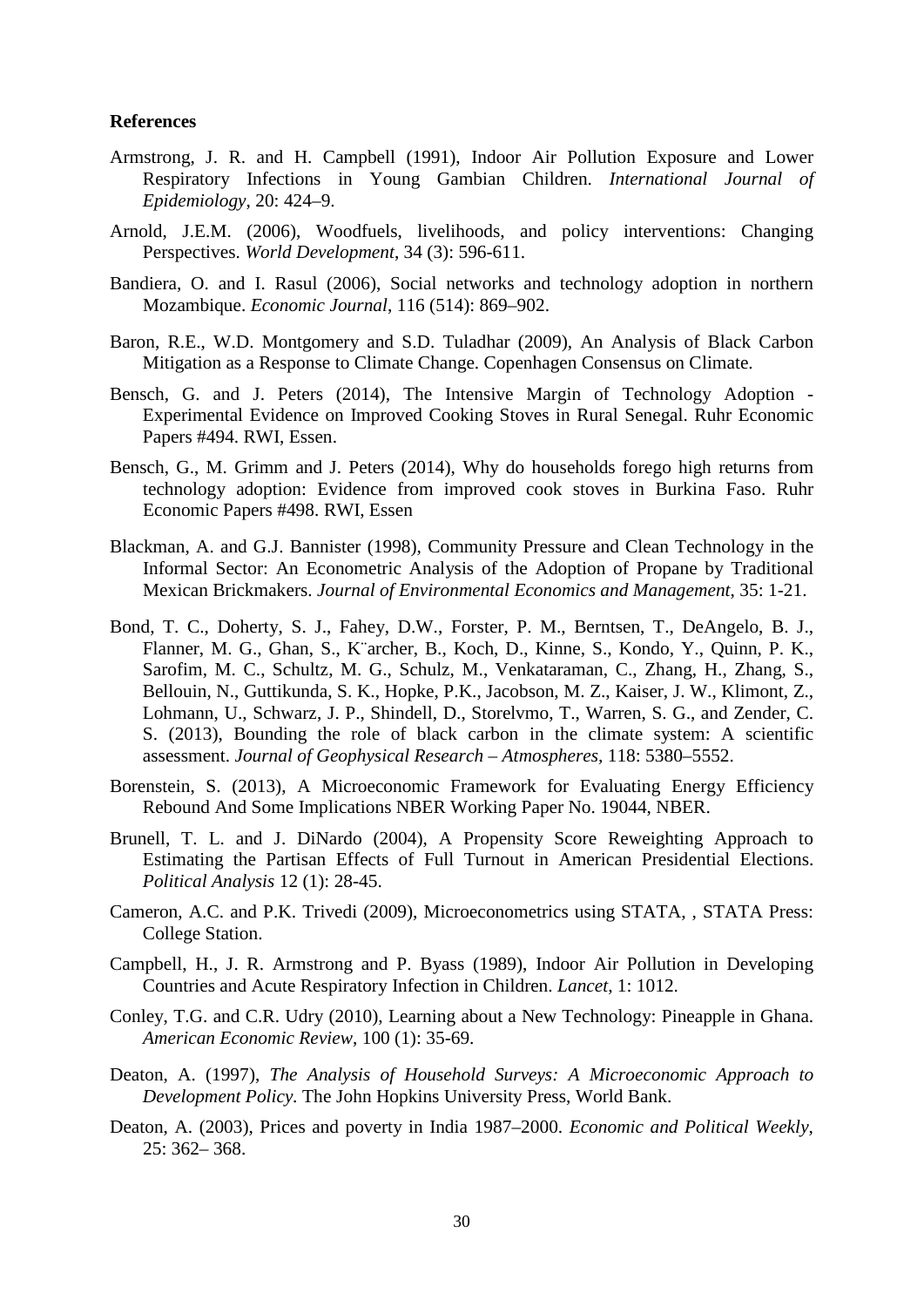#### **References**

- Armstrong, J. R. and H. Campbell (1991), Indoor Air Pollution Exposure and Lower Respiratory Infections in Young Gambian Children. *International Journal of Epidemiology*, 20: 424–9.
- [Arnold,](http://www.sciencedirect.com/science/article/pii/S0305750X05002263%20%E5%A1%B9%EF%92%81%E1%B4%BB%E4%A1%BF%E2%B2%AF%E5%B6%82%E8%97%84%E6%8C%A7%20%20%EA%AE%A5) J.E.M. (2006), Woodfuels, livelihoods, and policy interventions: Changing Perspectives. *[World Development](http://www.sciencedirect.com/science/journal/0305750X)*, 34 (3): 596-611.
- Bandiera, O. and I. Rasul (2006), Social networks and technology adoption in northern Mozambique. *Economic Journal*, 116 (514): 869–902.
- Baron, R.E., W.D. Montgomery and S.D. Tuladhar (2009), An Analysis of Black Carbon Mitigation as a Response to Climate Change. Copenhagen Consensus on Climate.
- Bensch, G. and J. Peters (2014), The Intensive Margin of Technology Adoption Experimental Evidence on Improved Cooking Stoves in Rural Senegal. Ruhr Economic Papers #494. RWI, Essen.
- Bensch, G., M. Grimm and J. Peters (2014), Why do households forego high returns from technology adoption: Evidence from improved cook stoves in Burkina Faso. Ruhr Economic Papers #498. RWI, Essen
- Blackman, A. and G.J. Bannister (1998), Community Pressure and Clean Technology in the Informal Sector: An Econometric Analysis of the Adoption of Propane by Traditional Mexican Brickmakers. *Journal of Environmental Economics and Management*, 35: 1-21.
- Bond, T. C., Doherty, S. J., Fahey, D.W., Forster, P. M., Berntsen, T., DeAngelo, B. J., Flanner, M. G., Ghan, S., K¨archer, B., Koch, D., Kinne, S., Kondo, Y., Quinn, P. K., Sarofim, M. C., Schultz, M. G., Schulz, M., Venkataraman, C., Zhang, H., Zhang, S., Bellouin, N., Guttikunda, S. K., Hopke, P.K., Jacobson, M. Z., Kaiser, J. W., Klimont, Z., Lohmann, U., Schwarz, J. P., Shindell, D., Storelvmo, T., Warren, S. G., and Zender, C. S. (2013), Bounding the role of black carbon in the climate system: A scientific assessment. *Journal of Geophysical Research – Atmospheres,* 118: 5380–5552.
- [Borenstein,](http://www.nber.org/people/severin_borenstein) S. (2013), A Microeconomic Framework for Evaluating Energy Efficiency Rebound And Some Implications NBER Working Paper No. 19044, NBER.
- Brunell, T. L. and J. DiNardo (2004), A Propensity Score Reweighting Approach to Estimating the Partisan Effects of Full Turnout in American Presidential Elections. *Political Analysis* 12 (1): 28-45.
- Cameron, A.C. and P.K. Trivedi (2009), Microeconometrics using STATA, , STATA Press: College Station.
- Campbell, H., J. R. Armstrong and P. Byass (1989), Indoor Air Pollution in Developing Countries and Acute Respiratory Infection in Children. *Lancet*, 1: 1012.
- Conley, T.G. and C.R. Udry (2010), Learning about a New Technology: Pineapple in Ghana. *American Economic Review*, 100 (1): 35-69.
- Deaton, A. (1997), *The Analysis of Household Surveys: A Microeconomic Approach to Development Policy.* The John Hopkins University Press, World Bank.
- Deaton, A. (2003), Prices and poverty in India 1987–2000. *Economic and Political Weekly*, 25: 362– 368.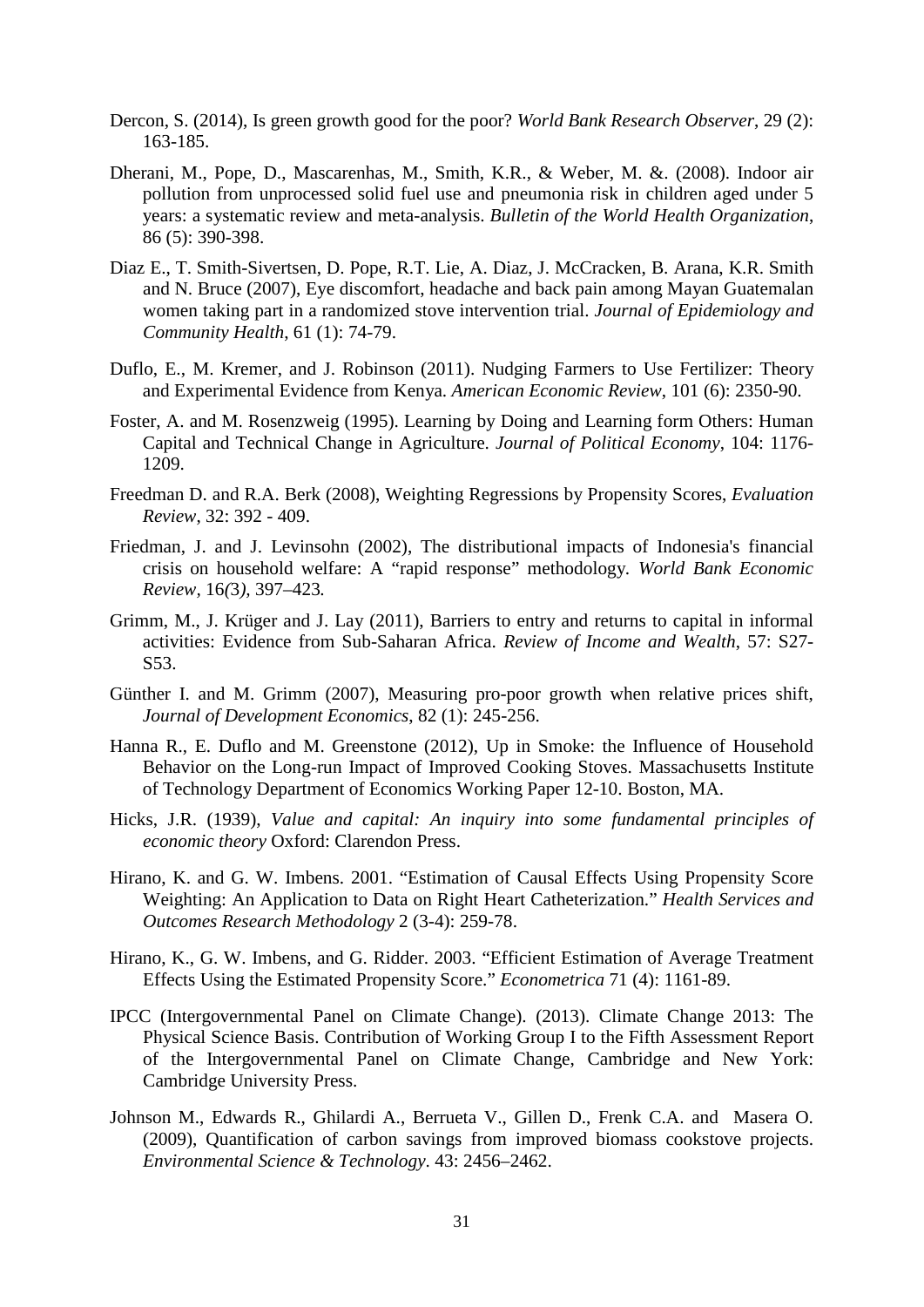- Dercon, S. (2014), Is green growth good for the poor? *World Bank Research Observer*, 29 (2): 163-185.
- Dherani, M., Pope, D., Mascarenhas, M., Smith, K.R., & Weber, M. &. (2008). Indoor air pollution from unprocessed solid fuel use and pneumonia risk in children aged under 5 years: a systematic review and meta-analysis. *Bulletin of the World Health Organization*, 86 (5): 390-398.
- Diaz E., T. Smith-Sivertsen, D. Pope, R.T. Lie, A. Diaz, J. McCracken, B. Arana, K.R. Smith and N. Bruce (2007), Eye discomfort, headache and back pain among Mayan Guatemalan women taking part in a randomized stove intervention trial. *Journal of Epidemiology and Community Health*, 61 (1): 74-79.
- Duflo, E., M. Kremer, and J. Robinson (2011). Nudging Farmers to Use Fertilizer: Theory and Experimental Evidence from Kenya. *American Economic Review*, 101 (6): 2350-90.
- Foster, A. and M. Rosenzweig (1995). Learning by Doing and Learning form Others: Human Capital and Technical Change in Agriculture. *Journal of Political Economy*, 104: 1176- 1209.
- Freedman D. and R.A. Berk (2008), Weighting Regressions by Propensity Scores, *Evaluation Review*, 32: 392 - 409.
- Friedman, J. and J. Levinsohn (2002), The distributional impacts of Indonesia's financial crisis on household welfare: A "rapid response" methodology*. World Bank Economic Review,* 16*(*3*),* 397*–*423*.*
- Grimm, M., J. Krüger and J. Lay (2011), Barriers to entry and returns to capital in informal activities: Evidence from Sub-Saharan Africa. *Review of Income and Wealth*, 57: S27- S53.
- Günther I. and M. Grimm (2007), Measuring pro-poor growth when relative prices shift, *Journal of Development Economics*, 82 (1): 245-256.
- Hanna R., E. Duflo and M. Greenstone (2012), Up in Smoke: the Influence of Household Behavior on the Long-run Impact of Improved Cooking Stoves. Massachusetts Institute of Technology Department of Economics Working Paper 12-10. Boston, MA.
- Hicks, J.R. (1939), *Value and capital: An inquiry into some fundamental principles of economic theory* Oxford: Clarendon Press.
- Hirano, K. and G. W. Imbens. 2001. "Estimation of Causal Effects Using Propensity Score Weighting: An Application to Data on Right Heart Catheterization." *Health Services and Outcomes Research Methodology* 2 (3-4): 259-78.
- Hirano, K., G. W. Imbens, and G. Ridder. 2003. "Efficient Estimation of Average Treatment Effects Using the Estimated Propensity Score." *Econometrica* 71 (4): 1161-89.
- IPCC (Intergovernmental Panel on Climate Change). (2013). Climate Change 2013: The Physical Science Basis. Contribution of Working Group I to the Fifth Assessment Report of the Intergovernmental Panel on Climate Change, Cambridge and New York: Cambridge University Press.
- Johnson M., Edwards R., Ghilardi A., Berrueta V., Gillen D., Frenk C.A. and Masera O. (2009), Quantification of carbon savings from improved biomass cookstove projects. *Environmental Science & Technology*. 43: 2456–2462.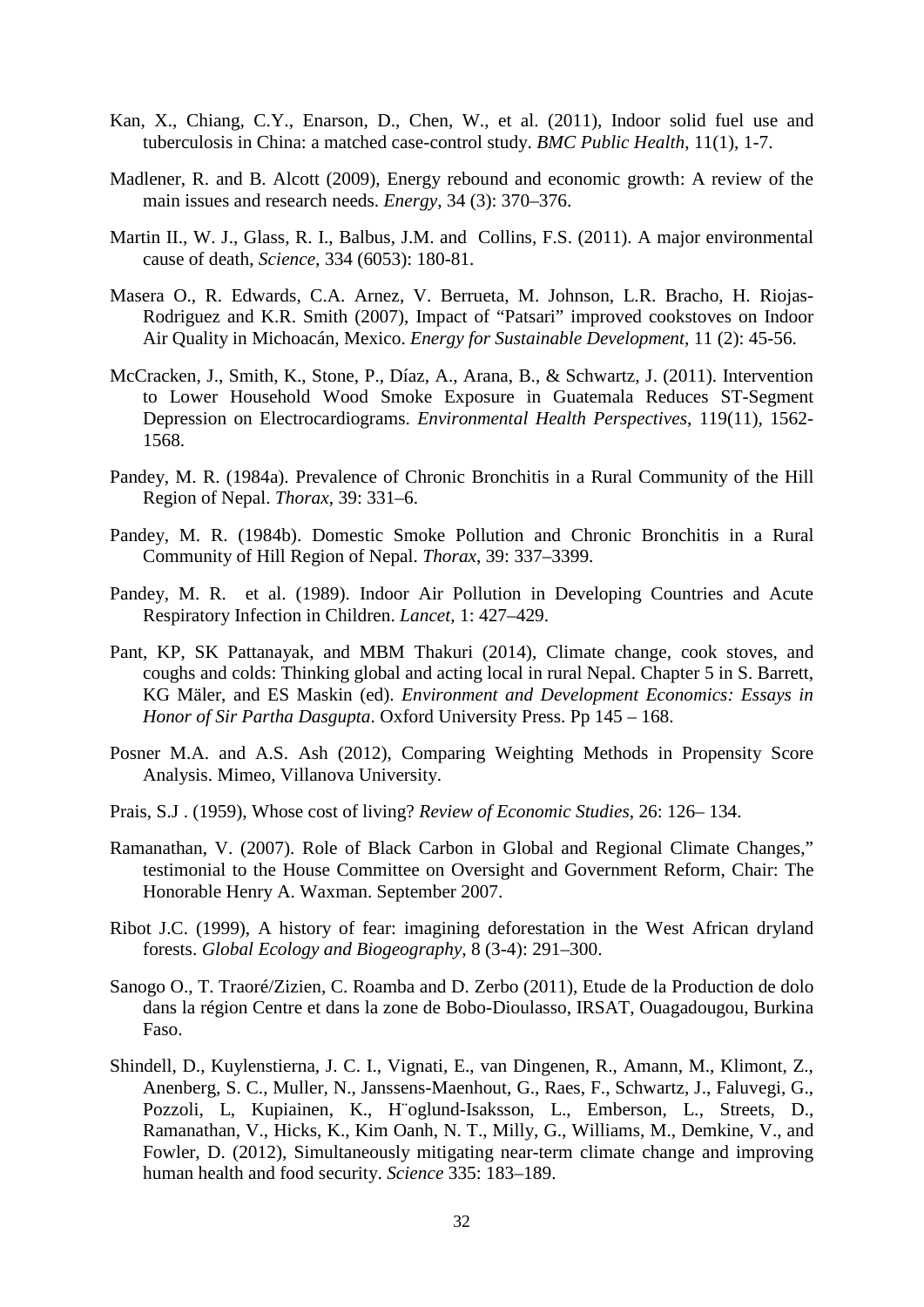- Kan, X., Chiang, C.Y., Enarson, D., Chen, W., et al. (2011), Indoor solid fuel use and tuberculosis in China: a matched case-control study. *BMC Public Health*, 11(1), 1-7.
- Madlener, R. and B. Alcott (2009), Energy rebound and economic growth: A review of the main issues and research needs. *Energy*, 34 (3): 370–376.
- Martin II., W. J., Glass, R. I., Balbus, J.M. and Collins, F.S. (2011). A major environmental cause of death, *Science,* 334 (6053): 180-81.
- Masera O., R. Edwards, C.A. Arnez, V. Berrueta, M. Johnson, L.R. Bracho, H. Riojas-Rodriguez and K.R. Smith (2007), Impact of "Patsari" improved cookstoves on Indoor Air Quality in Michoacán, Mexico. *Energy for Sustainable Development*, 11 (2): 45-56.
- McCracken, J., Smith, K., Stone, P., Díaz, A., Arana, B., & Schwartz, J. (2011). Intervention to Lower Household Wood Smoke Exposure in Guatemala Reduces ST-Segment Depression on Electrocardiograms. *Environmental Health Perspectives*, 119(11), 1562- 1568.
- Pandey, M. R. (1984a). Prevalence of Chronic Bronchitis in a Rural Community of the Hill Region of Nepal. *Thorax*, 39: 331–6.
- Pandey, M. R. (1984b). Domestic Smoke Pollution and Chronic Bronchitis in a Rural Community of Hill Region of Nepal. *Thorax*, 39: 337–3399.
- Pandey, M. R. et al. (1989). Indoor Air Pollution in Developing Countries and Acute Respiratory Infection in Children. *Lancet,* 1: 427–429.
- Pant, KP, SK Pattanayak, and MBM Thakuri (2014), Climate change, cook stoves, and coughs and colds: Thinking global and acting local in rural Nepal. Chapter 5 in S. Barrett, KG Mäler, and ES Maskin (ed). *Environment and Development Economics: Essays in Honor of Sir Partha Dasgupta*. Oxford University Press. Pp 145 – 168.
- Posner M.A. and A.S. Ash (2012), Comparing Weighting Methods in Propensity Score Analysis. Mimeo, Villanova University.
- Prais, S.J . (1959), Whose cost of living? *Review of Economic Studies*, 26: 126– 134.
- Ramanathan, V. (2007). Role of Black Carbon in Global and Regional Climate Changes," testimonial to the House Committee on Oversight and Government Reform, Chair: The Honorable Henry A. Waxman. September 2007.
- Ribot J.C. (1999), A history of fear: imagining deforestation in the West African dryland forests. *Global Ecology and Biogeography*, [8 \(3-4\): 2](http://onlinelibrary.wiley.com/doi/10.1111/geb.1999.8.issue-3-4/issuetoc)91–300.
- Sanogo O., T. Traoré/Zizien, C. Roamba and D. Zerbo (2011), Etude de la Production de dolo dans la région Centre et dans la zone de Bobo-Dioulasso, IRSAT, Ouagadougou, Burkina Faso.
- Shindell, D., Kuylenstierna, J. C. I., Vignati, E., van Dingenen, R., Amann, M., Klimont, Z., Anenberg, S. C., Muller, N., Janssens-Maenhout, G., Raes, F., Schwartz, J., Faluvegi, G., Pozzoli, L, Kupiainen, K., H¨oglund-Isaksson, L., Emberson, L., Streets, D., Ramanathan, V., Hicks, K., Kim Oanh, N. T., Milly, G., Williams, M., Demkine, V., and Fowler, D. (2012), Simultaneously mitigating near-term climate change and improving human health and food security. *Science* 335: 183–189.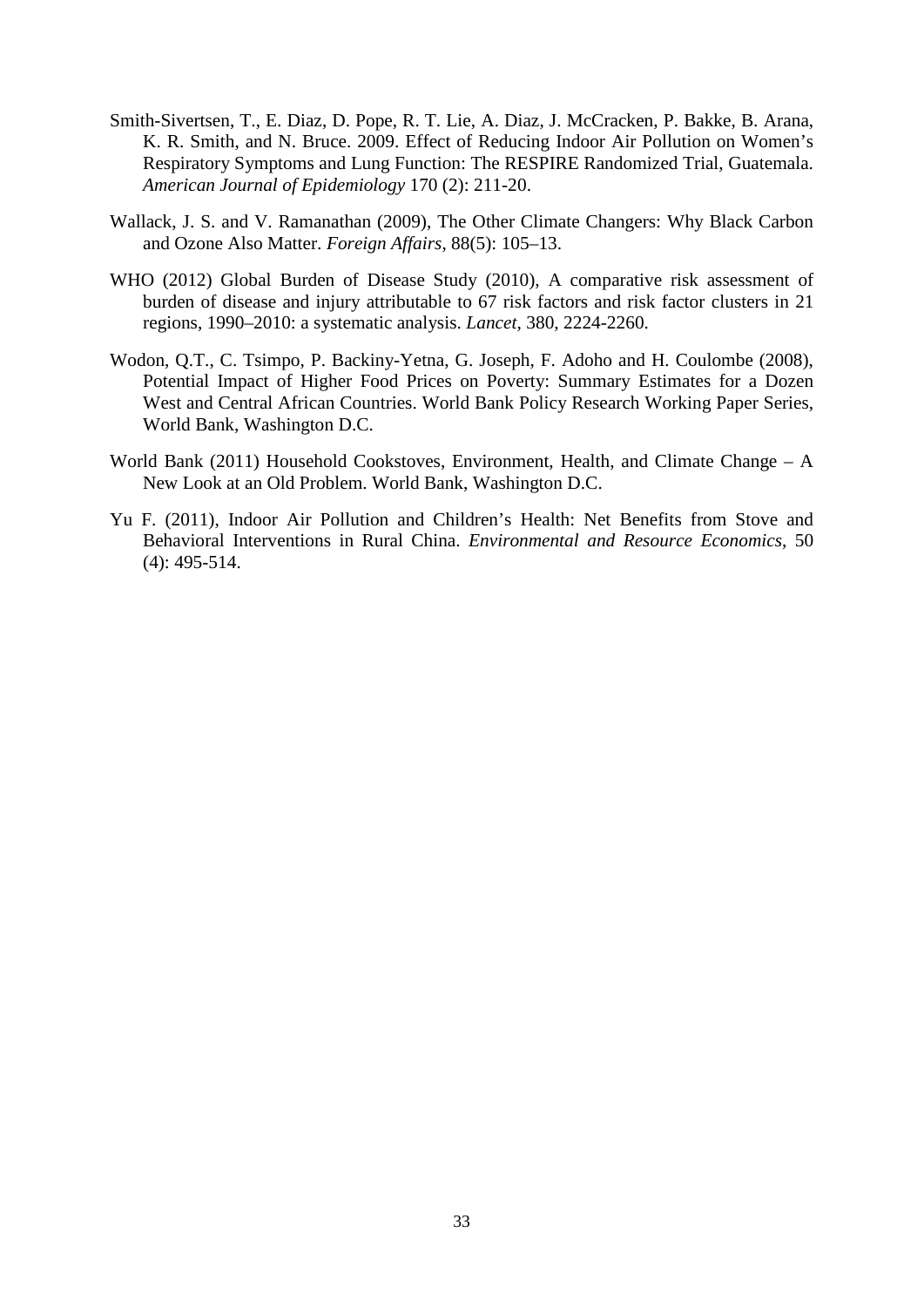- Smith-Sivertsen, T., E. Diaz, D. Pope, R. T. Lie, A. Diaz, J. McCracken, P. Bakke, B. Arana, K. R. Smith, and N. Bruce. 2009. Effect of Reducing Indoor Air Pollution on Women's Respiratory Symptoms and Lung Function: The RESPIRE Randomized Trial, Guatemala. *American Journal of Epidemiology* 170 (2): 211-20.
- Wallack, J. S. and V. Ramanathan (2009), The Other Climate Changers: Why Black Carbon and Ozone Also Matter. *Foreign Affairs*, 88(5): 105–13.
- WHO (2012) Global Burden of Disease Study (2010), A comparative risk assessment of burden of disease and injury attributable to 67 risk factors and risk factor clusters in 21 regions, 1990–2010: a systematic analysis. *Lancet*, 380, 2224-2260.
- Wodon, Q.T., C. Tsimpo, P. Backiny-Yetna, G. Joseph, F. Adoho and H. Coulombe (2008), Potential Impact of Higher Food Prices on Poverty: Summary Estimates for a Dozen West and Central African Countries. World Bank Policy Research Working Paper Series, World Bank, Washington D.C.
- World Bank (2011) Household Cookstoves, Environment, Health, and Climate Change A New Look at an Old Problem. World Bank, Washington D.C.
- Yu F. (2011), Indoor Air Pollution and Children's Health: Net Benefits from Stove and Behavioral Interventions in Rural China. *Environmental and Resource Economics*, 50 (4): 495-514.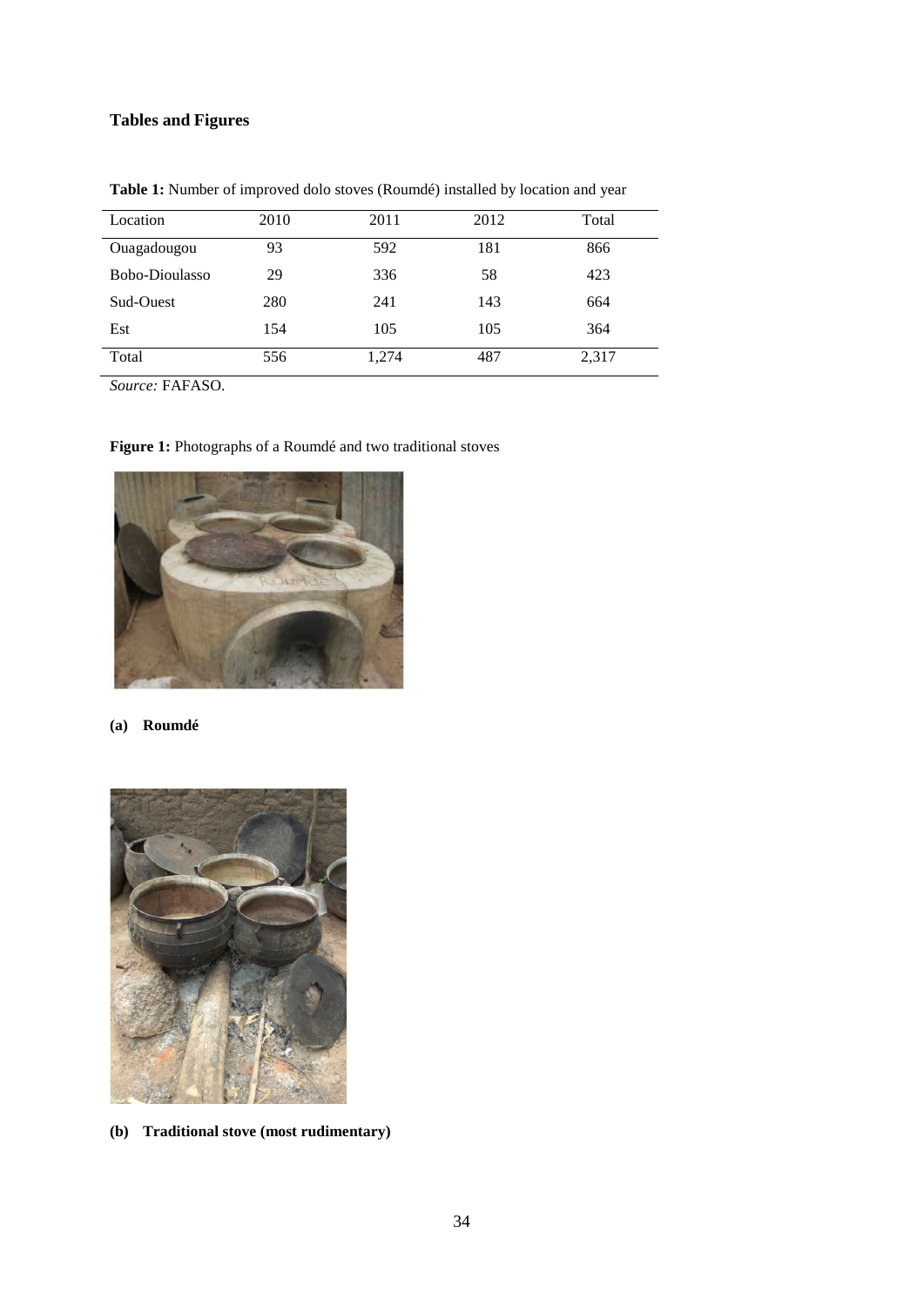### **Tables and Figures**

| Location       | 2010 | 2011  | 2012 | Total |
|----------------|------|-------|------|-------|
| Ouagadougou    | 93   | 592   | 181  | 866   |
| Bobo-Dioulasso | 29   | 336   | 58   | 423   |
| Sud-Ouest      | 280  | 241   | 143  | 664   |
| Est            | 154  | 105   | 105  | 364   |
| Total          | 556  | 1,274 | 487  | 2,317 |

**Table 1:** Number of improved dolo stoves (Roumdé) installed by location and year

*Source:* FAFASO.

#### **Figure 1:** Photographs of a Roumdé and two traditional stoves



#### **(a) Roumdé**



**(b) Traditional stove (most rudimentary)**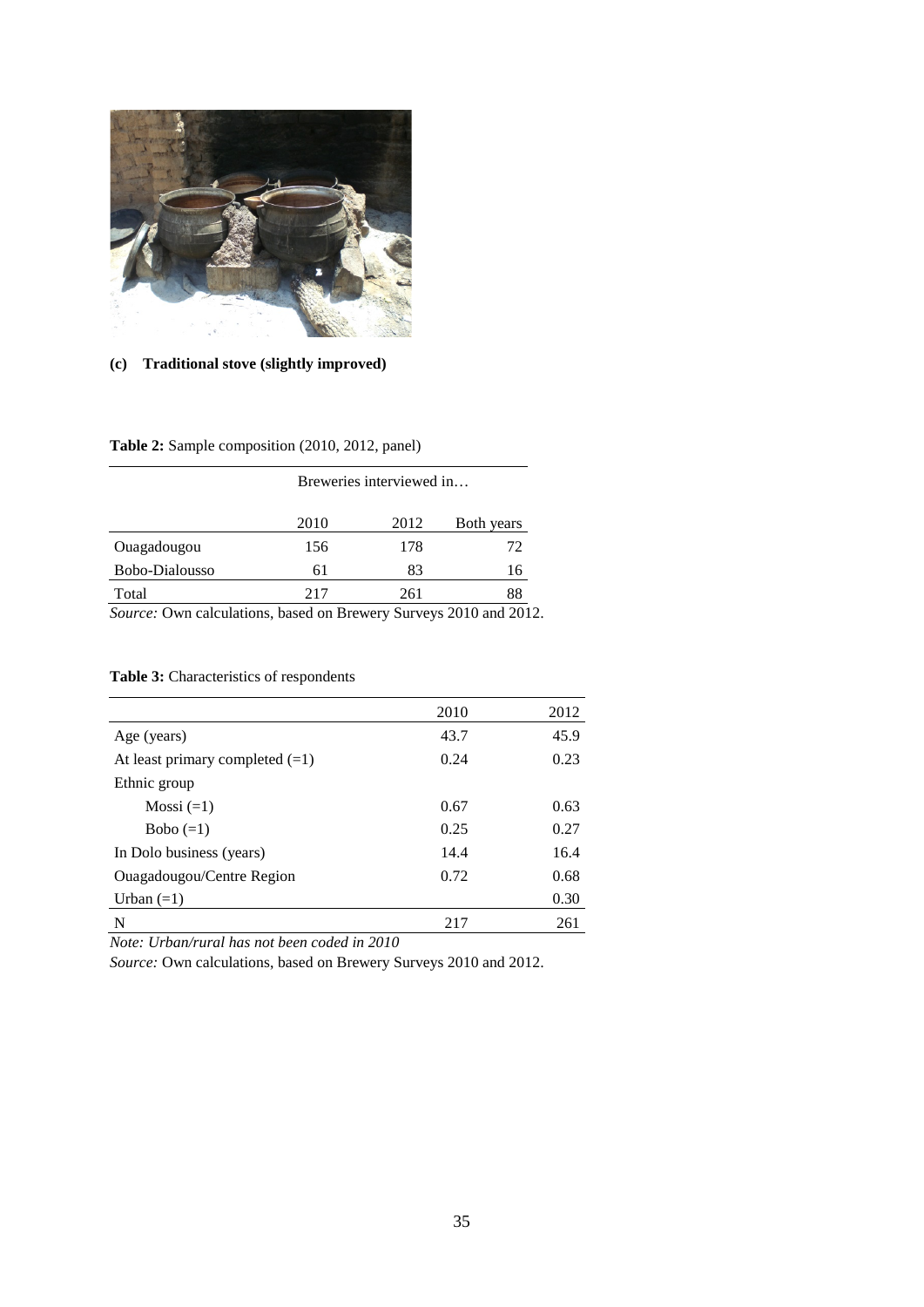

**(c) Traditional stove (slightly improved)**

#### **Table 2:** Sample composition (2010, 2012, panel)

|                |      | Breweries interviewed in |            |  |  |
|----------------|------|--------------------------|------------|--|--|
|                | 2010 | 2012                     | Both years |  |  |
| Ouagadougou    | 156  | 178                      | 72         |  |  |
| Bobo-Dialousso | 6 I  | 83                       | 16         |  |  |
| Total          | 217  | 261                      | 88         |  |  |

*Source:* Own calculations, based on Brewery Surveys 2010 and 2012.

#### **Table 3:** Characteristics of respondents

|                                   | 2010 | 2012 |
|-----------------------------------|------|------|
| Age (years)                       | 43.7 | 45.9 |
| At least primary completed $(=1)$ | 0.24 | 0.23 |
| Ethnic group                      |      |      |
| $Mossi (=1)$                      | 0.67 | 0.63 |
| Bobo $(=1)$                       | 0.25 | 0.27 |
| In Dolo business (years)          | 14.4 | 16.4 |
| Ouagadougou/Centre Region         | 0.72 | 0.68 |
| Urban $(=1)$                      |      | 0.30 |
| N                                 | 217  | 261  |

*Note: Urban/rural has not been coded in 2010*

*Source:* Own calculations, based on Brewery Surveys 2010 and 2012.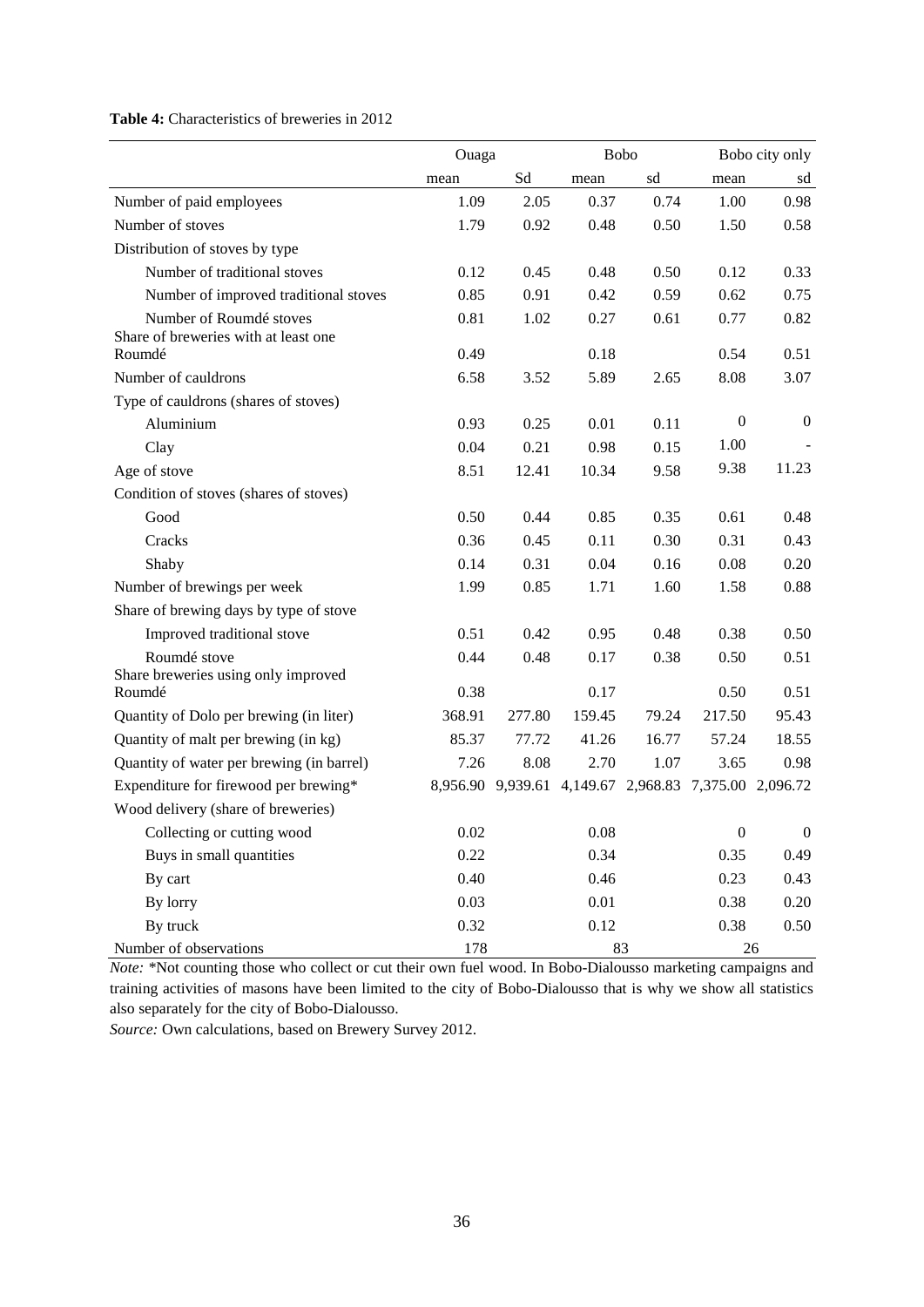|  | <b>Table 4:</b> Characteristics of breweries in 2012 |  |  |  |  |
|--|------------------------------------------------------|--|--|--|--|
|--|------------------------------------------------------|--|--|--|--|

|                                                                 | Ouaga  |                                              |          | Bobo  |                  | Bobo city only   |  |
|-----------------------------------------------------------------|--------|----------------------------------------------|----------|-------|------------------|------------------|--|
|                                                                 | mean   | Sd                                           | mean     | sd    | mean             | sd               |  |
| Number of paid employees                                        | 1.09   | 2.05                                         | 0.37     | 0.74  | 1.00             | 0.98             |  |
| Number of stoves                                                | 1.79   | 0.92                                         | 0.48     | 0.50  | 1.50             | 0.58             |  |
| Distribution of stoves by type                                  |        |                                              |          |       |                  |                  |  |
| Number of traditional stoves                                    | 0.12   | 0.45                                         | 0.48     | 0.50  | 0.12             | 0.33             |  |
| Number of improved traditional stoves                           | 0.85   | 0.91                                         | 0.42     | 0.59  | 0.62             | 0.75             |  |
| Number of Roumdé stoves<br>Share of breweries with at least one | 0.81   | 1.02                                         | 0.27     | 0.61  | 0.77             | 0.82             |  |
| Roumdé                                                          | 0.49   |                                              | 0.18     |       | 0.54             | 0.51             |  |
| Number of cauldrons                                             | 6.58   | 3.52                                         | 5.89     | 2.65  | 8.08             | 3.07             |  |
| Type of cauldrons (shares of stoves)                            |        |                                              |          |       |                  |                  |  |
| Aluminium                                                       | 0.93   | 0.25                                         | 0.01     | 0.11  | $\boldsymbol{0}$ | $\boldsymbol{0}$ |  |
| Clay                                                            | 0.04   | 0.21                                         | 0.98     | 0.15  | 1.00             |                  |  |
| Age of stove                                                    | 8.51   | 12.41                                        | 10.34    | 9.58  | 9.38             | 11.23            |  |
| Condition of stoves (shares of stoves)                          |        |                                              |          |       |                  |                  |  |
| Good                                                            | 0.50   | 0.44                                         | 0.85     | 0.35  | 0.61             | 0.48             |  |
| Cracks                                                          | 0.36   | 0.45                                         | 0.11     | 0.30  | 0.31             | 0.43             |  |
| Shaby                                                           | 0.14   | 0.31                                         | 0.04     | 0.16  | 0.08             | 0.20             |  |
| Number of brewings per week                                     | 1.99   | 0.85                                         | 1.71     | 1.60  | 1.58             | 0.88             |  |
| Share of brewing days by type of stove                          |        |                                              |          |       |                  |                  |  |
| Improved traditional stove                                      | 0.51   | 0.42                                         | 0.95     | 0.48  | 0.38             | 0.50             |  |
| Roumdé stove<br>Share breweries using only improved             | 0.44   | 0.48                                         | 0.17     | 0.38  | 0.50             | 0.51             |  |
| Roumdé                                                          | 0.38   |                                              | 0.17     |       | 0.50             | 0.51             |  |
| Quantity of Dolo per brewing (in liter)                         | 368.91 | 277.80                                       | 159.45   | 79.24 | 217.50           | 95.43            |  |
| Quantity of malt per brewing (in kg)                            | 85.37  | 77.72                                        | 41.26    | 16.77 | 57.24            | 18.55            |  |
| Quantity of water per brewing (in barrel)                       | 7.26   | 8.08                                         | 2.70     | 1.07  | 3.65             | 0.98             |  |
| Expenditure for firewood per brewing*                           |        | 8,956.90 9,939.61 4,149.67 2,968.83 7,375.00 |          |       |                  | 2,096.72         |  |
| Wood delivery (share of breweries)                              |        |                                              |          |       |                  |                  |  |
| Collecting or cutting wood                                      | 0.02   |                                              | 0.08     |       | $\overline{0}$   | $\overline{0}$   |  |
| Buys in small quantities                                        | 0.22   |                                              | 0.34     |       | 0.35             | 0.49             |  |
| By cart                                                         | 0.40   |                                              | 0.46     |       | 0.23             | 0.43             |  |
| By lorry                                                        | 0.03   |                                              | $0.01\,$ |       | 0.38             | 0.20             |  |
| By truck                                                        | 0.32   |                                              | 0.12     |       | 0.38             | 0.50             |  |
| Number of observations                                          | 178    |                                              |          | 83    |                  | 26               |  |

*Note:* \*Not counting those who collect or cut their own fuel wood. In Bobo-Dialousso marketing campaigns and training activities of masons have been limited to the city of Bobo-Dialousso that is why we show all statistics also separately for the city of Bobo-Dialousso.

*Source:* Own calculations, based on Brewery Survey 2012.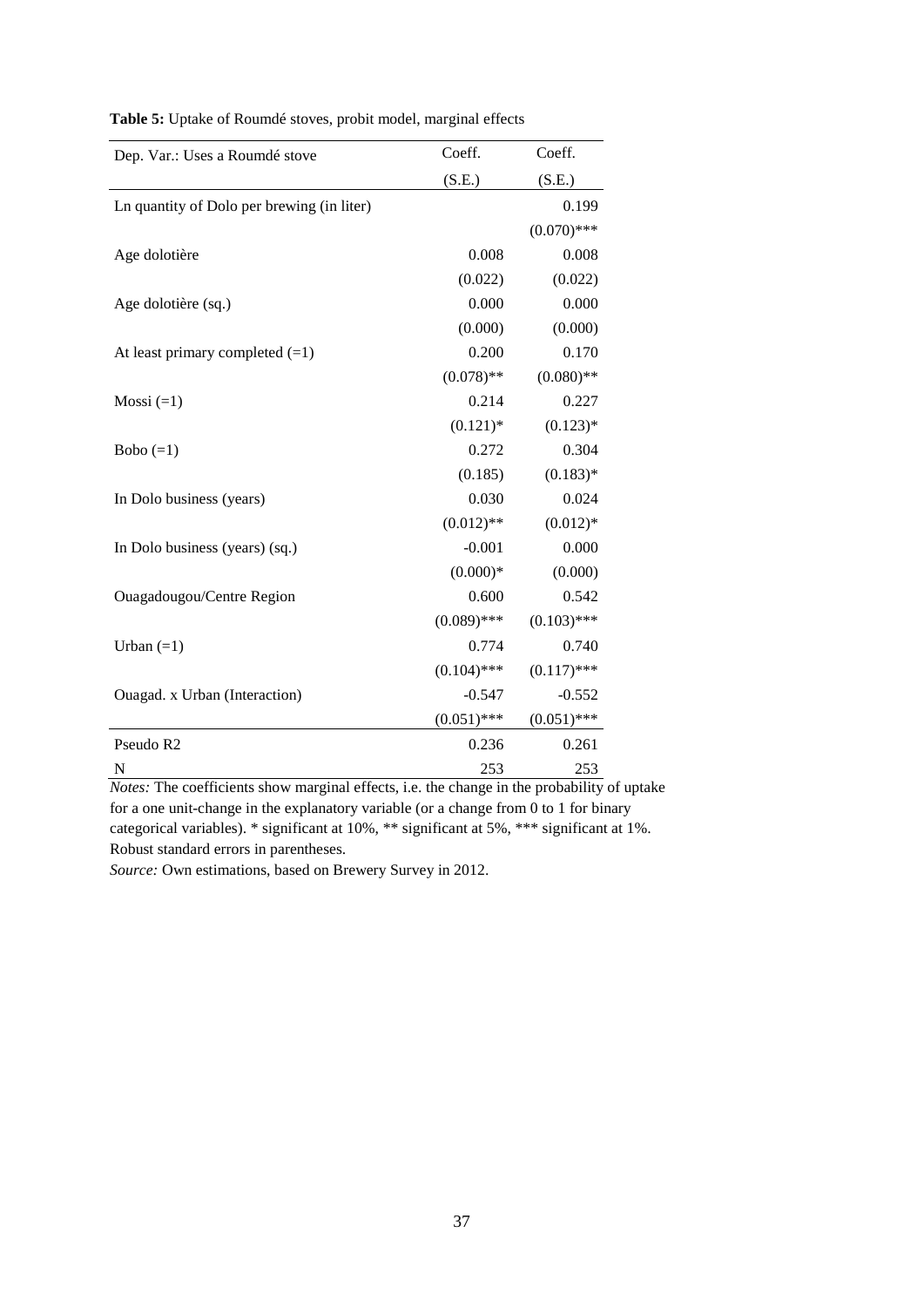| Dep. Var.: Uses a Roumdé stove             | Coeff.        | Coeff.        |
|--------------------------------------------|---------------|---------------|
|                                            | (S.E.)        | (S.E.)        |
| Ln quantity of Dolo per brewing (in liter) |               | 0.199         |
|                                            |               | $(0.070)$ *** |
| Age dolotière                              | 0.008         | 0.008         |
|                                            | (0.022)       | (0.022)       |
| Age dolotière (sq.)                        | 0.000         | 0.000         |
|                                            | (0.000)       | (0.000)       |
| At least primary completed $(=1)$          | 0.200         | 0.170         |
|                                            | $(0.078)$ **  | $(0.080)$ **  |
| $Mossi (=1)$                               | 0.214         | 0.227         |
|                                            | $(0.121)$ *   | $(0.123)*$    |
| Bobo $(=1)$                                | 0.272         | 0.304         |
|                                            | (0.185)       | $(0.183)*$    |
| In Dolo business (years)                   | 0.030         | 0.024         |
|                                            | $(0.012)$ **  | $(0.012)*$    |
| In Dolo business (years) (sq.)             | $-0.001$      | 0.000         |
|                                            | $(0.000)*$    | (0.000)       |
| Ouagadougou/Centre Region                  | 0.600         | 0.542         |
|                                            | $(0.089)$ *** | $(0.103)$ *** |
| Urban $(=1)$                               | 0.774         | 0.740         |
|                                            | $(0.104)$ *** | $(0.117)$ *** |
| Ouagad. x Urban (Interaction)              | $-0.547$      | $-0.552$      |
|                                            | $(0.051)$ *** | $(0.051)$ *** |
| Pseudo R2                                  | 0.236         | 0.261         |
| N                                          | 253           | 253           |

**Table 5:** Uptake of Roumdé stoves, probit model, marginal effects

*Notes:* The coefficients show marginal effects, i.e. the change in the probability of uptake for a one unit-change in the explanatory variable (or a change from 0 to 1 for binary categorical variables). \* significant at 10%, \*\* significant at 5%, \*\*\* significant at 1%. Robust standard errors in parentheses.

*Source:* Own estimations, based on Brewery Survey in 2012.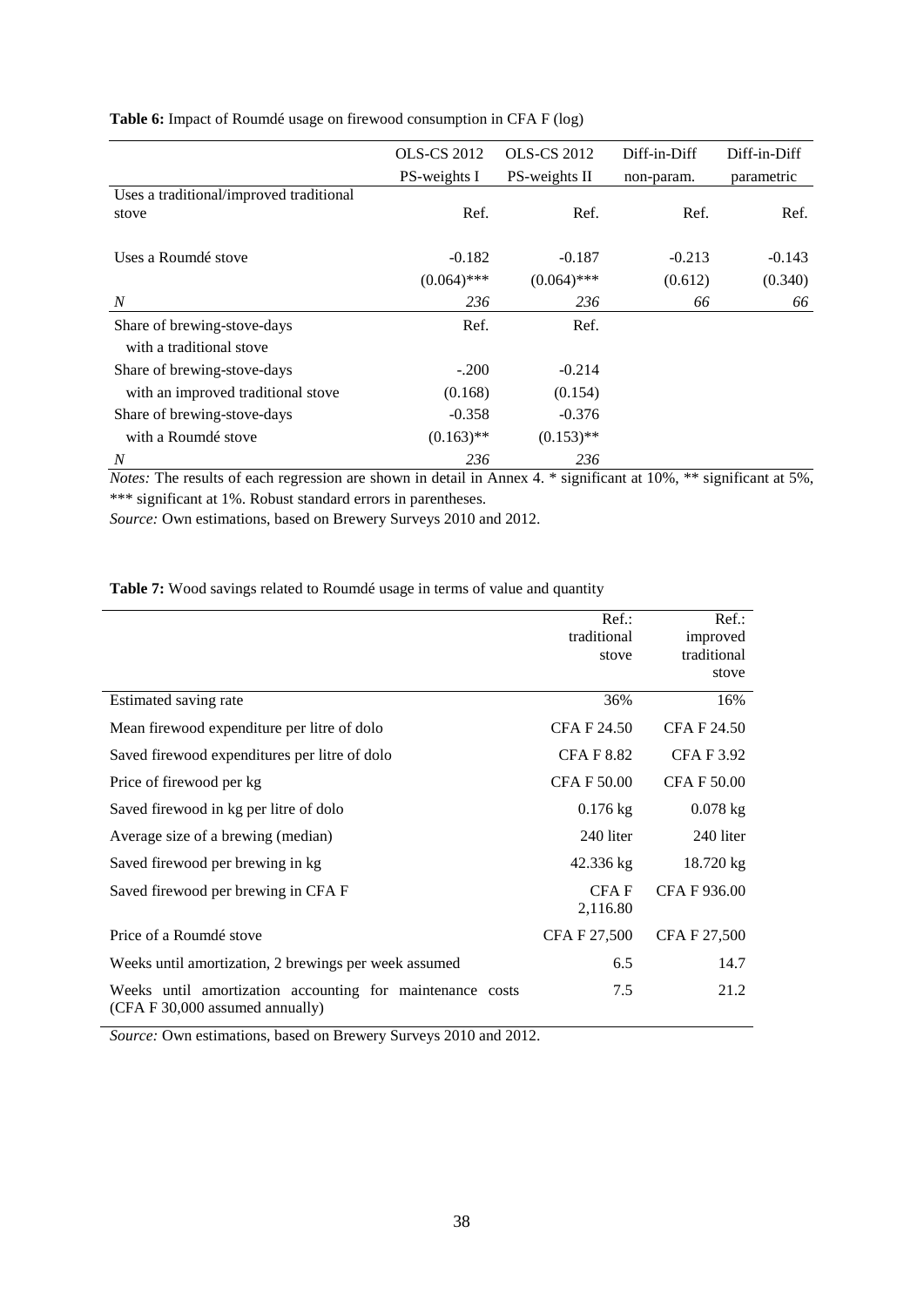|                                                  | <b>OLS-CS 2012</b> | <b>OLS-CS 2012</b> | Diff-in-Diff | Diff-in-Diff |
|--------------------------------------------------|--------------------|--------------------|--------------|--------------|
|                                                  | PS-weights I       | PS-weights II      | non-param.   | parametric   |
| Uses a traditional/improved traditional<br>stove | Ref.               | Ref.               | Ref.         | Ref.         |
| Uses a Roumdé stove                              | $-0.182$           | $-0.187$           | $-0.213$     | $-0.143$     |
|                                                  | $(0.064)$ ***      | $(0.064)$ ***      | (0.612)      | (0.340)      |
| $\boldsymbol{N}$                                 | 236                | 236                | 66           | 66           |
| Share of brewing-stove-days                      | Ref.               | Ref.               |              |              |
| with a traditional stove                         |                    |                    |              |              |
| Share of brewing-stove-days                      | $-.200$            | $-0.214$           |              |              |
| with an improved traditional stove               | (0.168)            | (0.154)            |              |              |
| Share of brewing-stove-days                      | $-0.358$           | $-0.376$           |              |              |
| with a Roumdé stove                              | $(0.163)$ **       | $(0.153)$ **       |              |              |
| N                                                | 236                | 236                |              |              |

**Table 6:** Impact of Roumdé usage on firewood consumption in CFA F (log)

*Notes:* The results of each regression are shown in detail in Annex 4. \* significant at 10%, \*\* significant at 5%, \*\*\* significant at 1%. Robust standard errors in parentheses.

*Source:* Own estimations, based on Brewery Surveys 2010 and 2012.

**Table 7:** Wood savings related to Roumdé usage in terms of value and quantity

|                                                                                              | $Ref.$ :<br>traditional | $Ref.$ :<br>improved |
|----------------------------------------------------------------------------------------------|-------------------------|----------------------|
|                                                                                              | stove                   | traditional<br>stove |
| Estimated saving rate                                                                        | 36%                     | 16%                  |
| Mean firewood expenditure per litre of dolo                                                  | <b>CFA F 24.50</b>      | <b>CFAF24.50</b>     |
| Saved firewood expenditures per litre of dolo                                                | <b>CFAF8.82</b>         | <b>CFAF3.92</b>      |
| Price of firewood per kg                                                                     | <b>CFAF50.00</b>        | <b>CFAF50.00</b>     |
| Saved firewood in kg per litre of dolo                                                       | $0.176$ kg              | $0.078$ kg           |
| Average size of a brewing (median)                                                           | 240 liter               | 240 liter            |
| Saved firewood per brewing in kg                                                             | 42.336 kg               | 18.720 kg            |
| Saved firewood per brewing in CFA F                                                          | <b>CFAF</b><br>2,116.80 | CFA F 936.00         |
| Price of a Roumdé stove                                                                      | CFA F 27,500            | CFA F 27,500         |
| Weeks until amortization, 2 brewings per week assumed                                        | 6.5                     | 14.7                 |
| Weeks until amortization accounting for maintenance costs<br>(CFA F 30,000 assumed annually) | 7.5                     | 21.2                 |

*Source:* Own estimations, based on Brewery Surveys 2010 and 2012.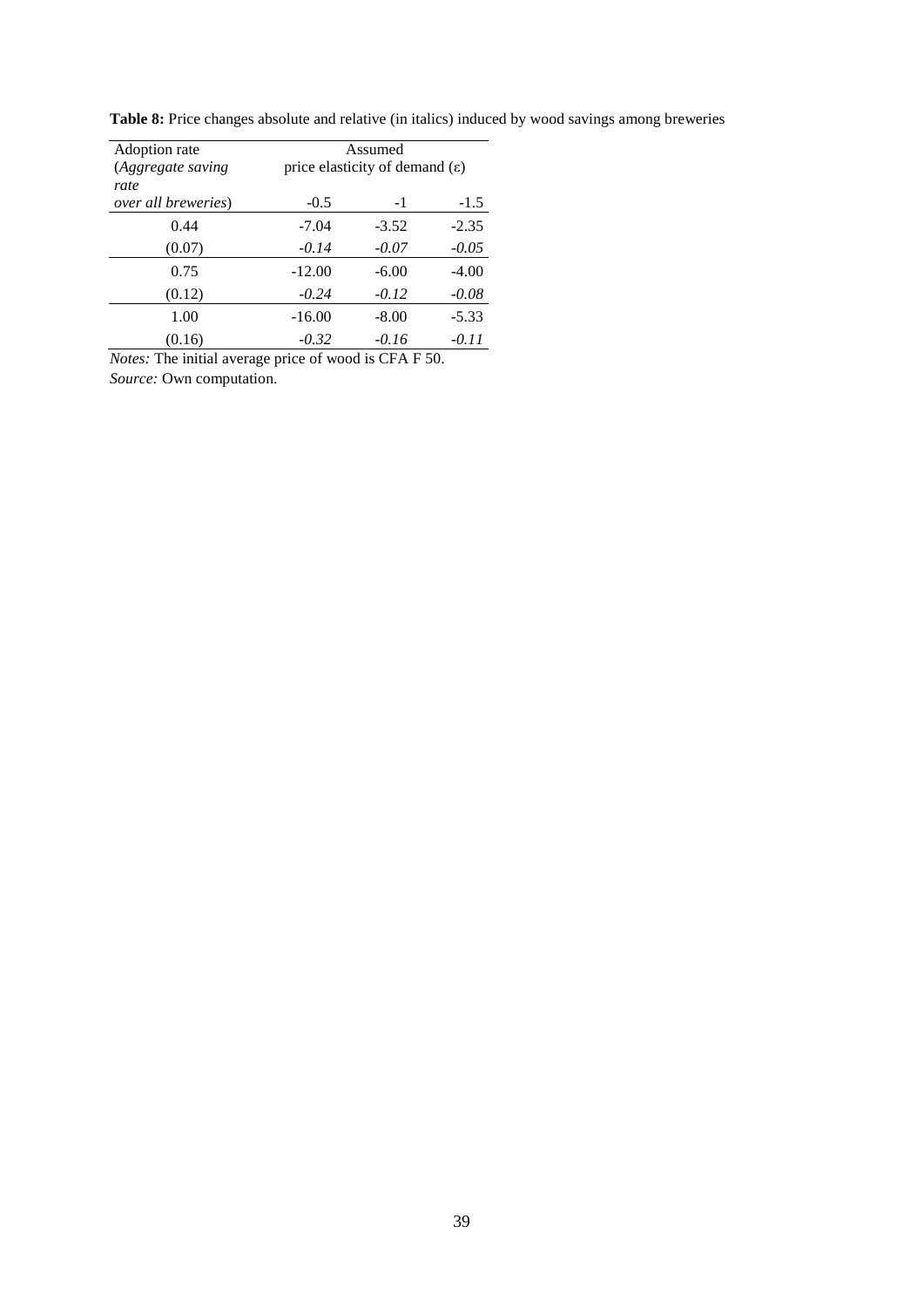| Adoption rate               | Assumed  |                                         |         |  |  |
|-----------------------------|----------|-----------------------------------------|---------|--|--|
| (Aggregate saving           |          | price elasticity of demand $(\epsilon)$ |         |  |  |
| rate                        |          |                                         |         |  |  |
| <i>over all breweries</i> ) | $-0.5$   | $-1$                                    | $-1.5$  |  |  |
| 0.44                        | $-7.04$  | $-3.52$                                 | $-2.35$ |  |  |
| (0.07)                      | $-0.14$  | $-0.07$                                 | $-0.05$ |  |  |
| 0.75                        | $-12.00$ | $-6.00$                                 | $-4.00$ |  |  |
| (0.12)                      | $-0.24$  | $-0.12$                                 | $-0.08$ |  |  |
| 1.00                        | $-16.00$ | $-8.00$                                 | $-5.33$ |  |  |
| (0.16)                      | $-0.32$  | $-0.16$                                 | -0.11   |  |  |

Table 8: Price changes absolute and relative (in italics) induced by wood savings among breweries

*Notes:* The initial average price of wood is CFA F 50. *Source:* Own computation.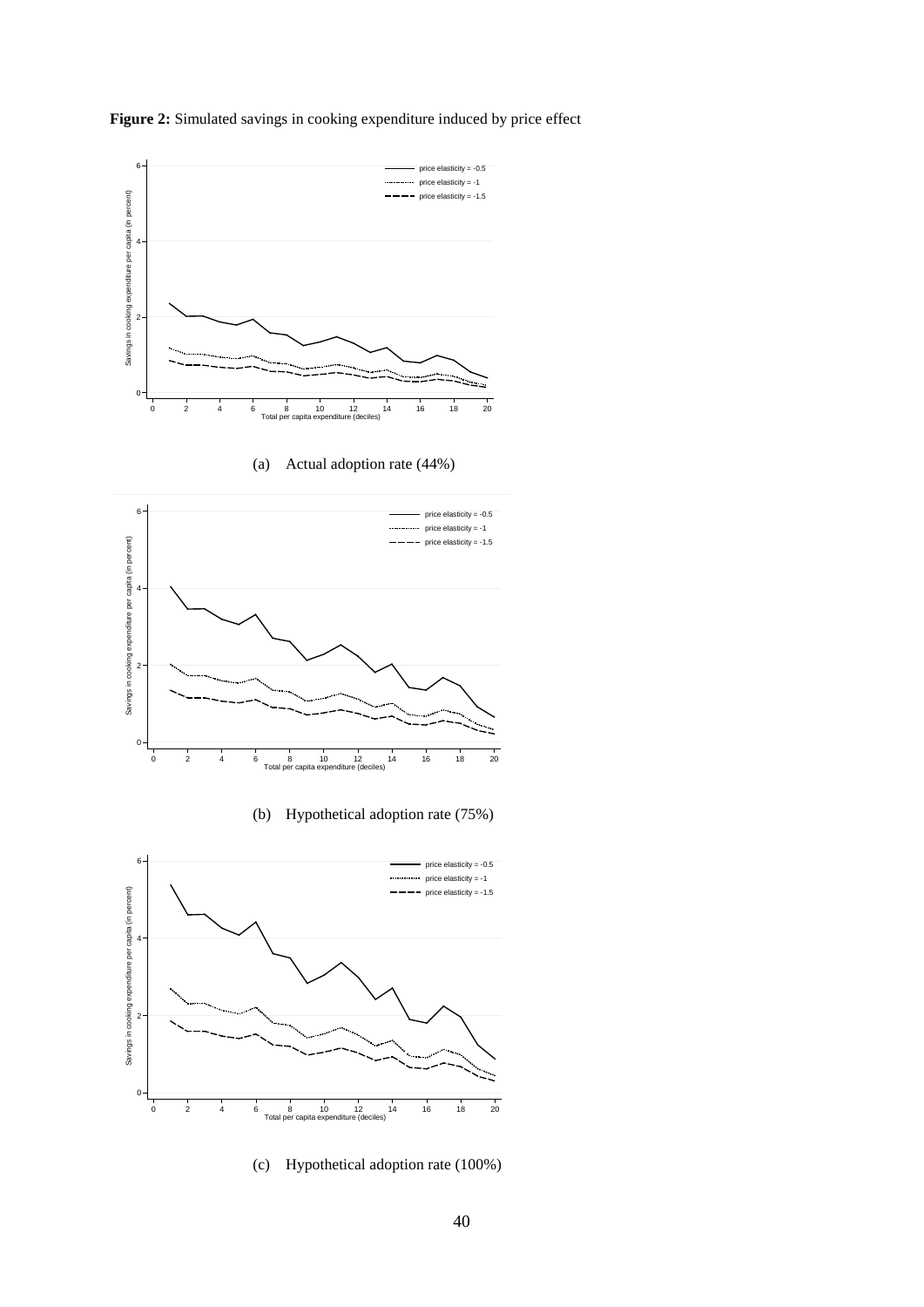



(c) Hypothetical adoption rate (100%)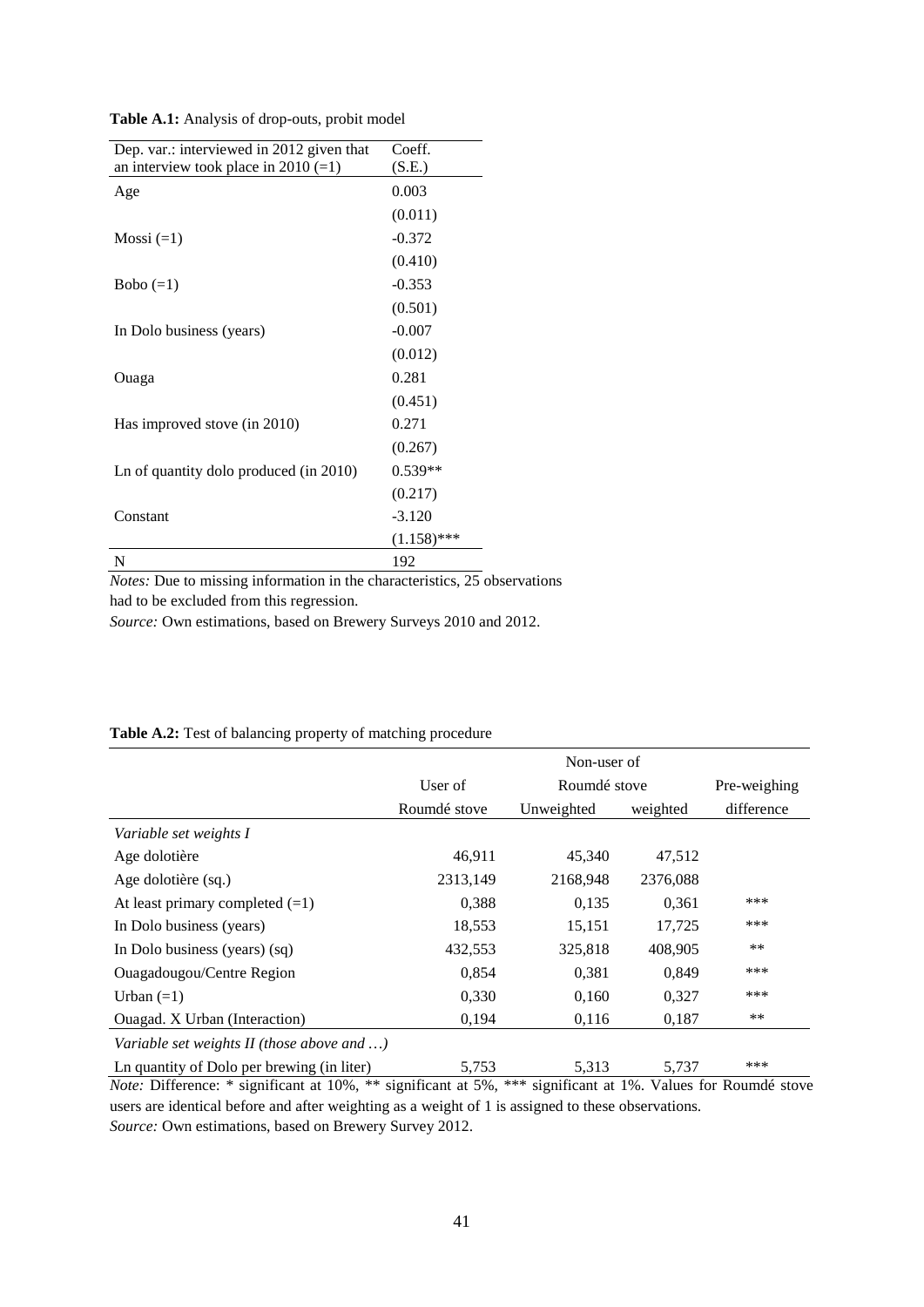| Dep. var.: interviewed in 2012 given that | Coeff.        |
|-------------------------------------------|---------------|
| an interview took place in $2010 (=1)$    | (S.E.)        |
| Age                                       | 0.003         |
|                                           | (0.011)       |
| $Mossi (=1)$                              | $-0.372$      |
|                                           | (0.410)       |
| Bobo $(=1)$                               | $-0.353$      |
|                                           | (0.501)       |
| In Dolo business (years)                  | $-0.007$      |
|                                           | (0.012)       |
| Ouaga                                     | 0.281         |
|                                           | (0.451)       |
| Has improved stove (in 2010)              | 0.271         |
|                                           | (0.267)       |
| Ln of quantity dolo produced (in 2010)    | $0.539**$     |
|                                           | (0.217)       |
| Constant                                  | $-3.120$      |
|                                           | $(1.158)$ *** |
| N                                         | 192           |

**Table A.1:** Analysis of drop-outs, probit model

*Notes:* Due to missing information in the characteristics, 25 observations had to be excluded from this regression.

*Source:* Own estimations, based on Brewery Surveys 2010 and 2012.

|                                                                                                                     | Non-user of  |            |              |            |  |
|---------------------------------------------------------------------------------------------------------------------|--------------|------------|--------------|------------|--|
|                                                                                                                     | User of      |            | Roumdé stove |            |  |
|                                                                                                                     | Roumdé stove | Unweighted | weighted     | difference |  |
| Variable set weights I                                                                                              |              |            |              |            |  |
| Age dolotière                                                                                                       | 46,911       | 45,340     | 47,512       |            |  |
| Age dolotière (sq.)                                                                                                 | 2313,149     | 2168,948   | 2376,088     |            |  |
| At least primary completed $(=1)$                                                                                   | 0,388        | 0.135      | 0,361        | ***        |  |
| In Dolo business (years)                                                                                            | 18,553       | 15,151     | 17,725       | ***        |  |
| In Dolo business (years) (sq)                                                                                       | 432,553      | 325,818    | 408.905      | $***$      |  |
| Ouagadougou/Centre Region                                                                                           | 0,854        | 0,381      | 0,849        | ***        |  |
| Urban $(=1)$                                                                                                        | 0,330        | 0,160      | 0,327        | ***        |  |
| Ouagad. X Urban (Interaction)                                                                                       | 0,194        | 0,116      | 0,187        | **         |  |
| Variable set weights II (those above and )                                                                          |              |            |              |            |  |
| Ln quantity of Dolo per brewing (in liter)                                                                          | 5,753        | 5.313      | 5.737        | ***        |  |
| <i>Note:</i> Difference: * significant at 10%, ** significant at 5%, *** significant at 1%. Values for Roumdé stove |              |            |              |            |  |

#### **Table A.2:** Test of balancing property of matching procedure

users are identical before and after weighting as a weight of 1 is assigned to these observations. *Source:* Own estimations, based on Brewery Survey 2012.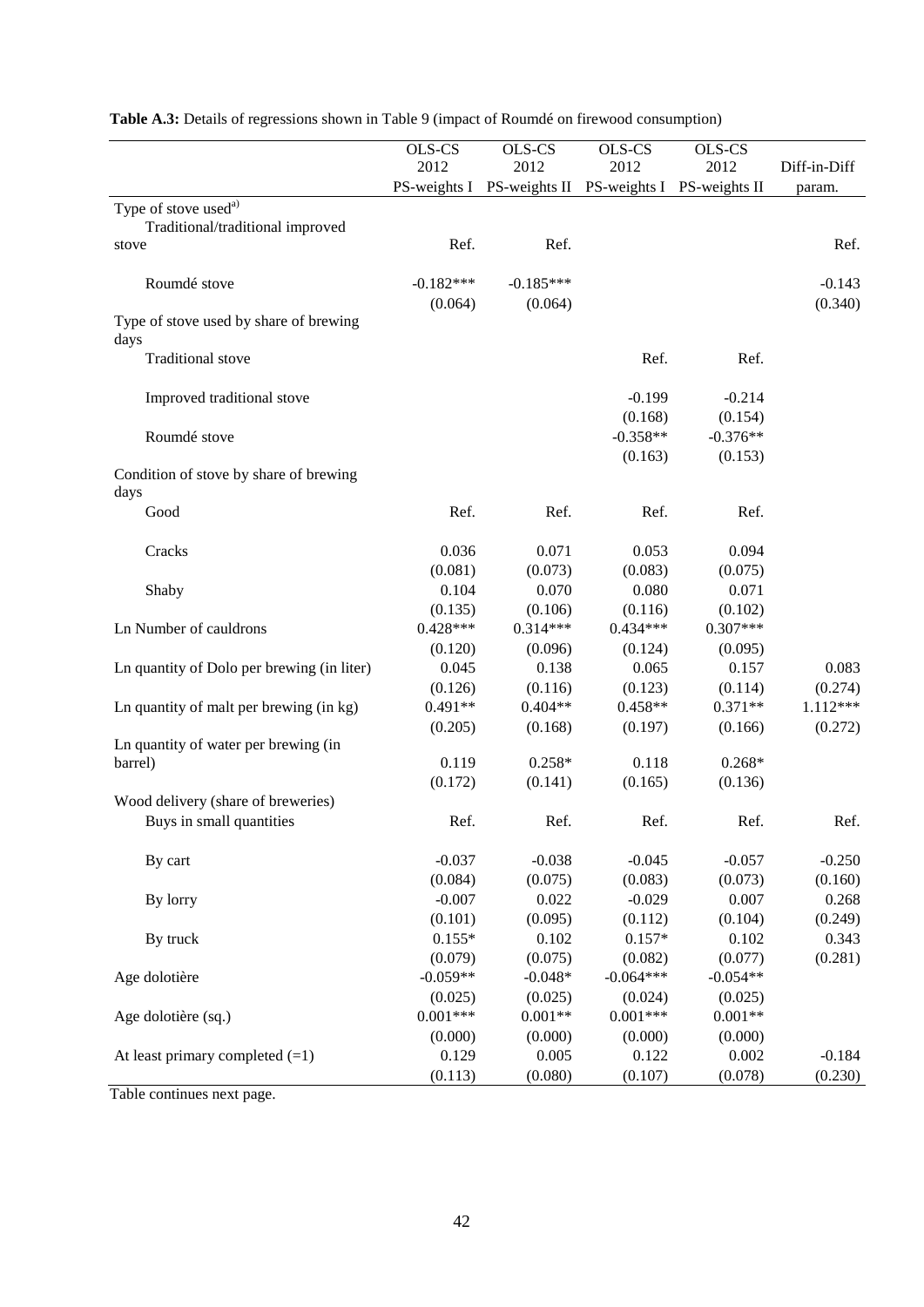|                                                | OLS-CS<br>2012 | OLS-CS<br>2012 | OLS-CS<br>2012 | OLS-CS<br>2012 | Diff-in-Diff |
|------------------------------------------------|----------------|----------------|----------------|----------------|--------------|
|                                                | PS-weights I   | PS-weights II  | PS-weights I   | PS-weights II  | param.       |
| Type of stove used <sup>a)</sup>               |                |                |                |                |              |
| Traditional/traditional improved               |                |                |                |                |              |
| stove                                          | Ref.           | Ref.           |                |                | Ref.         |
|                                                |                |                |                |                |              |
| Roumdé stove                                   | $-0.182***$    | $-0.185***$    |                |                | $-0.143$     |
|                                                | (0.064)        | (0.064)        |                |                | (0.340)      |
| Type of stove used by share of brewing<br>days |                |                |                |                |              |
| <b>Traditional</b> stove                       |                |                | Ref.           | Ref.           |              |
| Improved traditional stove                     |                |                | $-0.199$       | $-0.214$       |              |
|                                                |                |                | (0.168)        | (0.154)        |              |
| Roumdé stove                                   |                |                | $-0.358**$     | $-0.376**$     |              |
|                                                |                |                | (0.163)        | (0.153)        |              |
| Condition of stove by share of brewing         |                |                |                |                |              |
| days<br>Good                                   | Ref.           | Ref.           | Ref.           | Ref.           |              |
|                                                |                |                |                |                |              |
| Cracks                                         | 0.036          | 0.071          | 0.053          | 0.094          |              |
|                                                | (0.081)        | (0.073)        | (0.083)        | (0.075)        |              |
| Shaby                                          | 0.104          | 0.070          | 0.080          | 0.071          |              |
|                                                | (0.135)        | (0.106)        | (0.116)        | (0.102)        |              |
| Ln Number of cauldrons                         | $0.428***$     | $0.314***$     | $0.434***$     | $0.307***$     |              |
|                                                | (0.120)        | (0.096)        | (0.124)        | (0.095)        |              |
| Ln quantity of Dolo per brewing (in liter)     | 0.045          | 0.138          | 0.065          | 0.157          | 0.083        |
|                                                | (0.126)        | (0.116)        | (0.123)        | (0.114)        | (0.274)      |
| Ln quantity of malt per brewing (in kg)        | $0.491**$      | $0.404**$      | $0.458**$      | $0.371**$      | 1.112***     |
|                                                | (0.205)        | (0.168)        | (0.197)        | (0.166)        | (0.272)      |
| Ln quantity of water per brewing (in           |                |                |                |                |              |
| barrel)                                        | 0.119          | $0.258*$       | 0.118          | $0.268*$       |              |
|                                                | (0.172)        | (0.141)        | (0.165)        | (0.136)        |              |
| Wood delivery (share of breweries)             |                |                |                |                |              |
| Buys in small quantities                       | Ref.           | Ref.           | Ref.           | Ref.           | Ref.         |
| By cart                                        | $-0.037$       | $-0.038$       | $-0.045$       | $-0.057$       | $-0.250$     |
|                                                | (0.084)        | (0.075)        | (0.083)        | (0.073)        | (0.160)      |
| By lorry                                       | $-0.007$       | 0.022          | $-0.029$       | 0.007          | 0.268        |
|                                                | (0.101)        | (0.095)        | (0.112)        | (0.104)        | (0.249)      |
| By truck                                       | $0.155*$       | 0.102          | $0.157*$       | 0.102          | 0.343        |
|                                                | (0.079)        | (0.075)        | (0.082)        | (0.077)        | (0.281)      |
| Age dolotière                                  | $-0.059**$     | $-0.048*$      | $-0.064***$    | $-0.054**$     |              |
|                                                | (0.025)        | (0.025)        | (0.024)        | (0.025)        |              |
| Age dolotière (sq.)                            | $0.001***$     | $0.001**$      | $0.001***$     | $0.001**$      |              |
|                                                | (0.000)        | (0.000)        | (0.000)        | (0.000)        |              |
| At least primary completed $(=1)$              | 0.129          | 0.005          | 0.122          | 0.002          | $-0.184$     |
|                                                | (0.113)        | (0.080)        | (0.107)        | (0.078)        | (0.230)      |

**Table A.3:** Details of regressions shown in Table 9 (impact of Roumdé on firewood consumption)

Table continues next page.